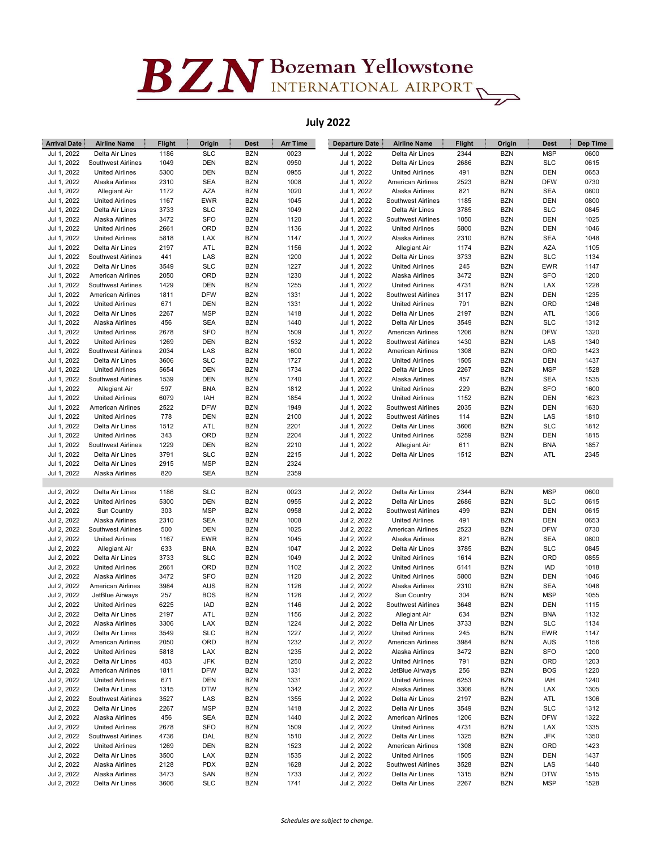## $BZN$ Bozeman Yellowstone

## July 2022

| <b>Arrival Date</b> | <b>Airline Name</b>       | <b>Flight</b> | Origin     | <b>Dest</b> | <b>Arr Time</b> | <b>Departure Date</b>      | <b>Airline Name</b>       | <b>Flight</b> | Origin     | <b>Dest</b> | Dep Time |
|---------------------|---------------------------|---------------|------------|-------------|-----------------|----------------------------|---------------------------|---------------|------------|-------------|----------|
| Jul 1, 2022         | Delta Air Lines           | 1186          | <b>SLC</b> | <b>BZN</b>  | 0023            | Jul 1, 2022                | Delta Air Lines           | 2344          | <b>BZN</b> | <b>MSP</b>  | 0600     |
| Jul 1, 2022         | Southwest Airlines        | 1049          | <b>DEN</b> | <b>BZN</b>  | 0950            | Jul 1, 2022                | Delta Air Lines           | 2686          | <b>BZN</b> | <b>SLC</b>  | 0615     |
| Jul 1, 2022         | <b>United Airlines</b>    | 5300          | <b>DEN</b> | <b>BZN</b>  | 0955            | Jul 1, 2022                | <b>United Airlines</b>    | 491           | <b>BZN</b> | <b>DEN</b>  | 0653     |
| Jul 1, 2022         | Alaska Airlines           | 2310          | <b>SEA</b> | <b>BZN</b>  | 1008            | Jul 1, 2022                | American Airlines         | 2523          | <b>BZN</b> | <b>DFW</b>  | 0730     |
| Jul 1, 2022         | Allegiant Air             | 1172          | AZA        | <b>BZN</b>  | 1020            | Jul 1, 2022                | Alaska Airlines           | 821           | <b>BZN</b> | <b>SEA</b>  | 0800     |
| Jul 1, 2022         | <b>United Airlines</b>    | 1167          | EWR        | <b>BZN</b>  | 1045            | Jul 1, 2022                | <b>Southwest Airlines</b> | 1185          | <b>BZN</b> | <b>DEN</b>  | 0800     |
| Jul 1, 2022         | Delta Air Lines           | 3733          | <b>SLC</b> | <b>BZN</b>  | 1049            | Jul 1, 2022                | Delta Air Lines           | 3785          | <b>BZN</b> | <b>SLC</b>  | 0845     |
| Jul 1, 2022         | Alaska Airlines           | 3472          | SFO        | <b>BZN</b>  | 1120            | Jul 1, 2022                | <b>Southwest Airlines</b> | 1050          | <b>BZN</b> | <b>DEN</b>  | 1025     |
| Jul 1, 2022         | <b>United Airlines</b>    | 2661          | ORD        | <b>BZN</b>  | 1136            | Jul 1, 2022                | <b>United Airlines</b>    | 5800          | <b>BZN</b> | DEN         | 1046     |
| Jul 1, 2022         | <b>United Airlines</b>    | 5818          | LAX        | <b>BZN</b>  | 1147            | Jul 1, 2022                | Alaska Airlines           | 2310          | <b>BZN</b> | <b>SEA</b>  | 1048     |
| Jul 1, 2022         | Delta Air Lines           | 2197          | ATL        | <b>BZN</b>  | 1156            | Jul 1, 2022                | Allegiant Air             | 1174          | <b>BZN</b> | <b>AZA</b>  | 1105     |
| Jul 1, 2022         | Southwest Airlines        | 441           | LAS        | <b>BZN</b>  | 1200            | Jul 1, 2022                | Delta Air Lines           | 3733          | <b>BZN</b> | <b>SLC</b>  | 1134     |
| Jul 1, 2022         | Delta Air Lines           | 3549          | <b>SLC</b> | <b>BZN</b>  | 1227            | Jul 1, 2022                | <b>United Airlines</b>    | 245           | <b>BZN</b> | <b>EWR</b>  | 1147     |
| Jul 1, 2022         | <b>American Airlines</b>  | 2050          | ORD        | <b>BZN</b>  | 1230            | Jul 1, 2022                | Alaska Airlines           | 3472          | <b>BZN</b> | <b>SFO</b>  | 1200     |
| Jul 1, 2022         | Southwest Airlines        | 1429          | DEN        | <b>BZN</b>  | 1255            | Jul 1, 2022                | <b>United Airlines</b>    | 4731          | <b>BZN</b> | <b>LAX</b>  | 1228     |
| Jul 1, 2022         | American Airlines         | 1811          | <b>DFW</b> | <b>BZN</b>  | 1331            | Jul 1, 2022                | Southwest Airlines        | 3117          | <b>BZN</b> | <b>DEN</b>  | 1235     |
| Jul 1, 2022         | <b>United Airlines</b>    | 671           | <b>DEN</b> | <b>BZN</b>  | 1331            | Jul 1, 2022                | <b>United Airlines</b>    | 791           | <b>BZN</b> | ORD         | 1246     |
| Jul 1, 2022         | Delta Air Lines           | 2267          | <b>MSP</b> | <b>BZN</b>  | 1418            | Jul 1, 2022                | Delta Air Lines           | 2197          | <b>BZN</b> | ATL         | 1306     |
| Jul 1, 2022         | Alaska Airlines           | 456           | <b>SEA</b> | <b>BZN</b>  | 1440            | Jul 1, 2022                | Delta Air Lines           | 3549          | <b>BZN</b> | <b>SLC</b>  | 1312     |
| Jul 1, 2022         | <b>United Airlines</b>    | 2678          | SFO        | <b>BZN</b>  | 1509            | Jul 1, 2022                | American Airlines         | 1206          | <b>BZN</b> | <b>DFW</b>  | 1320     |
| Jul 1, 2022         | <b>United Airlines</b>    | 1269          | DEN        | <b>BZN</b>  | 1532            | Jul 1, 2022                | Southwest Airlines        | 1430          | <b>BZN</b> | LAS         | 1340     |
| Jul 1, 2022         | Southwest Airlines        | 2034          | LAS        | <b>BZN</b>  | 1600            | Jul 1, 2022                | <b>American Airlines</b>  | 1308          | <b>BZN</b> | ORD         | 1423     |
| Jul 1, 2022         | Delta Air Lines           | 3606          | <b>SLC</b> | <b>BZN</b>  | 1727            | Jul 1, 2022                | <b>United Airlines</b>    | 1505          | <b>BZN</b> | <b>DEN</b>  | 1437     |
| Jul 1, 2022         | <b>United Airlines</b>    | 5654          | <b>DEN</b> | <b>BZN</b>  | 1734            | Jul 1, 2022                | Delta Air Lines           | 2267          | <b>BZN</b> | <b>MSP</b>  | 1528     |
| Jul 1, 2022         | Southwest Airlines        | 1539          | <b>DEN</b> | <b>BZN</b>  | 1740            | Jul 1, 2022                | Alaska Airlines           | 457           | <b>BZN</b> | <b>SEA</b>  | 1535     |
| Jul 1, 2022         | Allegiant Air             | 597           | <b>BNA</b> | <b>BZN</b>  | 1812            | Jul 1, 2022                | <b>United Airlines</b>    | 229           | <b>BZN</b> | <b>SFO</b>  | 1600     |
| Jul 1, 2022         | <b>United Airlines</b>    | 6079          | IAH        | <b>BZN</b>  | 1854            | Jul 1, 2022                | <b>United Airlines</b>    | 1152          | <b>BZN</b> | <b>DEN</b>  | 1623     |
| Jul 1, 2022         | <b>American Airlines</b>  | 2522          | <b>DFW</b> | <b>BZN</b>  | 1949            | Jul 1, 2022                | <b>Southwest Airlines</b> | 2035          | <b>BZN</b> | <b>DEN</b>  | 1630     |
| Jul 1, 2022         | <b>United Airlines</b>    | 778           | DEN        | <b>BZN</b>  | 2100            | Jul 1, 2022                | Southwest Airlines        | 114           | <b>BZN</b> | LAS         | 1810     |
| Jul 1, 2022         | Delta Air Lines           | 1512          | ATL        | <b>BZN</b>  | 2201            | Jul 1, 2022                | Delta Air Lines           | 3606          | <b>BZN</b> | <b>SLC</b>  | 1812     |
| Jul 1, 2022         | <b>United Airlines</b>    | 343           | ORD        | <b>BZN</b>  | 2204            | Jul 1, 2022                | <b>United Airlines</b>    | 5259          | <b>BZN</b> | DEN         | 1815     |
| Jul 1, 2022         | <b>Southwest Airlines</b> | 1229          | <b>DEN</b> | <b>BZN</b>  | 2210            | Jul 1, 2022                | Allegiant Air             | 611           | <b>BZN</b> | <b>BNA</b>  | 1857     |
| Jul 1, 2022         | Delta Air Lines           | 3791          | <b>SLC</b> | <b>BZN</b>  | 2215            | Jul 1, 2022                | Delta Air Lines           | 1512          | <b>BZN</b> | ATL         | 2345     |
| Jul 1, 2022         | Delta Air Lines           | 2915          | <b>MSP</b> | <b>BZN</b>  | 2324            |                            |                           |               |            |             |          |
| Jul 1, 2022         | Alaska Airlines           | 820           | <b>SEA</b> | <b>BZN</b>  | 2359            |                            |                           |               |            |             |          |
| Jul 2, 2022         | Delta Air Lines           | 1186          | <b>SLC</b> | <b>BZN</b>  | 0023            | Jul 2, 2022                | Delta Air Lines           | 2344          | <b>BZN</b> | <b>MSP</b>  | 0600     |
| Jul 2, 2022         | <b>United Airlines</b>    | 5300          | DEN        | <b>BZN</b>  | 0955            |                            | Delta Air Lines           | 2686          | <b>BZN</b> | <b>SLC</b>  | 0615     |
| Jul 2, 2022         | Sun Country               | 303           | <b>MSP</b> | <b>BZN</b>  | 0958            | Jul 2, 2022<br>Jul 2, 2022 | <b>Southwest Airlines</b> | 499           | <b>BZN</b> | <b>DEN</b>  | 0615     |
| Jul 2, 2022         | Alaska Airlines           | 2310          | <b>SEA</b> | <b>BZN</b>  | 1008            | Jul 2, 2022                | <b>United Airlines</b>    | 491           | <b>BZN</b> | <b>DEN</b>  | 0653     |
| Jul 2, 2022         | Southwest Airlines        | 500           | <b>DEN</b> | <b>BZN</b>  | 1025            | Jul 2, 2022                | American Airlines         | 2523          | <b>BZN</b> | <b>DFW</b>  | 0730     |
| Jul 2, 2022         | <b>United Airlines</b>    | 1167          | <b>EWR</b> | <b>BZN</b>  | 1045            | Jul 2, 2022                | Alaska Airlines           | 821           | <b>BZN</b> | <b>SEA</b>  | 0800     |
| Jul 2, 2022         | Allegiant Air             | 633           | <b>BNA</b> | <b>BZN</b>  | 1047            | Jul 2, 2022                | Delta Air Lines           | 3785          | <b>BZN</b> | <b>SLC</b>  | 0845     |
| Jul 2, 2022         | Delta Air Lines           | 3733          | <b>SLC</b> | <b>BZN</b>  | 1049            | Jul 2, 2022                | <b>United Airlines</b>    | 1614          | <b>BZN</b> | ORD         | 0855     |
| Jul 2, 2022         | <b>United Airlines</b>    | 2661          | ORD        | <b>BZN</b>  | 1102            | Jul 2, 2022                | <b>United Airlines</b>    | 6141          | <b>BZN</b> | IAD         | 1018     |
| Jul 2, 2022         | Alaska Airlines           | 3472          | SFO        | <b>BZN</b>  | 1120            | Jul 2, 2022                | <b>United Airlines</b>    | 5800          | <b>BZN</b> | <b>DEN</b>  | 1046     |
| Jul 2, 2022         | American Airlines         | 3984          | AUS        | <b>BZN</b>  | 1126            | Jul 2, 2022                | Alaska Airlines           | 2310          | <b>BZN</b> | <b>SEA</b>  | 1048     |
| Jul 2, 2022         | JetBlue Airways           | 257           | <b>BOS</b> | <b>BZN</b>  | 1126            | Jul 2, 2022                | Sun Country               | 304           | <b>BZN</b> | <b>MSP</b>  | 1055     |
| Jul 2, 2022         | <b>United Airlines</b>    | 6225          | <b>IAD</b> | <b>BZN</b>  | 1146            | Jul 2, 2022                | <b>Southwest Airlines</b> | 3648          | <b>BZN</b> | <b>DEN</b>  | 1115     |
| Jul 2, 2022         | Delta Air Lines           | 2197          | ATL        | <b>BZN</b>  | 1156            | Jul 2, 2022                | Allegiant Air             | 634           | <b>BZN</b> | <b>BNA</b>  | 1132     |
| Jul 2, 2022         | Alaska Airlines           | 3306          | LAX        | BZN         | 1224            | Jul 2, 2022                | Delta Air Lines           | 3733          | BZN        | <b>SLC</b>  | 1134     |
| Jul 2, 2022         | Delta Air Lines           | 3549          | <b>SLC</b> | <b>BZN</b>  | 1227            | Jul 2, 2022                | <b>United Airlines</b>    | 245           | <b>BZN</b> | EWR         | 1147     |
| Jul 2, 2022         | American Airlines         | 2050          | ORD        | <b>BZN</b>  | 1232            | Jul 2, 2022                | American Airlines         | 3984          | <b>BZN</b> | <b>AUS</b>  | 1156     |
| Jul 2, 2022         | <b>United Airlines</b>    | 5818          | LAX        | <b>BZN</b>  | 1235            | Jul 2, 2022                | Alaska Airlines           | 3472          | <b>BZN</b> | <b>SFO</b>  | 1200     |
| Jul 2, 2022         | Delta Air Lines           | 403           | JFK        | <b>BZN</b>  | 1250            | Jul 2, 2022                | <b>United Airlines</b>    | 791           | <b>BZN</b> | ORD         | 1203     |
| Jul 2, 2022         | <b>American Airlines</b>  | 1811          | <b>DFW</b> | <b>BZN</b>  | 1331            | Jul 2, 2022                | JetBlue Airways           | 256           | <b>BZN</b> | <b>BOS</b>  | 1220     |
| Jul 2, 2022         | <b>United Airlines</b>    | 671           | DEN        | BZN         | 1331            | Jul 2, 2022                | <b>United Airlines</b>    | 6253          | <b>BZN</b> | IAH         | 1240     |
| Jul 2, 2022         | Delta Air Lines           | 1315          | <b>DTW</b> | <b>BZN</b>  | 1342            | Jul 2, 2022                | Alaska Airlines           | 3306          | <b>BZN</b> | LAX         | 1305     |
| Jul 2, 2022         | Southwest Airlines        | 3527          | LAS        | BZN         | 1355            | Jul 2, 2022                | Delta Air Lines           | 2197          | BZN        | ATL         | 1306     |
| Jul 2, 2022         | Delta Air Lines           | 2267          | <b>MSP</b> | <b>BZN</b>  | 1418            | Jul 2, 2022                | Delta Air Lines           | 3549          | <b>BZN</b> | <b>SLC</b>  | 1312     |
| Jul 2, 2022         | Alaska Airlines           | 456           | <b>SEA</b> | <b>BZN</b>  | 1440            | Jul 2, 2022                | American Airlines         | 1206          | <b>BZN</b> | <b>DFW</b>  | 1322     |
| Jul 2, 2022         | <b>United Airlines</b>    | 2678          | <b>SFO</b> | BZN         | 1509            | Jul 2, 2022                | <b>United Airlines</b>    | 4731          | <b>BZN</b> | LAX         | 1335     |
| Jul 2, 2022         | Southwest Airlines        | 4736          | DAL        | BZN         | 1510            | Jul 2, 2022                | Delta Air Lines           | 1325          | <b>BZN</b> | <b>JFK</b>  | 1350     |
| Jul 2, 2022         | <b>United Airlines</b>    | 1269          | DEN        | BZN         | 1523            | Jul 2, 2022                | American Airlines         | 1308          | BZN        | ORD         | 1423     |
| Jul 2, 2022         | Delta Air Lines           | 3500          | LAX        | <b>BZN</b>  | 1535            | Jul 2, 2022                | <b>United Airlines</b>    | 1505          | <b>BZN</b> | <b>DEN</b>  | 1437     |
| Jul 2, 2022         | Alaska Airlines           | 2128          | <b>PDX</b> | <b>BZN</b>  | 1628            | Jul 2, 2022                | Southwest Airlines        | 3528          | <b>BZN</b> | LAS         | 1440     |
| Jul 2, 2022         | Alaska Airlines           | 3473          | SAN        | <b>BZN</b>  | 1733            | Jul 2, 2022                | Delta Air Lines           | 1315          | <b>BZN</b> | <b>DTW</b>  | 1515     |
| Jul 2, 2022         | Delta Air Lines           | 3606          | <b>SLC</b> | <b>BZN</b>  | 1741            | Jul 2, 2022                | Delta Air Lines           | 2267          | <b>BZN</b> | <b>MSP</b>  | 1528     |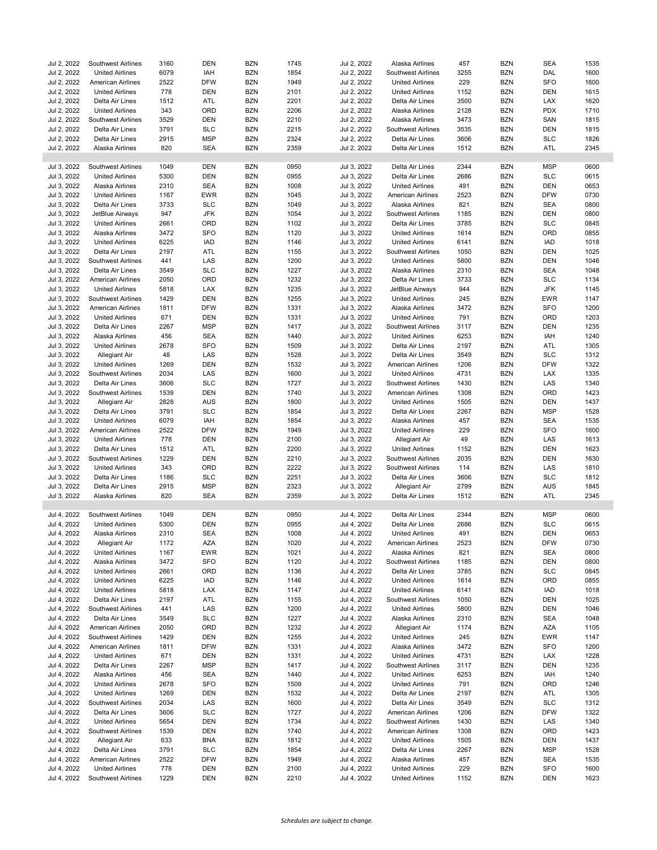| Jul 2, 2022                | Southwest Airlines                                  | 3160        | <b>DEN</b> | <b>BZN</b>               | 1745         | Jul 2, 2022                | Alaska Airlines                                  | 457         | <b>BZN</b>        | <b>SEA</b>        | 1535         |
|----------------------------|-----------------------------------------------------|-------------|------------|--------------------------|--------------|----------------------------|--------------------------------------------------|-------------|-------------------|-------------------|--------------|
| Jul 2, 2022                | <b>United Airlines</b>                              | 6079        | IAH        | <b>BZN</b>               | 1854         | Jul 2, 2022                | <b>Southwest Airlines</b>                        | 3255        | <b>BZN</b>        | DAL               | 1600         |
| Jul 2, 2022                | <b>American Airlines</b>                            | 2522        | <b>DFW</b> | <b>BZN</b>               | 1949         | Jul 2, 2022                | <b>United Airlines</b>                           | 229         | <b>BZN</b>        | <b>SFO</b>        | 1600         |
| Jul 2, 2022                | <b>United Airlines</b>                              | 778         | <b>DEN</b> | <b>BZN</b>               | 2101         | Jul 2, 2022                | <b>United Airlines</b>                           | 1152        | <b>BZN</b>        | <b>DEN</b>        | 1615         |
| Jul 2, 2022                | Delta Air Lines                                     | 1512        | ATL        | <b>BZN</b>               | 2201         | Jul 2, 2022                | Delta Air Lines                                  | 3500        | <b>BZN</b>        | LAX               | 1620         |
| Jul 2, 2022                | <b>United Airlines</b>                              | 343         | ORD        | <b>BZN</b>               | 2206         | Jul 2, 2022                | Alaska Airlines                                  | 2128        | <b>BZN</b>        | <b>PDX</b>        | 1710         |
| Jul 2, 2022                | Southwest Airlines                                  | 3529        | <b>DEN</b> | <b>BZN</b>               | 2210         | Jul 2, 2022                | Alaska Airlines                                  | 3473        | <b>BZN</b>        | SAN               | 1815         |
| Jul 2, 2022                | Delta Air Lines                                     | 3791        | <b>SLC</b> | <b>BZN</b>               | 2215         | Jul 2, 2022                | Southwest Airlines                               | 3535        | <b>BZN</b>        | <b>DEN</b>        | 1815         |
| Jul 2, 2022                | Delta Air Lines                                     | 2915        | <b>MSP</b> | <b>BZN</b>               | 2324         | Jul 2, 2022                | Delta Air Lines                                  | 3606        | <b>BZN</b>        | <b>SLC</b>        | 1826         |
| Jul 2, 2022                | Alaska Airlines                                     | 820         | <b>SEA</b> | <b>BZN</b>               | 2359         | Jul 2, 2022                | Delta Air Lines                                  | 1512        | <b>BZN</b>        | ATL               | 2345         |
|                            |                                                     |             |            |                          |              |                            |                                                  |             |                   |                   |              |
| Jul 3, 2022                | Southwest Airlines                                  | 1049        | <b>DEN</b> | <b>BZN</b>               | 0950         | Jul 3, 2022                | Delta Air Lines                                  | 2344        | <b>BZN</b>        | <b>MSP</b>        | 0600         |
| Jul 3, 2022                | <b>United Airlines</b>                              | 5300        | <b>DEN</b> | <b>BZN</b>               | 0955         | Jul 3, 2022                | Delta Air Lines                                  | 2686        | <b>BZN</b>        | <b>SLC</b>        | 0615         |
| Jul 3, 2022                | Alaska Airlines                                     | 2310        | <b>SEA</b> | <b>BZN</b>               | 1008         | Jul 3, 2022                | <b>United Airlines</b>                           | 491         | <b>BZN</b>        | <b>DEN</b>        | 0653         |
| Jul 3, 2022                | <b>United Airlines</b>                              | 1167        | <b>EWR</b> | <b>BZN</b>               | 1045         | Jul 3, 2022                | American Airlines                                | 2523        | <b>BZN</b>        | <b>DFW</b>        | 0730         |
| Jul 3, 2022                | Delta Air Lines                                     | 3733        | <b>SLC</b> | <b>BZN</b>               | 1049         | Jul 3, 2022                | Alaska Airlines                                  | 821         | <b>BZN</b>        | <b>SEA</b>        | 0800         |
| Jul 3, 2022                | JetBlue Airways                                     | 947         | <b>JFK</b> | <b>BZN</b>               | 1054         | Jul 3, 2022                | <b>Southwest Airlines</b>                        | 1185        | <b>BZN</b>        | DEN               | 0800         |
| Jul 3, 2022                | <b>United Airlines</b>                              | 2661        | ORD        | <b>BZN</b>               | 1102         | Jul 3, 2022                | Delta Air Lines                                  | 3785        | <b>BZN</b>        | <b>SLC</b>        | 0845         |
|                            |                                                     |             |            |                          |              |                            |                                                  |             |                   |                   |              |
| Jul 3, 2022                | Alaska Airlines                                     | 3472        | <b>SFO</b> | <b>BZN</b>               | 1120         | Jul 3, 2022                | <b>United Airlines</b>                           | 1614        | <b>BZN</b>        | ORD               | 0855         |
| Jul 3, 2022                | <b>United Airlines</b>                              | 6225        | IAD        | <b>BZN</b>               | 1146         | Jul 3, 2022                | <b>United Airlines</b>                           | 6141        | <b>BZN</b>        | <b>IAD</b>        | 1018         |
| Jul 3, 2022                | Delta Air Lines                                     | 2197        | ATL        | <b>BZN</b>               | 1155         | Jul 3, 2022                | Southwest Airlines                               | 1050        | <b>BZN</b>        | DEN               | 1025         |
| Jul 3, 2022                | Southwest Airlines                                  | 441         | LAS        | <b>BZN</b>               | 1200         | Jul 3, 2022                | <b>United Airlines</b>                           | 5800        | <b>BZN</b>        | DEN               | 1046         |
| Jul 3, 2022                | Delta Air Lines                                     | 3549        | <b>SLC</b> | <b>BZN</b>               | 1227         | Jul 3, 2022                | Alaska Airlines                                  | 2310        | <b>BZN</b>        | <b>SEA</b>        | 1048         |
| Jul 3, 2022                | American Airlines                                   | 2050        | ORD        | <b>BZN</b>               | 1232         | Jul 3, 2022                | Delta Air Lines                                  | 3733        | <b>BZN</b>        | <b>SLC</b>        | 1134         |
| Jul 3, 2022                | <b>United Airlines</b>                              | 5818        | LAX        | <b>BZN</b>               | 1235         | Jul 3, 2022                | JetBlue Airways                                  | 944         | <b>BZN</b>        | <b>JFK</b>        | 1145         |
| Jul 3, 2022                | Southwest Airlines                                  | 1429        | <b>DEN</b> | <b>BZN</b>               | 1255         | Jul 3, 2022                | <b>United Airlines</b>                           | 245         | <b>BZN</b>        | <b>EWR</b>        | 1147         |
| Jul 3, 2022                | American Airlines                                   | 1811        | <b>DFW</b> | <b>BZN</b>               | 1331         | Jul 3, 2022                | Alaska Airlines                                  | 3472        | <b>BZN</b>        | <b>SFO</b>        | 1200         |
| Jul 3, 2022                | <b>United Airlines</b>                              | 671         | <b>DEN</b> | <b>BZN</b>               | 1331         | Jul 3, 2022                | <b>United Airlines</b>                           | 791         | <b>BZN</b>        | ORD               | 1203         |
| Jul 3, 2022                | Delta Air Lines                                     | 2267        | <b>MSP</b> | <b>BZN</b>               | 1417         | Jul 3, 2022                | Southwest Airlines                               | 3117        | <b>BZN</b>        | DEN               | 1235         |
| Jul 3, 2022                | Alaska Airlines                                     | 456         | <b>SEA</b> | <b>BZN</b>               | 1440         | Jul 3, 2022                | <b>United Airlines</b>                           | 6253        | <b>BZN</b>        | IAH               | 1240         |
| Jul 3, 2022                | <b>United Airlines</b>                              | 2678        | <b>SFO</b> | <b>BZN</b>               | 1509         | Jul 3, 2022                | Delta Air Lines                                  | 2197        | <b>BZN</b>        | ATL               | 1305         |
| Jul 3, 2022                | Allegiant Air                                       | 48          | LAS        | <b>BZN</b>               | 1528         | Jul 3, 2022                | Delta Air Lines                                  | 3549        | <b>BZN</b>        | <b>SLC</b>        | 1312         |
| Jul 3, 2022                | <b>United Airlines</b>                              | 1269        | <b>DEN</b> | <b>BZN</b>               | 1532         | Jul 3, 2022                | American Airlines                                | 1206        | <b>BZN</b>        | <b>DFW</b>        | 1322         |
| Jul 3, 2022                | Southwest Airlines                                  | 2034        | LAS        | <b>BZN</b>               | 1600         | Jul 3, 2022                | <b>United Airlines</b>                           | 4731        | <b>BZN</b>        | LAX               | 1335         |
| Jul 3, 2022                | Delta Air Lines                                     | 3606        | <b>SLC</b> | <b>BZN</b>               | 1727         | Jul 3, 2022                | <b>Southwest Airlines</b>                        | 1430        | <b>BZN</b>        | LAS               | 1340         |
| Jul 3, 2022                | Southwest Airlines                                  | 1539        | <b>DEN</b> | <b>BZN</b>               | 1740         | Jul 3, 2022                | American Airlines                                | 1308        | <b>BZN</b>        | ORD               | 1423         |
| Jul 3, 2022                | Allegiant Air                                       | 2828        | <b>AUS</b> | <b>BZN</b>               | 1800         | Jul 3, 2022                | <b>United Airlines</b>                           | 1505        | <b>BZN</b>        | <b>DEN</b>        | 1437         |
| Jul 3, 2022                | Delta Air Lines                                     | 3791        | <b>SLC</b> | <b>BZN</b>               | 1854         | Jul 3, 2022                | Delta Air Lines                                  | 2267        | <b>BZN</b>        | <b>MSP</b>        | 1528         |
| Jul 3, 2022                |                                                     | 6079        | IAH        | <b>BZN</b>               | 1854         | Jul 3, 2022                |                                                  | 457         | <b>BZN</b>        | <b>SEA</b>        | 1535         |
|                            | <b>United Airlines</b>                              |             |            |                          |              |                            | Alaska Airlines                                  |             |                   |                   |              |
| Jul 3, 2022                | American Airlines                                   | 2522        | DFW        | <b>BZN</b>               | 1949         | Jul 3, 2022                | <b>United Airlines</b>                           | 229         | <b>BZN</b>        | <b>SFO</b>        | 1600         |
| Jul 3, 2022                | <b>United Airlines</b>                              | 778         | <b>DEN</b> | <b>BZN</b>               | 2100         | Jul 3, 2022                | Allegiant Air                                    | 49          | <b>BZN</b>        | LAS               | 1613         |
| Jul 3, 2022                | Delta Air Lines                                     | 1512        | ATL        | <b>BZN</b>               | 2200         | Jul 3, 2022                | <b>United Airlines</b>                           | 1152        | <b>BZN</b>        | <b>DEN</b>        | 1623         |
| Jul 3, 2022                | Southwest Airlines                                  | 1229        | <b>DEN</b> | <b>BZN</b>               | 2210         | Jul 3, 2022                | Southwest Airlines                               | 2035        | <b>BZN</b>        | <b>DEN</b>        | 1630         |
| Jul 3, 2022                | <b>United Airlines</b>                              | 343         | ORD        | <b>BZN</b>               | 2222         | Jul 3, 2022                | Southwest Airlines                               | 114         | <b>BZN</b>        | LAS               | 1810         |
| Jul 3, 2022                | Delta Air Lines                                     | 1186        | <b>SLC</b> | <b>BZN</b>               | 2251         | Jul 3, 2022                | Delta Air Lines                                  | 3606        | <b>BZN</b>        | <b>SLC</b>        | 1812         |
| Jul 3, 2022                | Delta Air Lines                                     | 2915        | <b>MSP</b> | <b>BZN</b>               | 2323         | Jul 3, 2022                | Allegiant Air                                    | 2799        | <b>BZN</b>        | <b>AUS</b>        | 1845         |
| Jul 3, 2022                | Alaska Airlines                                     | 820         | <b>SEA</b> | <b>BZN</b>               | 2359         | Jul 3, 2022                | Delta Air Lines                                  | 1512        | <b>BZN</b>        | ATL               | 2345         |
|                            |                                                     |             |            |                          |              |                            |                                                  |             |                   |                   |              |
| Jul 4, 2022                | Southwest Airlines                                  | 1049        | <b>DEN</b> | <b>BZN</b>               | 0950         | Jul 4, 2022                | Delta Air Lines                                  | 2344        | <b>BZN</b>        | <b>MSP</b>        | 0600         |
| Jul 4, 2022                | <b>United Airlines</b>                              | 5300        | <b>DEN</b> | <b>BZN</b>               | 0955         | Jul 4, 2022                | Delta Air Lines                                  | 2686        | <b>BZN</b>        | <b>SLC</b>        | 0615         |
| Jul 4, 2022                | Alaska Airlines                                     | 2310        | <b>SEA</b> | <b>BZN</b>               | 1008         | Jul 4, 2022                | <b>United Airlines</b>                           | 491         | <b>BZN</b>        | DEN               | 0653         |
| Jul 4, 2022                | Allegiant Air                                       | 1172        | AZA        | BZN                      | 1020         | Jul 4, 2022                | <b>American Airlines</b>                         | 2523        | BZN               | <b>DFW</b>        | 0730         |
| Jul 4, 2022                | <b>United Airlines</b>                              | 1167        | <b>EWR</b> | <b>BZN</b>               | 1021         | Jul 4, 2022                | Alaska Airlines                                  | 821         | <b>BZN</b>        | <b>SEA</b>        | 0800         |
| Jul 4, 2022                | Alaska Airlines                                     | 3472        | <b>SFO</b> | <b>BZN</b>               | 1120         | Jul 4, 2022                | <b>Southwest Airlines</b>                        | 1185        | <b>BZN</b>        | DEN               | 0800         |
| Jul 4, 2022                | <b>United Airlines</b>                              | 2661        | ORD        | <b>BZN</b>               | 1136         | Jul 4, 2022                | Delta Air Lines                                  | 3785        | <b>BZN</b>        | <b>SLC</b>        | 0845         |
| Jul 4, 2022                | <b>United Airlines</b>                              | 6225        | IAD        | <b>BZN</b>               | 1146         | Jul 4, 2022                | <b>United Airlines</b>                           | 1614        | <b>BZN</b>        | ORD               | 0855         |
| Jul 4, 2022                | <b>United Airlines</b>                              | 5818        | LAX        | <b>BZN</b>               | 1147         | Jul 4, 2022                | <b>United Airlines</b>                           | 6141        | <b>BZN</b>        | IAD               | 1018         |
| Jul 4, 2022                | Delta Air Lines                                     | 2197        | ATL        | BZN                      | 1155         | Jul 4, 2022                | <b>Southwest Airlines</b>                        | 1050        | BZN               | DEN               | 1025         |
| Jul 4, 2022                | Southwest Airlines                                  | 441         | LAS        | <b>BZN</b>               | 1200         | Jul 4, 2022                | <b>United Airlines</b>                           | 5800        | <b>BZN</b>        | <b>DEN</b>        | 1046         |
| Jul 4, 2022                | Delta Air Lines                                     | 3549        | <b>SLC</b> | <b>BZN</b>               | 1227         | Jul 4, 2022                | Alaska Airlines                                  | 2310        | <b>BZN</b>        | <b>SEA</b>        | 1048         |
| Jul 4, 2022                | American Airlines                                   | 2050        | ORD        | <b>BZN</b>               | 1232         | Jul 4, 2022                | Allegiant Air                                    | 1174        | <b>BZN</b>        | AZA               | 1105         |
| Jul 4, 2022                | Southwest Airlines                                  | 1429        | <b>DEN</b> | <b>BZN</b>               | 1255         | Jul 4, 2022                | <b>United Airlines</b>                           | 245         | <b>BZN</b>        | <b>EWR</b>        | 1147         |
| Jul 4, 2022                | American Airlines                                   | 1811        | <b>DFW</b> | BZN                      | 1331         | Jul 4, 2022                | Alaska Airlines                                  | 3472        | <b>BZN</b>        | <b>SFO</b>        | 1200         |
| Jul 4, 2022                | <b>United Airlines</b>                              | 671         | DEN        | <b>BZN</b>               | 1331         | Jul 4, 2022                | <b>United Airlines</b>                           | 4731        | <b>BZN</b>        | LAX               | 1228         |
| Jul 4, 2022                | Delta Air Lines                                     | 2267        | <b>MSP</b> | BZN                      | 1417         | Jul 4, 2022                | Southwest Airlines                               | 3117        | BZN               | DEN               | 1235         |
| Jul 4, 2022                | Alaska Airlines                                     | 456         | <b>SEA</b> | <b>BZN</b>               | 1440         | Jul 4, 2022                | <b>United Airlines</b>                           | 6253        | <b>BZN</b>        | IAH               | 1240         |
| Jul 4, 2022                | <b>United Airlines</b>                              | 2678        | <b>SFO</b> | <b>BZN</b>               | 1509         | Jul 4, 2022                | <b>United Airlines</b>                           | 791         | <b>BZN</b>        | ORD               | 1246         |
| Jul 4, 2022                |                                                     | 1269        | <b>DEN</b> | <b>BZN</b>               |              | Jul 4, 2022                |                                                  | 2197        | <b>BZN</b>        | ATL               | 1305         |
|                            | <b>United Airlines</b>                              |             |            |                          | 1532         |                            | Delta Air Lines                                  |             |                   |                   |              |
| Jul 4, 2022                | Southwest Airlines                                  | 2034        | LAS        | BZN                      | 1600         | Jul 4, 2022                | Delta Air Lines                                  | 3549        | <b>BZN</b>        | <b>SLC</b>        | 1312         |
| Jul 4, 2022                | Delta Air Lines                                     | 3606        | <b>SLC</b> | <b>BZN</b>               | 1727         | Jul 4, 2022                | American Airlines                                | 1206        | <b>BZN</b>        | <b>DFW</b>        | 1322         |
| Jul 4, 2022                | <b>United Airlines</b>                              | 5654        | DEN        | <b>BZN</b>               | 1734         | Jul 4, 2022                | Southwest Airlines                               | 1430        | <b>BZN</b>        | LAS               | 1340         |
| Jul 4, 2022                |                                                     | 1539        | <b>DEN</b> | <b>BZN</b>               | 1740         | Jul 4, 2022                | American Airlines                                | 1308        | <b>BZN</b>        | ORD               | 1423         |
|                            | Southwest Airlines                                  |             |            |                          |              |                            |                                                  |             |                   |                   |              |
| Jul 4, 2022                | Allegiant Air                                       | 633         | <b>BNA</b> | <b>BZN</b>               | 1812         | Jul 4, 2022                | <b>United Airlines</b>                           | 1505        | <b>BZN</b>        | <b>DEN</b>        | 1437         |
| Jul 4, 2022                | Delta Air Lines                                     | 3791        | <b>SLC</b> | <b>BZN</b>               | 1854         | Jul 4, 2022                | Delta Air Lines                                  | 2267        | <b>BZN</b>        | <b>MSP</b>        | 1528         |
| Jul 4, 2022                | American Airlines                                   | 2522        | <b>DFW</b> | BZN                      | 1949         | Jul 4, 2022                | Alaska Airlines                                  | 457         | <b>BZN</b>        | SEA               | 1535         |
| Jul 4, 2022<br>Jul 4, 2022 | <b>United Airlines</b><br><b>Southwest Airlines</b> | 778<br>1229 | DEN<br>DEN | <b>BZN</b><br><b>BZN</b> | 2100<br>2210 | Jul 4, 2022<br>Jul 4, 2022 | <b>United Airlines</b><br><b>United Airlines</b> | 229<br>1152 | BZN<br><b>BZN</b> | <b>SFO</b><br>DEN | 1600<br>1623 |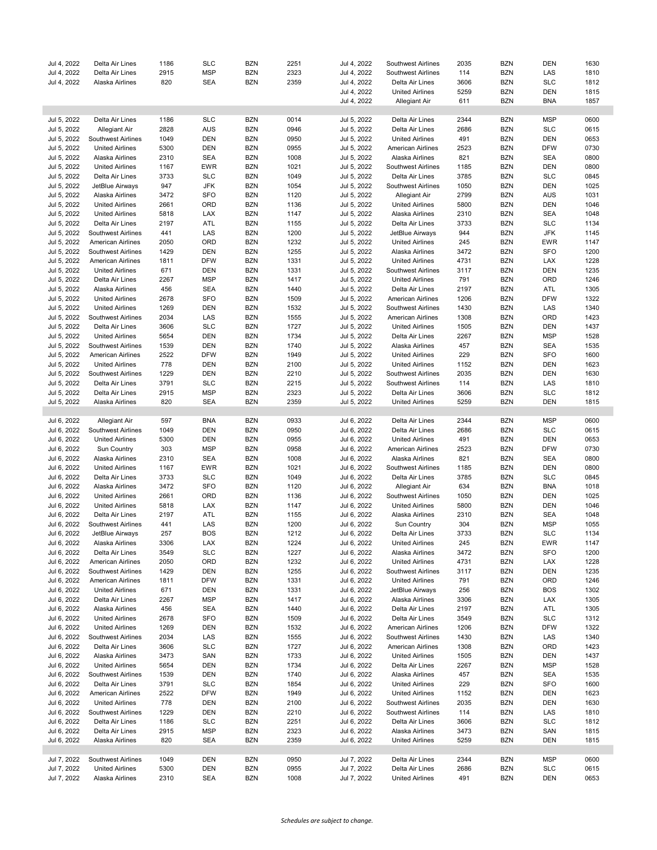| Jul 4, 2022 | Delta Air Lines          | 1186 | <b>SLC</b> | BZN        | 2251 | Jul 4, 2022 | Southwest Airlines        | 2035 | <b>BZN</b> | DEN        | 1630 |
|-------------|--------------------------|------|------------|------------|------|-------------|---------------------------|------|------------|------------|------|
|             |                          |      |            |            |      |             |                           |      |            |            |      |
| Jul 4, 2022 | Delta Air Lines          | 2915 | <b>MSP</b> | <b>BZN</b> | 2323 | Jul 4, 2022 | Southwest Airlines        | 114  | <b>BZN</b> | LAS        | 1810 |
| Jul 4, 2022 | Alaska Airlines          | 820  | <b>SEA</b> | <b>BZN</b> | 2359 | Jul 4, 2022 | Delta Air Lines           | 3606 | <b>BZN</b> | <b>SLC</b> | 1812 |
|             |                          |      |            |            |      | Jul 4, 2022 | <b>United Airlines</b>    | 5259 | <b>BZN</b> | <b>DEN</b> | 1815 |
|             |                          |      |            |            |      | Jul 4, 2022 | Allegiant Air             | 611  | <b>BZN</b> | <b>BNA</b> | 1857 |
|             |                          |      |            |            |      |             |                           |      |            |            |      |
|             |                          |      |            |            |      |             |                           |      |            |            |      |
| Jul 5, 2022 | Delta Air Lines          | 1186 | <b>SLC</b> | <b>BZN</b> | 0014 | Jul 5, 2022 | Delta Air Lines           | 2344 | <b>BZN</b> | <b>MSP</b> | 0600 |
| Jul 5, 2022 | Allegiant Air            | 2828 | AUS        | <b>BZN</b> | 0946 | Jul 5, 2022 | Delta Air Lines           | 2686 | <b>BZN</b> | <b>SLC</b> | 0615 |
| Jul 5, 2022 | Southwest Airlines       | 1049 | DEN        | <b>BZN</b> | 0950 | Jul 5, 2022 | <b>United Airlines</b>    | 491  | <b>BZN</b> | <b>DEN</b> | 0653 |
| Jul 5, 2022 | <b>United Airlines</b>   | 5300 | <b>DEN</b> | <b>BZN</b> | 0955 | Jul 5, 2022 | American Airlines         | 2523 | <b>BZN</b> | <b>DFW</b> | 0730 |
| Jul 5, 2022 | Alaska Airlines          | 2310 | <b>SEA</b> | <b>BZN</b> | 1008 | Jul 5, 2022 | Alaska Airlines           | 821  | <b>BZN</b> | <b>SEA</b> | 0800 |
|             |                          |      |            |            |      |             |                           |      |            |            |      |
| Jul 5, 2022 | <b>United Airlines</b>   | 1167 | <b>EWR</b> | <b>BZN</b> | 1021 | Jul 5, 2022 | Southwest Airlines        | 1185 | <b>BZN</b> | <b>DEN</b> | 0800 |
| Jul 5, 2022 | Delta Air Lines          | 3733 | <b>SLC</b> | <b>BZN</b> | 1049 | Jul 5, 2022 | Delta Air Lines           | 3785 | <b>BZN</b> | <b>SLC</b> | 0845 |
| Jul 5, 2022 | JetBlue Airways          | 947  | <b>JFK</b> | <b>BZN</b> | 1054 | Jul 5, 2022 | <b>Southwest Airlines</b> | 1050 | <b>BZN</b> | <b>DEN</b> | 1025 |
| Jul 5, 2022 | Alaska Airlines          | 3472 | <b>SFO</b> | <b>BZN</b> | 1120 | Jul 5, 2022 | Allegiant Air             | 2799 | <b>BZN</b> | <b>AUS</b> | 1031 |
| Jul 5, 2022 | <b>United Airlines</b>   | 2661 | ORD        | <b>BZN</b> | 1136 | Jul 5, 2022 | <b>United Airlines</b>    | 5800 | <b>BZN</b> | <b>DEN</b> | 1046 |
|             |                          |      |            |            |      |             |                           |      |            |            |      |
| Jul 5, 2022 | <b>United Airlines</b>   | 5818 | LAX        | <b>BZN</b> | 1147 | Jul 5, 2022 | Alaska Airlines           | 2310 | <b>BZN</b> | <b>SEA</b> | 1048 |
| Jul 5, 2022 | Delta Air Lines          | 2197 | ATL        | <b>BZN</b> | 1155 | Jul 5, 2022 | Delta Air Lines           | 3733 | <b>BZN</b> | <b>SLC</b> | 1134 |
| Jul 5, 2022 | Southwest Airlines       | 441  | LAS        | <b>BZN</b> | 1200 | Jul 5, 2022 | JetBlue Airways           | 944  | <b>BZN</b> | <b>JFK</b> | 1145 |
| Jul 5, 2022 | American Airlines        | 2050 | ORD        | <b>BZN</b> | 1232 | Jul 5, 2022 | <b>United Airlines</b>    | 245  | <b>BZN</b> | <b>EWR</b> | 1147 |
| Jul 5, 2022 | Southwest Airlines       | 1429 | <b>DEN</b> | <b>BZN</b> | 1255 | Jul 5, 2022 | Alaska Airlines           | 3472 | <b>BZN</b> | <b>SFO</b> | 1200 |
|             |                          |      |            |            |      |             |                           |      |            |            |      |
| Jul 5, 2022 | American Airlines        | 1811 | <b>DFW</b> | <b>BZN</b> | 1331 | Jul 5, 2022 | <b>United Airlines</b>    | 4731 | <b>BZN</b> | LAX        | 1228 |
| Jul 5, 2022 | <b>United Airlines</b>   | 671  | <b>DEN</b> | <b>BZN</b> | 1331 | Jul 5, 2022 | Southwest Airlines        | 3117 | <b>BZN</b> | <b>DEN</b> | 1235 |
| Jul 5, 2022 | Delta Air Lines          | 2267 | MSP        | <b>BZN</b> | 1417 | Jul 5, 2022 | <b>United Airlines</b>    | 791  | <b>BZN</b> | ORD        | 1246 |
| Jul 5, 2022 | Alaska Airlines          | 456  | <b>SEA</b> | <b>BZN</b> | 1440 | Jul 5, 2022 | Delta Air Lines           | 2197 | <b>BZN</b> | ATL        | 1305 |
| Jul 5, 2022 | <b>United Airlines</b>   | 2678 | <b>SFO</b> | <b>BZN</b> | 1509 | Jul 5, 2022 | American Airlines         | 1206 | <b>BZN</b> | <b>DFW</b> | 1322 |
|             |                          |      |            |            |      | Jul 5, 2022 |                           |      |            |            |      |
| Jul 5, 2022 | <b>United Airlines</b>   | 1269 | DEN        | <b>BZN</b> | 1532 |             | Southwest Airlines        | 1430 | <b>BZN</b> | LAS        | 1340 |
| Jul 5, 2022 | Southwest Airlines       | 2034 | LAS        | <b>BZN</b> | 1555 | Jul 5, 2022 | American Airlines         | 1308 | <b>BZN</b> | ORD        | 1423 |
| Jul 5, 2022 | Delta Air Lines          | 3606 | <b>SLC</b> | <b>BZN</b> | 1727 | Jul 5, 2022 | <b>United Airlines</b>    | 1505 | <b>BZN</b> | <b>DEN</b> | 1437 |
| Jul 5, 2022 | <b>United Airlines</b>   | 5654 | DEN        | <b>BZN</b> | 1734 | Jul 5, 2022 | Delta Air Lines           | 2267 | <b>BZN</b> | <b>MSP</b> | 1528 |
| Jul 5, 2022 | Southwest Airlines       | 1539 | <b>DEN</b> | <b>BZN</b> | 1740 | Jul 5, 2022 | Alaska Airlines           | 457  | <b>BZN</b> | <b>SEA</b> | 1535 |
|             |                          |      |            |            |      |             |                           |      |            |            |      |
| Jul 5, 2022 | American Airlines        | 2522 | <b>DFW</b> | <b>BZN</b> | 1949 | Jul 5, 2022 | <b>United Airlines</b>    | 229  | <b>BZN</b> | <b>SFO</b> | 1600 |
| Jul 5, 2022 | <b>United Airlines</b>   | 778  | <b>DEN</b> | <b>BZN</b> | 2100 | Jul 5, 2022 | <b>United Airlines</b>    | 1152 | <b>BZN</b> | <b>DEN</b> | 1623 |
| Jul 5, 2022 | Southwest Airlines       | 1229 | DEN        | <b>BZN</b> | 2210 | Jul 5, 2022 | Southwest Airlines        | 2035 | <b>BZN</b> | DEN        | 1630 |
| Jul 5, 2022 | Delta Air Lines          | 3791 | <b>SLC</b> | <b>BZN</b> | 2215 | Jul 5, 2022 | Southwest Airlines        | 114  | <b>BZN</b> | LAS        | 1810 |
| Jul 5, 2022 | Delta Air Lines          | 2915 | MSP        | <b>BZN</b> | 2323 | Jul 5, 2022 | Delta Air Lines           | 3606 | <b>BZN</b> | <b>SLC</b> | 1812 |
|             |                          |      |            |            |      |             |                           |      |            |            |      |
| Jul 5, 2022 | Alaska Airlines          | 820  | <b>SEA</b> | <b>BZN</b> | 2359 | Jul 5, 2022 | <b>United Airlines</b>    | 5259 | <b>BZN</b> | DEN        | 1815 |
|             |                          |      |            |            |      |             |                           |      |            |            |      |
| Jul 6, 2022 | Allegiant Air            | 597  | <b>BNA</b> | <b>BZN</b> | 0933 | Jul 6, 2022 | Delta Air Lines           | 2344 | <b>BZN</b> | <b>MSP</b> | 0600 |
| Jul 6, 2022 | Southwest Airlines       | 1049 | <b>DEN</b> | <b>BZN</b> | 0950 | Jul 6, 2022 | Delta Air Lines           | 2686 | <b>BZN</b> | <b>SLC</b> | 0615 |
| Jul 6, 2022 | <b>United Airlines</b>   | 5300 | <b>DEN</b> | <b>BZN</b> | 0955 | Jul 6, 2022 | <b>United Airlines</b>    | 491  | <b>BZN</b> | <b>DEN</b> | 0653 |
|             |                          |      |            |            |      |             |                           |      |            |            |      |
| Jul 6, 2022 | Sun Country              | 303  | <b>MSP</b> | <b>BZN</b> | 0958 | Jul 6, 2022 | American Airlines         | 2523 | <b>BZN</b> | <b>DFW</b> | 0730 |
| Jul 6, 2022 | Alaska Airlines          | 2310 | <b>SEA</b> | <b>BZN</b> | 1008 | Jul 6, 2022 | Alaska Airlines           | 821  | <b>BZN</b> | <b>SEA</b> | 0800 |
| Jul 6, 2022 | <b>United Airlines</b>   | 1167 | <b>EWR</b> | <b>BZN</b> | 1021 | Jul 6, 2022 | <b>Southwest Airlines</b> | 1185 | <b>BZN</b> | DEN        | 0800 |
| Jul 6, 2022 | Delta Air Lines          | 3733 | <b>SLC</b> | <b>BZN</b> | 1049 | Jul 6, 2022 | Delta Air Lines           | 3785 | <b>BZN</b> | <b>SLC</b> | 0845 |
| Jul 6, 2022 | Alaska Airlines          | 3472 | <b>SFO</b> | <b>BZN</b> | 1120 | Jul 6, 2022 | Allegiant Air             | 634  | <b>BZN</b> | <b>BNA</b> | 1018 |
|             |                          |      | ORD        |            |      |             | Southwest Airlines        | 1050 | <b>BZN</b> |            |      |
| Jul 6, 2022 | <b>United Airlines</b>   | 2661 |            | <b>BZN</b> | 1136 | Jul 6, 2022 |                           |      |            | <b>DEN</b> | 1025 |
| Jul 6, 2022 | <b>United Airlines</b>   | 5818 | LAX        | <b>BZN</b> | 1147 | Jul 6, 2022 | <b>United Airlines</b>    | 5800 | <b>BZN</b> | <b>DEN</b> | 1046 |
| Jul 6, 2022 | Delta Air Lines          | 2197 | ATL        | <b>BZN</b> | 1155 | Jul 6, 2022 | Alaska Airlines           | 2310 | <b>BZN</b> | <b>SEA</b> | 1048 |
| Jul 6, 2022 | Southwest Airlines       | 441  | LAS        | <b>BZN</b> | 1200 | Jul 6, 2022 | Sun Country               | 304  | <b>BZN</b> | <b>MSP</b> | 1055 |
| Jul 6, 2022 | JetBlue Airways          | 257  | <b>BOS</b> | <b>BZN</b> | 1212 | Jul 6, 2022 | Delta Air Lines           | 3733 | <b>BZN</b> | <b>SLC</b> | 1134 |
|             |                          |      |            |            |      |             |                           |      |            |            |      |
| Jul 6, 2022 | Alaska Airlines          | 3306 | LAX        | BZN        | 1224 | Jul 6, 2022 | United Airlines           | 245  | <b>BZN</b> | EWR        | 1147 |
| Jul 6, 2022 | Delta Air Lines          | 3549 | <b>SLC</b> | <b>BZN</b> | 1227 | Jul 6, 2022 | Alaska Airlines           | 3472 | <b>BZN</b> | <b>SFO</b> | 1200 |
| Jul 6, 2022 | <b>American Airlines</b> | 2050 | ORD        | BZN        | 1232 | Jul 6, 2022 | <b>United Airlines</b>    | 4731 | <b>BZN</b> | LAX        | 1228 |
| Jul 6, 2022 | Southwest Airlines       | 1429 | <b>DEN</b> | BZN        | 1255 | Jul 6, 2022 | <b>Southwest Airlines</b> | 3117 | BZN        | DEN        | 1235 |
| Jul 6, 2022 | American Airlines        | 1811 | <b>DFW</b> | BZN        | 1331 | Jul 6, 2022 | <b>United Airlines</b>    | 791  | <b>BZN</b> | ORD        | 1246 |
| Jul 6, 2022 | <b>United Airlines</b>   | 671  | DEN        | BZN        | 1331 | Jul 6, 2022 | JetBlue Airways           | 256  | BZN        | <b>BOS</b> | 1302 |
|             |                          |      |            |            |      |             |                           |      |            |            |      |
| Jul 6, 2022 | Delta Air Lines          | 2267 | <b>MSP</b> | <b>BZN</b> | 1417 | Jul 6, 2022 | Alaska Airlines           | 3306 | <b>BZN</b> | LAX        | 1305 |
| Jul 6, 2022 | Alaska Airlines          | 456  | <b>SEA</b> | <b>BZN</b> | 1440 | Jul 6, 2022 | Delta Air Lines           | 2197 | <b>BZN</b> | ATL        | 1305 |
| Jul 6, 2022 | <b>United Airlines</b>   | 2678 | <b>SFO</b> | <b>BZN</b> | 1509 | Jul 6, 2022 | Delta Air Lines           | 3549 | <b>BZN</b> | <b>SLC</b> | 1312 |
| Jul 6, 2022 | <b>United Airlines</b>   | 1269 | DEN        | BZN        | 1532 | Jul 6, 2022 | American Airlines         | 1206 | <b>BZN</b> | <b>DFW</b> | 1322 |
|             | Southwest Airlines       | 2034 |            | BZN        | 1555 |             | <b>Southwest Airlines</b> |      | <b>BZN</b> | LAS        | 1340 |
| Jul 6, 2022 |                          |      | LAS        |            |      | Jul 6, 2022 |                           | 1430 |            |            |      |
| Jul 6, 2022 | Delta Air Lines          | 3606 | <b>SLC</b> | BZN        | 1727 | Jul 6, 2022 | American Airlines         | 1308 | <b>BZN</b> | ORD        | 1423 |
| Jul 6, 2022 | Alaska Airlines          | 3473 | SAN        | BZN        | 1733 | Jul 6, 2022 | <b>United Airlines</b>    | 1505 | <b>BZN</b> | DEN        | 1437 |
| Jul 6, 2022 | <b>United Airlines</b>   | 5654 | <b>DEN</b> | BZN        | 1734 | Jul 6, 2022 | Delta Air Lines           | 2267 | <b>BZN</b> | <b>MSP</b> | 1528 |
| Jul 6, 2022 | Southwest Airlines       | 1539 | DEN        | BZN        | 1740 | Jul 6, 2022 | Alaska Airlines           | 457  | BZN        | SEA        | 1535 |
| Jul 6, 2022 | Delta Air Lines          | 3791 | <b>SLC</b> | <b>BZN</b> | 1854 | Jul 6, 2022 | <b>United Airlines</b>    | 229  | <b>BZN</b> | <b>SFO</b> | 1600 |
|             |                          |      |            |            |      |             |                           |      |            |            |      |
| Jul 6, 2022 | American Airlines        | 2522 | <b>DFW</b> | BZN        | 1949 | Jul 6, 2022 | United Airlines           | 1152 | <b>BZN</b> | <b>DEN</b> | 1623 |
| Jul 6, 2022 | <b>United Airlines</b>   | 778  | DEN        | <b>BZN</b> | 2100 | Jul 6, 2022 | Southwest Airlines        | 2035 | <b>BZN</b> | DEN        | 1630 |
| Jul 6, 2022 | Southwest Airlines       | 1229 | <b>DEN</b> | <b>BZN</b> | 2210 | Jul 6, 2022 | Southwest Airlines        | 114  | <b>BZN</b> | LAS        | 1810 |
| Jul 6, 2022 | Delta Air Lines          | 1186 | <b>SLC</b> | <b>BZN</b> | 2251 | Jul 6, 2022 | Delta Air Lines           | 3606 | <b>BZN</b> | <b>SLC</b> | 1812 |
| Jul 6, 2022 | Delta Air Lines          | 2915 | <b>MSP</b> | <b>BZN</b> | 2323 | Jul 6, 2022 | Alaska Airlines           | 3473 | <b>BZN</b> | SAN        | 1815 |
|             |                          |      |            |            |      |             |                           |      |            |            |      |
| Jul 6, 2022 | Alaska Airlines          | 820  | <b>SEA</b> | <b>BZN</b> | 2359 | Jul 6, 2022 | <b>United Airlines</b>    | 5259 | <b>BZN</b> | <b>DEN</b> | 1815 |
|             |                          |      |            |            |      |             |                           |      |            |            |      |
| Jul 7, 2022 | Southwest Airlines       | 1049 | DEN        | BZN        | 0950 | Jul 7, 2022 | Delta Air Lines           | 2344 | BZN        | <b>MSP</b> | 0600 |
| Jul 7, 2022 | <b>United Airlines</b>   | 5300 | DEN        | <b>BZN</b> | 0955 | Jul 7, 2022 | Delta Air Lines           | 2686 | <b>BZN</b> | <b>SLC</b> | 0615 |
| Jul 7, 2022 | Alaska Airlines          | 2310 | <b>SEA</b> | <b>BZN</b> | 1008 | Jul 7, 2022 | United Airlines           | 491  | <b>BZN</b> | <b>DEN</b> | 0653 |
|             |                          |      |            |            |      |             |                           |      |            |            |      |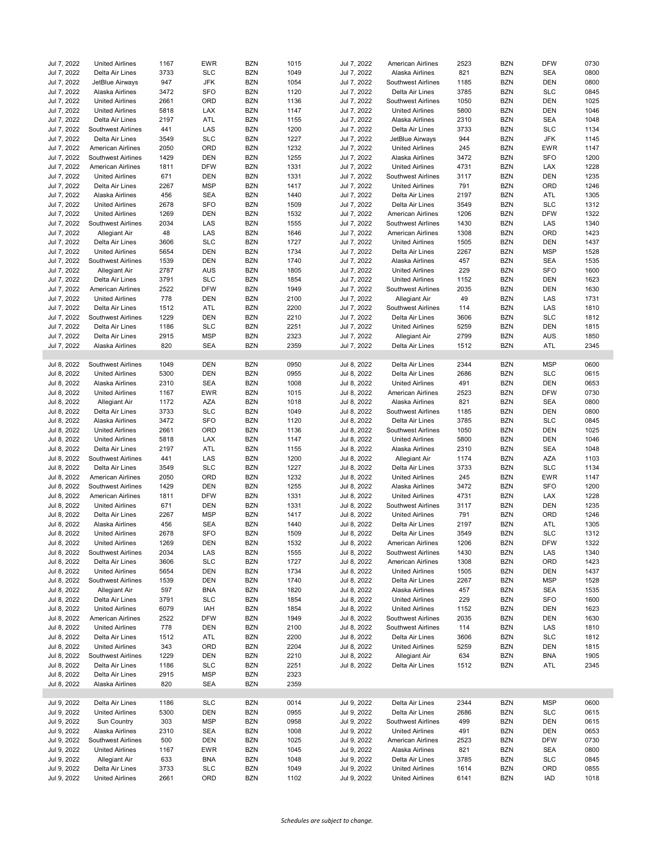| Jul 7, 2022                | <b>United Airlines</b>                    | 1167         | <b>EWR</b>        | <b>BZN</b>               | 1015         | Jul 7, 2022                | American Airlines                                | 2523         | <b>BZN</b>               | <b>DFW</b>        | 0730         |
|----------------------------|-------------------------------------------|--------------|-------------------|--------------------------|--------------|----------------------------|--------------------------------------------------|--------------|--------------------------|-------------------|--------------|
| Jul 7, 2022                | Delta Air Lines                           | 3733         | <b>SLC</b>        | <b>BZN</b>               | 1049         | Jul 7, 2022                | Alaska Airlines                                  | 821          | <b>BZN</b>               | <b>SEA</b>        | 0800         |
| Jul 7, 2022                | JetBlue Airways                           | 947          | <b>JFK</b>        | <b>BZN</b>               | 1054         | Jul 7, 2022                | <b>Southwest Airlines</b>                        | 1185         | <b>BZN</b>               | <b>DEN</b>        | 0800         |
| Jul 7, 2022                | Alaska Airlines                           | 3472         | <b>SFO</b>        | <b>BZN</b>               | 1120         | Jul 7, 2022                | Delta Air Lines                                  | 3785         | <b>BZN</b>               | <b>SLC</b>        | 0845         |
|                            |                                           |              |                   |                          |              |                            |                                                  |              |                          |                   |              |
| Jul 7, 2022                | <b>United Airlines</b>                    | 2661         | ORD               | <b>BZN</b>               | 1136         | Jul 7, 2022                | Southwest Airlines                               | 1050         | <b>BZN</b>               | <b>DEN</b>        | 1025         |
| Jul 7, 2022                | <b>United Airlines</b>                    | 5818         | LAX               | <b>BZN</b>               | 1147         | Jul 7, 2022                | <b>United Airlines</b>                           | 5800         | <b>BZN</b>               | <b>DEN</b>        | 1046         |
| Jul 7, 2022                | Delta Air Lines                           | 2197         | ATL               | <b>BZN</b>               | 1155         | Jul 7, 2022                | Alaska Airlines                                  | 2310         | <b>BZN</b>               | <b>SEA</b>        | 1048         |
| Jul 7, 2022                | <b>Southwest Airlines</b>                 | 441          | LAS               | <b>BZN</b>               | 1200         | Jul 7, 2022                | Delta Air Lines                                  | 3733         | <b>BZN</b>               | <b>SLC</b>        | 1134         |
| Jul 7, 2022                | Delta Air Lines                           | 3549         | <b>SLC</b>        | <b>BZN</b>               | 1227         | Jul 7, 2022                | JetBlue Airways                                  | 944          | <b>BZN</b>               | <b>JFK</b>        | 1145         |
| Jul 7, 2022                | <b>American Airlines</b>                  | 2050         | ORD               | <b>BZN</b>               | 1232         | Jul 7, 2022                | <b>United Airlines</b>                           | 245          | <b>BZN</b>               | <b>EWR</b>        | 1147         |
| Jul 7, 2022                | Southwest Airlines                        | 1429         | <b>DEN</b>        | <b>BZN</b>               | 1255         | Jul 7, 2022                | Alaska Airlines                                  | 3472         | <b>BZN</b>               | <b>SFO</b>        | 1200         |
| Jul 7, 2022                | American Airlines                         | 1811         | <b>DFW</b>        | <b>BZN</b>               | 1331         | Jul 7, 2022                | <b>United Airlines</b>                           | 4731         | <b>BZN</b>               | LAX               | 1228         |
|                            |                                           |              |                   | <b>BZN</b>               | 1331         | Jul 7, 2022                | Southwest Airlines                               |              |                          | <b>DEN</b>        | 1235         |
| Jul 7, 2022                | <b>United Airlines</b>                    | 671          | <b>DEN</b>        |                          |              |                            |                                                  | 3117         | <b>BZN</b>               |                   |              |
| Jul 7, 2022                | Delta Air Lines                           | 2267         | <b>MSP</b>        | <b>BZN</b>               | 1417         | Jul 7, 2022                | <b>United Airlines</b>                           | 791          | <b>BZN</b>               | ORD               | 1246         |
| Jul 7, 2022                | Alaska Airlines                           | 456          | <b>SEA</b>        | <b>BZN</b>               | 1440         | Jul 7, 2022                | Delta Air Lines                                  | 2197         | <b>BZN</b>               | ATL               | 1305         |
| Jul 7, 2022                | <b>United Airlines</b>                    | 2678         | <b>SFO</b>        | <b>BZN</b>               | 1509         | Jul 7, 2022                | Delta Air Lines                                  | 3549         | <b>BZN</b>               | <b>SLC</b>        | 1312         |
| Jul 7, 2022                | <b>United Airlines</b>                    | 1269         | <b>DEN</b>        | <b>BZN</b>               | 1532         | Jul 7, 2022                | American Airlines                                | 1206         | <b>BZN</b>               | <b>DFW</b>        | 1322         |
| Jul 7, 2022                | Southwest Airlines                        | 2034         | LAS               | <b>BZN</b>               | 1555         | Jul 7, 2022                | Southwest Airlines                               | 1430         | <b>BZN</b>               | LAS               | 1340         |
| Jul 7, 2022                | <b>Allegiant Air</b>                      | 48           | LAS               | <b>BZN</b>               | 1646         | Jul 7, 2022                | American Airlines                                | 1308         | <b>BZN</b>               | ORD               | 1423         |
| Jul 7, 2022                | Delta Air Lines                           | 3606         | <b>SLC</b>        | <b>BZN</b>               | 1727         | Jul 7, 2022                | <b>United Airlines</b>                           | 1505         | <b>BZN</b>               | <b>DEN</b>        | 1437         |
|                            |                                           |              |                   |                          |              |                            |                                                  |              |                          |                   |              |
| Jul 7, 2022                | <b>United Airlines</b>                    | 5654         | <b>DEN</b>        | <b>BZN</b>               | 1734         | Jul 7, 2022                | Delta Air Lines                                  | 2267         | <b>BZN</b>               | <b>MSP</b>        | 1528         |
| Jul 7, 2022                | Southwest Airlines                        | 1539         | <b>DEN</b>        | <b>BZN</b>               | 1740         | Jul 7, 2022                | Alaska Airlines                                  | 457          | <b>BZN</b>               | <b>SEA</b>        | 1535         |
| Jul 7, 2022                | <b>Allegiant Air</b>                      | 2787         | <b>AUS</b>        | <b>BZN</b>               | 1805         | Jul 7, 2022                | <b>United Airlines</b>                           | 229          | <b>BZN</b>               | <b>SFO</b>        | 1600         |
| Jul 7, 2022                | Delta Air Lines                           | 3791         | <b>SLC</b>        | <b>BZN</b>               | 1854         | Jul 7, 2022                | <b>United Airlines</b>                           | 1152         | <b>BZN</b>               | <b>DEN</b>        | 1623         |
| Jul 7, 2022                | American Airlines                         | 2522         | <b>DFW</b>        | <b>BZN</b>               | 1949         | Jul 7, 2022                | <b>Southwest Airlines</b>                        | 2035         | <b>BZN</b>               | <b>DEN</b>        | 1630         |
| Jul 7, 2022                | <b>United Airlines</b>                    | 778          | <b>DEN</b>        | <b>BZN</b>               | 2100         | Jul 7, 2022                | <b>Allegiant Air</b>                             | 49           | <b>BZN</b>               | LAS               | 1731         |
| Jul 7, 2022                | Delta Air Lines                           | 1512         | ATL               | <b>BZN</b>               | 2200         | Jul 7, 2022                | <b>Southwest Airlines</b>                        | 114          | <b>BZN</b>               | LAS               | 1810         |
|                            |                                           |              |                   |                          |              |                            |                                                  |              |                          |                   |              |
| Jul 7, 2022                | <b>Southwest Airlines</b>                 | 1229         | <b>DEN</b>        | <b>BZN</b>               | 2210         | Jul 7, 2022                | Delta Air Lines                                  | 3606         | <b>BZN</b>               | <b>SLC</b>        | 1812         |
| Jul 7, 2022                | Delta Air Lines                           | 1186         | <b>SLC</b>        | <b>BZN</b>               | 2251         | Jul 7, 2022                | <b>United Airlines</b>                           | 5259         | <b>BZN</b>               | DEN               | 1815         |
| Jul 7, 2022                | Delta Air Lines                           | 2915         | <b>MSP</b>        | <b>BZN</b>               | 2323         | Jul 7, 2022                | Allegiant Air                                    | 2799         | <b>BZN</b>               | <b>AUS</b>        | 1850         |
| Jul 7, 2022                | Alaska Airlines                           | 820          | <b>SEA</b>        | <b>BZN</b>               | 2359         | Jul 7, 2022                | Delta Air Lines                                  | 1512         | <b>BZN</b>               | ATL               | 2345         |
|                            |                                           |              |                   |                          |              |                            |                                                  |              |                          |                   |              |
| Jul 8, 2022                | <b>Southwest Airlines</b>                 | 1049         | <b>DEN</b>        | <b>BZN</b>               | 0950         | Jul 8, 2022                | Delta Air Lines                                  | 2344         | <b>BZN</b>               | <b>MSP</b>        | 0600         |
| Jul 8, 2022                | <b>United Airlines</b>                    | 5300         | <b>DEN</b>        | <b>BZN</b>               | 0955         | Jul 8, 2022                | Delta Air Lines                                  | 2686         | <b>BZN</b>               | <b>SLC</b>        | 0615         |
| Jul 8, 2022                | Alaska Airlines                           | 2310         | <b>SEA</b>        | <b>BZN</b>               | 1008         | Jul 8, 2022                | <b>United Airlines</b>                           | 491          | <b>BZN</b>               | <b>DEN</b>        | 0653         |
| Jul 8, 2022                | <b>United Airlines</b>                    | 1167         | <b>EWR</b>        | <b>BZN</b>               | 1015         | Jul 8, 2022                | American Airlines                                | 2523         | <b>BZN</b>               | <b>DFW</b>        | 0730         |
|                            |                                           |              |                   |                          |              |                            |                                                  |              |                          |                   |              |
| Jul 8, 2022                | Allegiant Air                             | 1172         | AZA               | <b>BZN</b>               | 1018         | Jul 8, 2022                | Alaska Airlines                                  | 821          | <b>BZN</b>               | <b>SEA</b>        | 0800         |
| Jul 8, 2022                | Delta Air Lines                           | 3733         | <b>SLC</b>        | <b>BZN</b>               | 1049         | Jul 8, 2022                | <b>Southwest Airlines</b>                        | 1185         | <b>BZN</b>               | <b>DEN</b>        | 0800         |
| Jul 8, 2022                | Alaska Airlines                           | 3472         | <b>SFO</b>        | <b>BZN</b>               | 1120         | Jul 8, 2022                | Delta Air Lines                                  | 3785         | <b>BZN</b>               | <b>SLC</b>        | 0845         |
| Jul 8, 2022                | <b>United Airlines</b>                    | 2661         | ORD               | <b>BZN</b>               | 1136         | Jul 8, 2022                | Southwest Airlines                               | 1050         | <b>BZN</b>               | <b>DEN</b>        | 1025         |
| Jul 8, 2022                | <b>United Airlines</b>                    | 5818         | LAX               | <b>BZN</b>               | 1147         | Jul 8, 2022                | <b>United Airlines</b>                           | 5800         | <b>BZN</b>               | <b>DEN</b>        | 1046         |
| Jul 8, 2022                | Delta Air Lines                           | 2197         | ATL               | <b>BZN</b>               | 1155         | Jul 8, 2022                | Alaska Airlines                                  | 2310         | <b>BZN</b>               | <b>SEA</b>        | 1048         |
| Jul 8, 2022                | Southwest Airlines                        | 441          | LAS               | <b>BZN</b>               | 1200         | Jul 8, 2022                | Allegiant Air                                    | 1174         | <b>BZN</b>               | <b>AZA</b>        | 1103         |
|                            |                                           |              |                   |                          |              |                            |                                                  |              |                          |                   |              |
| Jul 8, 2022                | Delta Air Lines                           | 3549         | <b>SLC</b>        | <b>BZN</b>               | 1227         | Jul 8, 2022                | Delta Air Lines                                  | 3733         | <b>BZN</b>               | <b>SLC</b>        | 1134         |
| Jul 8, 2022                | American Airlines                         | 2050         | ORD               | <b>BZN</b>               | 1232         | Jul 8, 2022                | <b>United Airlines</b>                           | 245          | <b>BZN</b>               | <b>EWR</b>        | 1147         |
| Jul 8, 2022                | <b>Southwest Airlines</b>                 | 1429         | <b>DEN</b>        | <b>BZN</b>               | 1255         | Jul 8, 2022                | Alaska Airlines                                  | 3472         | <b>BZN</b>               | <b>SFO</b>        | 1200         |
| Jul 8, 2022                | American Airlines                         | 1811         | <b>DFW</b>        | <b>BZN</b>               | 1331         | Jul 8, 2022                | <b>United Airlines</b>                           | 4731         | <b>BZN</b>               | LAX               | 1228         |
| Jul 8, 2022                | <b>United Airlines</b>                    | 671          | <b>DEN</b>        | <b>BZN</b>               | 1331         | Jul 8, 2022                | <b>Southwest Airlines</b>                        | 3117         | <b>BZN</b>               | <b>DEN</b>        | 1235         |
| Jul 8, 2022                | Delta Air Lines                           | 2267         | <b>MSP</b>        | <b>BZN</b>               | 1417         | Jul 8, 2022                | <b>United Airlines</b>                           | 791          | <b>BZN</b>               | ORD               | 1246         |
| Jul 8, 2022                | Alaska Airlines                           | 456          | <b>SEA</b>        | <b>BZN</b>               | 1440         | Jul 8, 2022                | Delta Air Lines                                  | 2197         | <b>BZN</b>               | ATL               | 1305         |
| Jul 8, 2022                | <b>United Airlines</b>                    | 2678         | <b>SFO</b>        | <b>BZN</b>               | 1509         | Jul 8, 2022                | Delta Air Lines                                  | 3549         | <b>BZN</b>               | <b>SLC</b>        | 1312         |
|                            |                                           |              |                   |                          |              |                            |                                                  |              |                          |                   |              |
| Jul 8, 2022                | <b>United Airlines</b>                    | 1269         | DEN               | <b>BZN</b>               | 1532         | Jul 8, 2022                | American Airlines                                | 1206         | <b>BZN</b>               | <b>DFW</b>        | 1322         |
| Jul 8, 2022                | Southwest Airlines                        | 2034         | LAS               | <b>BZN</b>               | 1555         | Jul 8, 2022                | Southwest Airlines                               | 1430         | <b>BZN</b>               | LAS               | 1340         |
| Jul 8, 2022                | Delta Air Lines                           | 3606         | <b>SLC</b>        | <b>BZN</b>               | 1727         | Jul 8, 2022                | American Airlines                                | 1308         | <b>BZN</b>               | ORD               | 1423         |
| Jul 8, 2022                | <b>United Airlines</b>                    | 5654         | <b>DEN</b>        | <b>BZN</b>               | 1734         | Jul 8, 2022                | <b>United Airlines</b>                           | 1505         | <b>BZN</b>               | DEN               | 1437         |
| Jul 8, 2022                | Southwest Airlines                        | 1539         | <b>DEN</b>        | <b>BZN</b>               | 1740         | Jul 8, 2022                | Delta Air Lines                                  | 2267         | <b>BZN</b>               | <b>MSP</b>        | 1528         |
| Jul 8, 2022                | Allegiant Air                             | 597          | <b>BNA</b>        | <b>BZN</b>               | 1820         | Jul 8, 2022                | Alaska Airlines                                  | 457          | <b>BZN</b>               | <b>SEA</b>        | 1535         |
| Jul 8, 2022                | Delta Air Lines                           | 3791         | <b>SLC</b>        | BZN                      | 1854         | Jul 8, 2022                | <b>United Airlines</b>                           | 229          | BZN                      | SFO               | 1600         |
| Jul 8, 2022                | <b>United Airlines</b>                    | 6079         | IAH               | <b>BZN</b>               | 1854         | Jul 8, 2022                | <b>United Airlines</b>                           | 1152         | <b>BZN</b>               | <b>DEN</b>        | 1623         |
|                            |                                           |              |                   |                          |              |                            |                                                  |              |                          |                   |              |
| Jul 8, 2022                | American Airlines                         | 2522         | <b>DFW</b>        | <b>BZN</b>               | 1949         | Jul 8, 2022                | Southwest Airlines                               | 2035         | <b>BZN</b>               | DEN               | 1630         |
| Jul 8, 2022                | <b>United Airlines</b>                    | 778          | <b>DEN</b>        | <b>BZN</b>               | 2100         | Jul 8, 2022                | Southwest Airlines                               | 114          | <b>BZN</b>               | LAS               | 1810         |
| Jul 8, 2022                | Delta Air Lines                           | 1512         | ATL               | <b>BZN</b>               | 2200         | Jul 8, 2022                | Delta Air Lines                                  | 3606         | <b>BZN</b>               | <b>SLC</b>        | 1812         |
| Jul 8, 2022                | <b>United Airlines</b>                    | 343          | ORD               | <b>BZN</b>               | 2204         | Jul 8, 2022                | <b>United Airlines</b>                           | 5259         | <b>BZN</b>               | DEN               | 1815         |
| Jul 8, 2022                | Southwest Airlines                        | 1229         | <b>DEN</b>        | <b>BZN</b>               | 2210         | Jul 8, 2022                | Allegiant Air                                    | 634          | <b>BZN</b>               | <b>BNA</b>        | 1905         |
| Jul 8, 2022                | Delta Air Lines                           | 1186         | <b>SLC</b>        | <b>BZN</b>               | 2251         | Jul 8, 2022                | Delta Air Lines                                  | 1512         | <b>BZN</b>               | ATL               | 2345         |
| Jul 8, 2022                | Delta Air Lines                           | 2915         | <b>MSP</b>        | <b>BZN</b>               | 2323         |                            |                                                  |              |                          |                   |              |
| Jul 8, 2022                |                                           |              | <b>SEA</b>        | <b>BZN</b>               | 2359         |                            |                                                  |              |                          |                   |              |
|                            |                                           |              |                   |                          |              |                            |                                                  |              |                          |                   |              |
|                            | Alaska Airlines                           | 820          |                   |                          |              |                            |                                                  |              |                          |                   |              |
|                            |                                           |              |                   |                          |              |                            |                                                  |              |                          |                   |              |
| Jul 9, 2022                | Delta Air Lines                           | 1186         | <b>SLC</b>        | <b>BZN</b>               | 0014         | Jul 9, 2022                | Delta Air Lines                                  | 2344         | <b>BZN</b>               | <b>MSP</b>        | 0600         |
| Jul 9, 2022                | <b>United Airlines</b>                    | 5300         | <b>DEN</b>        | <b>BZN</b>               | 0955         | Jul 9, 2022                | Delta Air Lines                                  | 2686         | <b>BZN</b>               | <b>SLC</b>        | 0615         |
| Jul 9, 2022                | Sun Country                               | 303          | <b>MSP</b>        | <b>BZN</b>               | 0958         | Jul 9, 2022                | Southwest Airlines                               | 499          | <b>BZN</b>               | DEN               | 0615         |
| Jul 9, 2022                | Alaska Airlines                           | 2310         | <b>SEA</b>        | <b>BZN</b>               | 1008         | Jul 9, 2022                | <b>United Airlines</b>                           | 491          | <b>BZN</b>               | DEN               | 0653         |
| Jul 9, 2022                | Southwest Airlines                        |              | <b>DEN</b>        |                          | 1025         | Jul 9, 2022                | American Airlines                                |              | <b>BZN</b>               |                   | 0730         |
|                            |                                           | 500          |                   | <b>BZN</b>               |              |                            |                                                  | 2523         |                          | <b>DFW</b>        |              |
| Jul 9, 2022                | <b>United Airlines</b>                    | 1167         | EWR               | <b>BZN</b>               | 1045         | Jul 9, 2022                | Alaska Airlines                                  | 821          | <b>BZN</b>               | SEA               | 0800         |
| Jul 9, 2022                | Allegiant Air                             | 633          | <b>BNA</b>        | <b>BZN</b>               | 1048         | Jul 9, 2022                | Delta Air Lines                                  | 3785         | <b>BZN</b>               | <b>SLC</b>        | 0845         |
| Jul 9, 2022<br>Jul 9, 2022 | Delta Air Lines<br><b>United Airlines</b> | 3733<br>2661 | <b>SLC</b><br>ORD | <b>BZN</b><br><b>BZN</b> | 1049<br>1102 | Jul 9, 2022<br>Jul 9, 2022 | <b>United Airlines</b><br><b>United Airlines</b> | 1614<br>6141 | <b>BZN</b><br><b>BZN</b> | ORD<br><b>IAD</b> | 0855<br>1018 |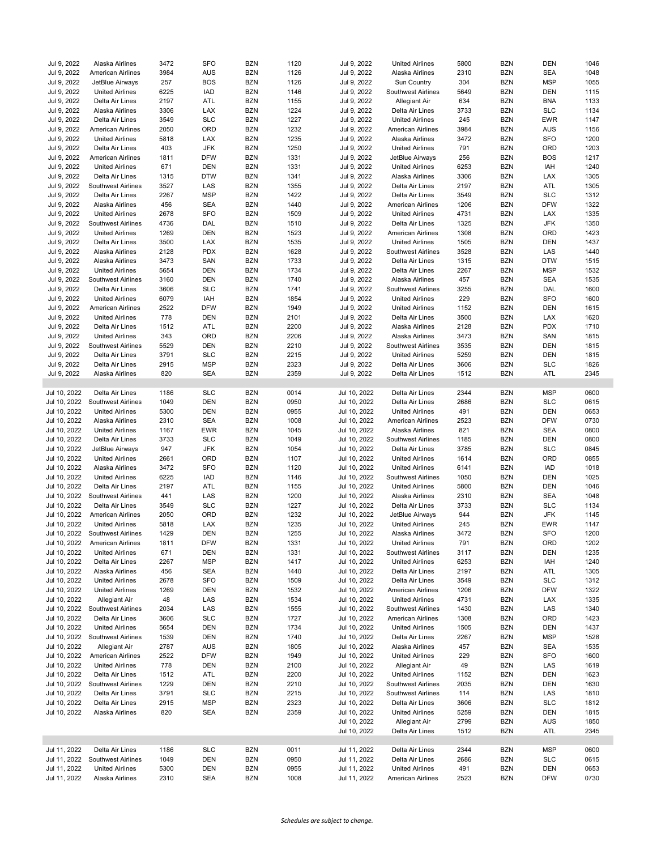| Jul 9, 2022  | Alaska Airlines           | 3472 | <b>SFO</b> | <b>BZN</b> | 1120 | Jul 9, 2022  | <b>United Airlines</b>    | 5800 | <b>BZN</b> | <b>DEN</b> | 1046 |
|--------------|---------------------------|------|------------|------------|------|--------------|---------------------------|------|------------|------------|------|
| Jul 9, 2022  | American Airlines         | 3984 | <b>AUS</b> | <b>BZN</b> | 1126 | Jul 9, 2022  | Alaska Airlines           | 2310 | <b>BZN</b> | <b>SEA</b> | 1048 |
| Jul 9, 2022  | JetBlue Airways           | 257  | <b>BOS</b> | <b>BZN</b> | 1126 | Jul 9, 2022  | <b>Sun Country</b>        | 304  | <b>BZN</b> | <b>MSP</b> | 1055 |
| Jul 9, 2022  | <b>United Airlines</b>    | 6225 | <b>IAD</b> | <b>BZN</b> | 1146 | Jul 9, 2022  | Southwest Airlines        | 5649 | <b>BZN</b> | <b>DEN</b> | 1115 |
| Jul 9, 2022  | Delta Air Lines           | 2197 | ATL        | <b>BZN</b> | 1155 | Jul 9, 2022  | Allegiant Air             | 634  | <b>BZN</b> | <b>BNA</b> | 1133 |
| Jul 9, 2022  | Alaska Airlines           | 3306 | LAX        | <b>BZN</b> | 1224 | Jul 9, 2022  | Delta Air Lines           | 3733 | <b>BZN</b> | <b>SLC</b> | 1134 |
| Jul 9, 2022  | Delta Air Lines           | 3549 | <b>SLC</b> | <b>BZN</b> | 1227 | Jul 9, 2022  | <b>United Airlines</b>    | 245  | <b>BZN</b> | <b>EWR</b> | 1147 |
| Jul 9, 2022  | American Airlines         | 2050 | ORD        | <b>BZN</b> | 1232 | Jul 9, 2022  | <b>American Airlines</b>  | 3984 | <b>BZN</b> | <b>AUS</b> | 1156 |
| Jul 9, 2022  | <b>United Airlines</b>    | 5818 | LAX        | <b>BZN</b> | 1235 | Jul 9, 2022  | Alaska Airlines           | 3472 | <b>BZN</b> | <b>SFO</b> | 1200 |
| Jul 9, 2022  | Delta Air Lines           | 403  | <b>JFK</b> | <b>BZN</b> | 1250 | Jul 9, 2022  | <b>United Airlines</b>    | 791  | <b>BZN</b> | ORD        | 1203 |
| Jul 9, 2022  | American Airlines         | 1811 | <b>DFW</b> | <b>BZN</b> | 1331 | Jul 9, 2022  | JetBlue Airways           | 256  | <b>BZN</b> | <b>BOS</b> | 1217 |
| Jul 9, 2022  | <b>United Airlines</b>    | 671  | <b>DEN</b> | <b>BZN</b> | 1331 | Jul 9, 2022  | <b>United Airlines</b>    | 6253 | <b>BZN</b> | IAH        | 1240 |
| Jul 9, 2022  | Delta Air Lines           | 1315 | <b>DTW</b> | <b>BZN</b> | 1341 | Jul 9, 2022  | Alaska Airlines           | 3306 | <b>BZN</b> | LAX        | 1305 |
| Jul 9, 2022  | <b>Southwest Airlines</b> | 3527 | LAS        | <b>BZN</b> | 1355 | Jul 9, 2022  | Delta Air Lines           | 2197 | <b>BZN</b> | ATL        | 1305 |
| Jul 9, 2022  | Delta Air Lines           | 2267 | <b>MSP</b> | <b>BZN</b> | 1422 | Jul 9, 2022  | Delta Air Lines           | 3549 | <b>BZN</b> | <b>SLC</b> | 1312 |
| Jul 9, 2022  | Alaska Airlines           | 456  | <b>SEA</b> | <b>BZN</b> | 1440 | Jul 9, 2022  | <b>American Airlines</b>  | 1206 | <b>BZN</b> | <b>DFW</b> | 1322 |
| Jul 9, 2022  | <b>United Airlines</b>    | 2678 | <b>SFO</b> | <b>BZN</b> | 1509 | Jul 9, 2022  | <b>United Airlines</b>    | 4731 | <b>BZN</b> | <b>LAX</b> | 1335 |
| Jul 9, 2022  | Southwest Airlines        | 4736 | DAL        | <b>BZN</b> | 1510 | Jul 9, 2022  | Delta Air Lines           | 1325 | <b>BZN</b> | <b>JFK</b> | 1350 |
| Jul 9, 2022  | <b>United Airlines</b>    | 1269 | <b>DEN</b> | <b>BZN</b> | 1523 | Jul 9, 2022  | American Airlines         | 1308 | <b>BZN</b> | ORD        | 1423 |
| Jul 9, 2022  | Delta Air Lines           | 3500 | LAX        | <b>BZN</b> | 1535 | Jul 9, 2022  | <b>United Airlines</b>    | 1505 | <b>BZN</b> | <b>DEN</b> | 1437 |
| Jul 9, 2022  | Alaska Airlines           | 2128 | <b>PDX</b> | <b>BZN</b> | 1628 | Jul 9, 2022  | <b>Southwest Airlines</b> | 3528 | <b>BZN</b> | LAS        | 1440 |
| Jul 9, 2022  | Alaska Airlines           | 3473 | SAN        | <b>BZN</b> | 1733 | Jul 9, 2022  | Delta Air Lines           | 1315 | <b>BZN</b> | <b>DTW</b> | 1515 |
| Jul 9, 2022  | <b>United Airlines</b>    | 5654 | <b>DEN</b> | <b>BZN</b> | 1734 | Jul 9, 2022  | Delta Air Lines           | 2267 | <b>BZN</b> | <b>MSP</b> | 1532 |
| Jul 9, 2022  | Southwest Airlines        | 3160 | <b>DEN</b> | <b>BZN</b> | 1740 | Jul 9, 2022  | Alaska Airlines           | 457  | <b>BZN</b> | <b>SEA</b> | 1535 |
| Jul 9, 2022  | Delta Air Lines           | 3606 | <b>SLC</b> | <b>BZN</b> | 1741 | Jul 9, 2022  | <b>Southwest Airlines</b> | 3255 | <b>BZN</b> | DAL        | 1600 |
| Jul 9, 2022  | <b>United Airlines</b>    | 6079 | IAH        | <b>BZN</b> | 1854 | Jul 9, 2022  | <b>United Airlines</b>    | 229  | <b>BZN</b> | <b>SFO</b> | 1600 |
| Jul 9, 2022  | American Airlines         | 2522 | <b>DFW</b> | <b>BZN</b> | 1949 | Jul 9, 2022  | <b>United Airlines</b>    | 1152 | <b>BZN</b> | <b>DEN</b> | 1615 |
| Jul 9, 2022  | <b>United Airlines</b>    | 778  | <b>DEN</b> | <b>BZN</b> | 2101 | Jul 9, 2022  | Delta Air Lines           | 3500 | <b>BZN</b> | <b>LAX</b> | 1620 |
| Jul 9, 2022  | Delta Air Lines           | 1512 | ATL        | <b>BZN</b> | 2200 | Jul 9, 2022  | Alaska Airlines           | 2128 | <b>BZN</b> | <b>PDX</b> | 1710 |
| Jul 9, 2022  | <b>United Airlines</b>    | 343  | ORD        | <b>BZN</b> | 2206 | Jul 9, 2022  | Alaska Airlines           | 3473 | <b>BZN</b> | SAN        | 1815 |
| Jul 9, 2022  | Southwest Airlines        | 5529 | <b>DEN</b> | <b>BZN</b> | 2210 | Jul 9, 2022  | Southwest Airlines        | 3535 | <b>BZN</b> | <b>DEN</b> | 1815 |
| Jul 9, 2022  | Delta Air Lines           | 3791 | <b>SLC</b> | <b>BZN</b> | 2215 | Jul 9, 2022  | <b>United Airlines</b>    | 5259 | <b>BZN</b> | DEN        | 1815 |
| Jul 9, 2022  | Delta Air Lines           | 2915 | <b>MSP</b> | <b>BZN</b> | 2323 | Jul 9, 2022  | Delta Air Lines           | 3606 | <b>BZN</b> | <b>SLC</b> | 1826 |
|              |                           |      | <b>SEA</b> | <b>BZN</b> | 2359 |              |                           | 1512 | <b>BZN</b> | ATL        | 2345 |
| Jul 9, 2022  | Alaska Airlines           | 820  |            |            |      | Jul 9, 2022  | Delta Air Lines           |      |            |            |      |
|              |                           |      |            |            |      |              |                           |      |            |            |      |
| Jul 10, 2022 | Delta Air Lines           | 1186 | <b>SLC</b> | <b>BZN</b> | 0014 | Jul 10, 2022 | Delta Air Lines           | 2344 | <b>BZN</b> | <b>MSP</b> | 0600 |
| Jul 10, 2022 | Southwest Airlines        | 1049 | <b>DEN</b> | <b>BZN</b> | 0950 | Jul 10, 2022 | Delta Air Lines           | 2686 | <b>BZN</b> | <b>SLC</b> | 0615 |
| Jul 10, 2022 | <b>United Airlines</b>    | 5300 | <b>DEN</b> | <b>BZN</b> | 0955 | Jul 10, 2022 | <b>United Airlines</b>    | 491  | <b>BZN</b> | <b>DEN</b> | 0653 |
| Jul 10, 2022 | Alaska Airlines           | 2310 | <b>SEA</b> | <b>BZN</b> | 1008 | Jul 10, 2022 | American Airlines         | 2523 | <b>BZN</b> | <b>DFW</b> | 0730 |
| Jul 10, 2022 | <b>United Airlines</b>    | 1167 | EWR        | <b>BZN</b> | 1045 | Jul 10, 2022 | Alaska Airlines           | 821  | <b>BZN</b> | <b>SEA</b> | 0800 |
| Jul 10, 2022 | Delta Air Lines           | 3733 | <b>SLC</b> | <b>BZN</b> | 1049 | Jul 10, 2022 | Southwest Airlines        | 1185 | <b>BZN</b> | <b>DEN</b> | 0800 |
| Jul 10, 2022 | JetBlue Airways           | 947  | JFK        | <b>BZN</b> | 1054 | Jul 10, 2022 | Delta Air Lines           | 3785 | <b>BZN</b> | <b>SLC</b> | 0845 |
| Jul 10, 2022 | <b>United Airlines</b>    | 2661 | ORD        | <b>BZN</b> | 1107 | Jul 10, 2022 | <b>United Airlines</b>    | 1614 | <b>BZN</b> | ORD        | 0855 |
| Jul 10, 2022 | Alaska Airlines           | 3472 | <b>SFO</b> | <b>BZN</b> | 1120 | Jul 10, 2022 | <b>United Airlines</b>    | 6141 | <b>BZN</b> | <b>IAD</b> | 1018 |
| Jul 10, 2022 | <b>United Airlines</b>    | 6225 | <b>IAD</b> | <b>BZN</b> | 1146 | Jul 10, 2022 | <b>Southwest Airlines</b> | 1050 | <b>BZN</b> | <b>DEN</b> | 1025 |
| Jul 10, 2022 | Delta Air Lines           | 2197 | ATL        | <b>BZN</b> | 1155 | Jul 10, 2022 | <b>United Airlines</b>    | 5800 | <b>BZN</b> | <b>DEN</b> | 1046 |
| Jul 10, 2022 | Southwest Airlines        | 441  | LAS        | <b>BZN</b> | 1200 | Jul 10, 2022 | Alaska Airlines           | 2310 | <b>BZN</b> | <b>SEA</b> | 1048 |
| Jul 10, 2022 | Delta Air Lines           | 3549 | <b>SLC</b> | <b>BZN</b> | 1227 | Jul 10, 2022 | Delta Air Lines           | 3733 | <b>BZN</b> | <b>SLC</b> | 1134 |
| Jul 10, 2022 | American Airlines         | 2050 | ORD        | <b>BZN</b> | 1232 | Jul 10, 2022 | JetBlue Airways           | 944  | <b>BZN</b> | <b>JFK</b> | 1145 |
| Jul 10, 2022 | <b>United Airlines</b>    | 5818 | LAX        | <b>BZN</b> | 1235 | Jul 10, 2022 | <b>United Airlines</b>    | 245  | <b>BZN</b> | <b>EWR</b> | 1147 |
| Jul 10, 2022 | <b>Southwest Airlines</b> | 1429 | <b>DEN</b> | <b>BZN</b> | 1255 | Jul 10, 2022 | Alaska Airlines           | 3472 | <b>BZN</b> | <b>SFO</b> | 1200 |
| Jul 10, 2022 | <b>American Airlines</b>  | 1811 | <b>DFW</b> | <b>BZN</b> | 1331 | Jul 10, 2022 | United Airlines           | 791  | BZN        | ORD        | 1202 |
| Jul 10, 2022 | <b>United Airlines</b>    | 671  | <b>DEN</b> | <b>BZN</b> | 1331 | Jul 10, 2022 | Southwest Airlines        | 3117 | <b>BZN</b> | <b>DEN</b> | 1235 |
| Jul 10, 2022 | Delta Air Lines           | 2267 | <b>MSP</b> | <b>BZN</b> | 1417 | Jul 10, 2022 | <b>United Airlines</b>    | 6253 | <b>BZN</b> | IAH        | 1240 |
| Jul 10, 2022 | Alaska Airlines           | 456  | <b>SEA</b> | <b>BZN</b> | 1440 | Jul 10, 2022 | Delta Air Lines           | 2197 | <b>BZN</b> | ATL        | 1305 |
| Jul 10, 2022 | <b>United Airlines</b>    | 2678 | <b>SFO</b> | <b>BZN</b> | 1509 | Jul 10, 2022 | Delta Air Lines           | 3549 | <b>BZN</b> | <b>SLC</b> | 1312 |
| Jul 10, 2022 | <b>United Airlines</b>    | 1269 | DEN        | <b>BZN</b> | 1532 | Jul 10, 2022 | American Airlines         | 1206 | <b>BZN</b> | <b>DFW</b> | 1322 |
| Jul 10, 2022 | <b>Allegiant Air</b>      | 48   | LAS        | <b>BZN</b> | 1534 | Jul 10, 2022 | <b>United Airlines</b>    | 4731 | BZN        | LAX        | 1335 |
| Jul 10, 2022 | Southwest Airlines        | 2034 | LAS        | <b>BZN</b> | 1555 | Jul 10, 2022 | <b>Southwest Airlines</b> | 1430 | <b>BZN</b> | LAS        | 1340 |
| Jul 10, 2022 | Delta Air Lines           | 3606 | <b>SLC</b> | <b>BZN</b> | 1727 | Jul 10, 2022 | American Airlines         | 1308 | <b>BZN</b> | ORD        | 1423 |
| Jul 10, 2022 | <b>United Airlines</b>    | 5654 | <b>DEN</b> | <b>BZN</b> | 1734 | Jul 10, 2022 | <b>United Airlines</b>    | 1505 | <b>BZN</b> | DEN        | 1437 |
| Jul 10, 2022 | Southwest Airlines        | 1539 | <b>DEN</b> | <b>BZN</b> | 1740 | Jul 10, 2022 | Delta Air Lines           | 2267 | <b>BZN</b> | <b>MSP</b> | 1528 |
| Jul 10, 2022 | Allegiant Air             | 2787 | <b>AUS</b> | <b>BZN</b> | 1805 | Jul 10, 2022 | Alaska Airlines           | 457  | <b>BZN</b> | SEA        | 1535 |
| Jul 10, 2022 | <b>American Airlines</b>  | 2522 | <b>DFW</b> | <b>BZN</b> | 1949 | Jul 10, 2022 | <b>United Airlines</b>    | 229  | <b>BZN</b> | <b>SFO</b> | 1600 |
| Jul 10, 2022 | <b>United Airlines</b>    | 778  | DEN        | <b>BZN</b> | 2100 | Jul 10, 2022 | Allegiant Air             | 49   | BZN        | LAS        | 1619 |
| Jul 10, 2022 | Delta Air Lines           | 1512 | ATL        | <b>BZN</b> | 2200 | Jul 10, 2022 | <b>United Airlines</b>    | 1152 | <b>BZN</b> | DEN        | 1623 |
| Jul 10, 2022 | Southwest Airlines        | 1229 | DEN        | <b>BZN</b> | 2210 | Jul 10, 2022 | Southwest Airlines        | 2035 | <b>BZN</b> | <b>DEN</b> | 1630 |
| Jul 10, 2022 | Delta Air Lines           | 3791 | <b>SLC</b> | <b>BZN</b> | 2215 | Jul 10, 2022 | Southwest Airlines        | 114  | <b>BZN</b> | LAS        | 1810 |
| Jul 10, 2022 | Delta Air Lines           | 2915 | <b>MSP</b> | <b>BZN</b> | 2323 | Jul 10, 2022 | Delta Air Lines           | 3606 | BZN        | <b>SLC</b> | 1812 |
| Jul 10, 2022 | Alaska Airlines           | 820  | <b>SEA</b> | <b>BZN</b> | 2359 | Jul 10, 2022 | <b>United Airlines</b>    | 5259 | <b>BZN</b> | <b>DEN</b> | 1815 |
|              |                           |      |            |            |      | Jul 10, 2022 | Allegiant Air             | 2799 | <b>BZN</b> | AUS        | 1850 |
|              |                           |      |            |            |      | Jul 10, 2022 | Delta Air Lines           | 1512 | <b>BZN</b> | ATL        | 2345 |
|              |                           |      |            |            |      |              |                           |      |            |            |      |
| Jul 11, 2022 | Delta Air Lines           | 1186 | <b>SLC</b> | <b>BZN</b> | 0011 | Jul 11, 2022 | Delta Air Lines           | 2344 | <b>BZN</b> | <b>MSP</b> | 0600 |
| Jul 11, 2022 | Southwest Airlines        | 1049 | DEN        | <b>BZN</b> | 0950 | Jul 11, 2022 | Delta Air Lines           | 2686 | <b>BZN</b> | <b>SLC</b> | 0615 |
| Jul 11, 2022 | <b>United Airlines</b>    | 5300 | DEN        | <b>BZN</b> | 0955 | Jul 11, 2022 | <b>United Airlines</b>    | 491  | <b>BZN</b> | DEN        | 0653 |
| Jul 11, 2022 | Alaska Airlines           | 2310 | SEA        | <b>BZN</b> | 1008 | Jul 11, 2022 | American Airlines         | 2523 | <b>BZN</b> | <b>DFW</b> | 0730 |
|              |                           |      |            |            |      |              |                           |      |            |            |      |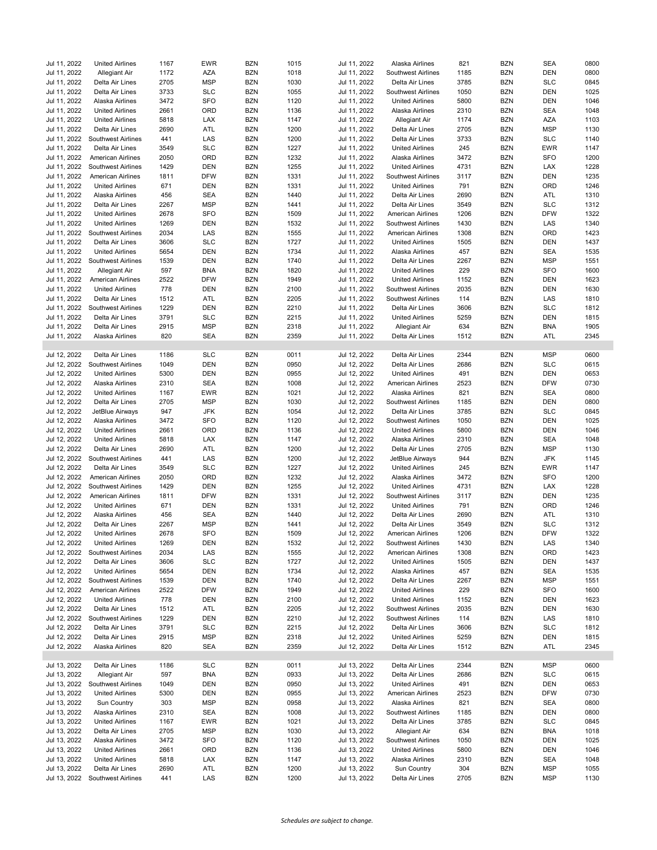| Jul 11, 2022 | <b>United Airlines</b>          | 1167 | <b>EWR</b> | <b>BZN</b> | 1015 | Jul 11, 2022 | Alaska Airlines        | 821  | <b>BZN</b> | <b>SEA</b> | 0800 |
|--------------|---------------------------------|------|------------|------------|------|--------------|------------------------|------|------------|------------|------|
| Jul 11, 2022 | <b>Allegiant Air</b>            | 1172 | AZA        | <b>BZN</b> | 1018 | Jul 11, 2022 | Southwest Airlines     | 1185 | <b>BZN</b> | <b>DEN</b> | 0800 |
| Jul 11, 2022 | Delta Air Lines                 | 2705 | <b>MSP</b> | <b>BZN</b> | 1030 | Jul 11, 2022 | Delta Air Lines        | 3785 | <b>BZN</b> | <b>SLC</b> | 0845 |
| Jul 11, 2022 | Delta Air Lines                 | 3733 | <b>SLC</b> | <b>BZN</b> | 1055 | Jul 11, 2022 | Southwest Airlines     | 1050 | <b>BZN</b> | <b>DEN</b> | 1025 |
| Jul 11, 2022 |                                 | 3472 | <b>SFO</b> | <b>BZN</b> | 1120 |              |                        | 5800 | <b>BZN</b> | <b>DEN</b> | 1046 |
|              | Alaska Airlines                 |      |            |            |      | Jul 11, 2022 | <b>United Airlines</b> |      |            |            |      |
| Jul 11, 2022 | <b>United Airlines</b>          | 2661 | ORD        | <b>BZN</b> | 1136 | Jul 11, 2022 | Alaska Airlines        | 2310 | <b>BZN</b> | <b>SEA</b> | 1048 |
| Jul 11, 2022 | <b>United Airlines</b>          | 5818 | LAX        | <b>BZN</b> | 1147 | Jul 11, 2022 | Allegiant Air          | 1174 | <b>BZN</b> | <b>AZA</b> | 1103 |
| Jul 11, 2022 | Delta Air Lines                 | 2690 | ATL        | <b>BZN</b> | 1200 | Jul 11, 2022 | Delta Air Lines        | 2705 | <b>BZN</b> | <b>MSP</b> | 1130 |
| Jul 11, 2022 | Southwest Airlines              | 441  | LAS        | <b>BZN</b> | 1200 | Jul 11, 2022 | Delta Air Lines        | 3733 | <b>BZN</b> | <b>SLC</b> | 1140 |
| Jul 11, 2022 | Delta Air Lines                 | 3549 | <b>SLC</b> | <b>BZN</b> | 1227 | Jul 11, 2022 | <b>United Airlines</b> | 245  | <b>BZN</b> | <b>EWR</b> | 1147 |
| Jul 11, 2022 | <b>American Airlines</b>        | 2050 | ORD        | <b>BZN</b> | 1232 | Jul 11, 2022 | Alaska Airlines        | 3472 | <b>BZN</b> | <b>SFO</b> | 1200 |
| Jul 11, 2022 | Southwest Airlines              | 1429 | <b>DEN</b> | <b>BZN</b> | 1255 | Jul 11, 2022 | <b>United Airlines</b> | 4731 | <b>BZN</b> | LAX        | 1228 |
| Jul 11, 2022 | <b>American Airlines</b>        | 1811 | <b>DFW</b> | <b>BZN</b> | 1331 | Jul 11, 2022 | Southwest Airlines     | 3117 | <b>BZN</b> | <b>DEN</b> | 1235 |
| Jul 11, 2022 | <b>United Airlines</b>          | 671  | <b>DEN</b> | <b>BZN</b> | 1331 | Jul 11, 2022 | <b>United Airlines</b> | 791  | <b>BZN</b> | ORD        | 1246 |
| Jul 11, 2022 | Alaska Airlines                 | 456  | <b>SEA</b> | <b>BZN</b> | 1440 | Jul 11, 2022 | Delta Air Lines        | 2690 | <b>BZN</b> | ATL        | 1310 |
| Jul 11, 2022 | Delta Air Lines                 | 2267 | <b>MSP</b> | <b>BZN</b> | 1441 | Jul 11, 2022 | Delta Air Lines        | 3549 | <b>BZN</b> | <b>SLC</b> | 1312 |
| Jul 11, 2022 | <b>United Airlines</b>          | 2678 | <b>SFO</b> | <b>BZN</b> | 1509 | Jul 11, 2022 | American Airlines      | 1206 | <b>BZN</b> | <b>DFW</b> | 1322 |
| Jul 11, 2022 | <b>United Airlines</b>          | 1269 | <b>DEN</b> | <b>BZN</b> | 1532 | Jul 11, 2022 | Southwest Airlines     | 1430 | <b>BZN</b> | LAS        | 1340 |
| Jul 11, 2022 | Southwest Airlines              | 2034 | LAS        | <b>BZN</b> | 1555 | Jul 11, 2022 | American Airlines      | 1308 | <b>BZN</b> | ORD        | 1423 |
| Jul 11, 2022 | Delta Air Lines                 | 3606 | <b>SLC</b> | <b>BZN</b> | 1727 | Jul 11, 2022 | <b>United Airlines</b> | 1505 | <b>BZN</b> | <b>DEN</b> | 1437 |
| Jul 11, 2022 | <b>United Airlines</b>          | 5654 | <b>DEN</b> | <b>BZN</b> | 1734 | Jul 11, 2022 | Alaska Airlines        | 457  | <b>BZN</b> | <b>SEA</b> | 1535 |
| Jul 11, 2022 |                                 |      | <b>DEN</b> | <b>BZN</b> | 1740 |              |                        |      |            | <b>MSP</b> |      |
|              | Southwest Airlines              | 1539 |            |            |      | Jul 11, 2022 | Delta Air Lines        | 2267 | <b>BZN</b> |            | 1551 |
| Jul 11, 2022 | Allegiant Air                   | 597  | <b>BNA</b> | <b>BZN</b> | 1820 | Jul 11, 2022 | <b>United Airlines</b> | 229  | <b>BZN</b> | <b>SFO</b> | 1600 |
| Jul 11, 2022 | <b>American Airlines</b>        | 2522 | <b>DFW</b> | <b>BZN</b> | 1949 | Jul 11, 2022 | <b>United Airlines</b> | 1152 | <b>BZN</b> | <b>DEN</b> | 1623 |
| Jul 11, 2022 | <b>United Airlines</b>          | 778  | <b>DEN</b> | <b>BZN</b> | 2100 | Jul 11, 2022 | Southwest Airlines     | 2035 | <b>BZN</b> | <b>DEN</b> | 1630 |
| Jul 11, 2022 | Delta Air Lines                 | 1512 | ATL        | <b>BZN</b> | 2205 | Jul 11, 2022 | Southwest Airlines     | 114  | <b>BZN</b> | LAS        | 1810 |
| Jul 11, 2022 | Southwest Airlines              | 1229 | <b>DEN</b> | <b>BZN</b> | 2210 | Jul 11, 2022 | Delta Air Lines        | 3606 | <b>BZN</b> | <b>SLC</b> | 1812 |
| Jul 11, 2022 | Delta Air Lines                 | 3791 | <b>SLC</b> | <b>BZN</b> | 2215 | Jul 11, 2022 | <b>United Airlines</b> | 5259 | <b>BZN</b> | <b>DEN</b> | 1815 |
| Jul 11, 2022 | Delta Air Lines                 | 2915 | <b>MSP</b> | <b>BZN</b> | 2318 | Jul 11, 2022 | Allegiant Air          | 634  | <b>BZN</b> | <b>BNA</b> | 1905 |
| Jul 11, 2022 | Alaska Airlines                 | 820  | <b>SEA</b> | <b>BZN</b> | 2359 | Jul 11, 2022 | Delta Air Lines        | 1512 | <b>BZN</b> | <b>ATL</b> | 2345 |
|              |                                 |      |            |            |      |              |                        |      |            |            |      |
| Jul 12, 2022 | Delta Air Lines                 | 1186 | <b>SLC</b> | <b>BZN</b> | 0011 | Jul 12, 2022 | Delta Air Lines        | 2344 | <b>BZN</b> | <b>MSP</b> | 0600 |
| Jul 12, 2022 | Southwest Airlines              | 1049 | <b>DEN</b> | <b>BZN</b> | 0950 | Jul 12, 2022 | Delta Air Lines        | 2686 | <b>BZN</b> | <b>SLC</b> | 0615 |
| Jul 12, 2022 | <b>United Airlines</b>          | 5300 | <b>DEN</b> | <b>BZN</b> | 0955 | Jul 12, 2022 | <b>United Airlines</b> | 491  | <b>BZN</b> | <b>DEN</b> | 0653 |
| Jul 12, 2022 | Alaska Airlines                 | 2310 | <b>SEA</b> | <b>BZN</b> | 1008 | Jul 12, 2022 | American Airlines      | 2523 | <b>BZN</b> | <b>DFW</b> | 0730 |
| Jul 12, 2022 | <b>United Airlines</b>          | 1167 | <b>EWR</b> | <b>BZN</b> | 1021 | Jul 12, 2022 | Alaska Airlines        | 821  | <b>BZN</b> | <b>SEA</b> | 0800 |
| Jul 12, 2022 | Delta Air Lines                 | 2705 | <b>MSP</b> | <b>BZN</b> | 1030 | Jul 12, 2022 | Southwest Airlines     | 1185 | <b>BZN</b> | <b>DEN</b> | 0800 |
| Jul 12, 2022 | JetBlue Airways                 | 947  | JFK        | <b>BZN</b> | 1054 | Jul 12, 2022 | Delta Air Lines        | 3785 | <b>BZN</b> | <b>SLC</b> | 0845 |
| Jul 12, 2022 | Alaska Airlines                 | 3472 | <b>SFO</b> | <b>BZN</b> | 1120 | Jul 12, 2022 | Southwest Airlines     | 1050 | <b>BZN</b> | <b>DEN</b> | 1025 |
|              |                                 |      |            |            |      |              |                        |      |            |            |      |
| Jul 12, 2022 | <b>United Airlines</b>          | 2661 | ORD        | <b>BZN</b> | 1136 | Jul 12, 2022 | <b>United Airlines</b> | 5800 | <b>BZN</b> | <b>DEN</b> | 1046 |
| Jul 12, 2022 | <b>United Airlines</b>          | 5818 | LAX        | <b>BZN</b> | 1147 | Jul 12, 2022 | Alaska Airlines        | 2310 | <b>BZN</b> | <b>SEA</b> | 1048 |
| Jul 12, 2022 | Delta Air Lines                 | 2690 | ATL        | <b>BZN</b> | 1200 | Jul 12, 2022 | Delta Air Lines        | 2705 | <b>BZN</b> | <b>MSP</b> | 1130 |
| Jul 12, 2022 | Southwest Airlines              | 441  | LAS        | <b>BZN</b> | 1200 | Jul 12, 2022 | JetBlue Airways        | 944  | <b>BZN</b> | <b>JFK</b> | 1145 |
| Jul 12, 2022 | Delta Air Lines                 | 3549 | <b>SLC</b> | <b>BZN</b> | 1227 | Jul 12, 2022 | <b>United Airlines</b> | 245  | <b>BZN</b> | <b>EWR</b> | 1147 |
| Jul 12, 2022 | <b>American Airlines</b>        | 2050 | ORD        | <b>BZN</b> | 1232 | Jul 12, 2022 | Alaska Airlines        | 3472 | <b>BZN</b> | <b>SFO</b> | 1200 |
| Jul 12, 2022 | Southwest Airlines              | 1429 | <b>DEN</b> | <b>BZN</b> | 1255 | Jul 12, 2022 | <b>United Airlines</b> | 4731 | <b>BZN</b> | LAX        | 1228 |
| Jul 12, 2022 | <b>American Airlines</b>        | 1811 | <b>DFW</b> | <b>BZN</b> | 1331 | Jul 12, 2022 | Southwest Airlines     | 3117 | <b>BZN</b> | <b>DEN</b> | 1235 |
| Jul 12, 2022 | <b>United Airlines</b>          | 671  | <b>DEN</b> | <b>BZN</b> | 1331 | Jul 12, 2022 | <b>United Airlines</b> | 791  | <b>BZN</b> | ORD        | 1246 |
| Jul 12, 2022 | Alaska Airlines                 | 456  | <b>SEA</b> | <b>BZN</b> | 1440 | Jul 12, 2022 | Delta Air Lines        | 2690 | <b>BZN</b> | ATL        | 1310 |
| Jul 12, 2022 | Delta Air Lines                 | 2267 | <b>MSP</b> | <b>BZN</b> | 1441 | Jul 12, 2022 | Delta Air Lines        | 3549 | <b>BZN</b> | <b>SLC</b> | 1312 |
| Jul 12, 2022 | <b>United Airlines</b>          | 2678 | <b>SFO</b> | <b>BZN</b> | 1509 | Jul 12, 2022 | American Airlines      | 1206 | <b>BZN</b> | <b>DFW</b> | 1322 |
| Jul 12, 2022 | <b>United Airlines</b>          | 1269 | DEN        | <b>BZN</b> | 1532 | Jul 12, 2022 | Southwest Airlines     | 1430 | <b>BZN</b> | LAS        | 1340 |
| Jul 12, 2022 | Southwest Airlines              | 2034 | LAS        | <b>BZN</b> | 1555 | Jul 12, 2022 | American Airlines      | 1308 | <b>BZN</b> | ORD        | 1423 |
| Jul 12, 2022 | Delta Air Lines                 | 3606 | <b>SLC</b> | <b>BZN</b> | 1727 | Jul 12, 2022 | <b>United Airlines</b> | 1505 | BZN        | DEN        | 1437 |
| Jul 12, 2022 | <b>United Airlines</b>          | 5654 | DEN        | <b>BZN</b> | 1734 | Jul 12, 2022 | Alaska Airlines        | 457  | <b>BZN</b> | <b>SEA</b> | 1535 |
| Jul 12, 2022 | Southwest Airlines              | 1539 | DEN        | <b>BZN</b> | 1740 | Jul 12, 2022 | Delta Air Lines        | 2267 | <b>BZN</b> | <b>MSP</b> | 1551 |
| Jul 12, 2022 | <b>American Airlines</b>        | 2522 | <b>DFW</b> | <b>BZN</b> | 1949 | Jul 12, 2022 | <b>United Airlines</b> | 229  | <b>BZN</b> | <b>SFO</b> | 1600 |
|              |                                 |      |            |            |      |              | <b>United Airlines</b> |      |            |            |      |
| Jul 12, 2022 | <b>United Airlines</b>          | 778  | DEN        | <b>BZN</b> | 2100 | Jul 12, 2022 |                        | 1152 | BZN        | DEN        | 1623 |
| Jul 12, 2022 | Delta Air Lines                 | 1512 | ATL        | <b>BZN</b> | 2205 | Jul 12, 2022 | Southwest Airlines     | 2035 | <b>BZN</b> | <b>DEN</b> | 1630 |
| Jul 12, 2022 | Southwest Airlines              | 1229 | DEN        | <b>BZN</b> | 2210 | Jul 12, 2022 | Southwest Airlines     | 114  | <b>BZN</b> | LAS        | 1810 |
| Jul 12, 2022 | Delta Air Lines                 | 3791 | <b>SLC</b> | <b>BZN</b> | 2215 | Jul 12, 2022 | Delta Air Lines        | 3606 | <b>BZN</b> | <b>SLC</b> | 1812 |
| Jul 12, 2022 | Delta Air Lines                 | 2915 | <b>MSP</b> | <b>BZN</b> | 2318 | Jul 12, 2022 | <b>United Airlines</b> | 5259 | <b>BZN</b> | DEN        | 1815 |
| Jul 12, 2022 | Alaska Airlines                 | 820  | SEA        | <b>BZN</b> | 2359 | Jul 12, 2022 | Delta Air Lines        | 1512 | <b>BZN</b> | ATL        | 2345 |
|              |                                 |      |            |            |      |              |                        |      |            |            |      |
| Jul 13, 2022 | Delta Air Lines                 | 1186 | <b>SLC</b> | <b>BZN</b> | 0011 | Jul 13, 2022 | Delta Air Lines        | 2344 | <b>BZN</b> | <b>MSP</b> | 0600 |
| Jul 13, 2022 | <b>Allegiant Air</b>            | 597  | <b>BNA</b> | <b>BZN</b> | 0933 | Jul 13, 2022 | Delta Air Lines        | 2686 | <b>BZN</b> | <b>SLC</b> | 0615 |
| Jul 13, 2022 | Southwest Airlines              | 1049 | DEN        | <b>BZN</b> | 0950 | Jul 13, 2022 | <b>United Airlines</b> | 491  | BZN        | <b>DEN</b> | 0653 |
| Jul 13, 2022 | <b>United Airlines</b>          | 5300 | DEN        | <b>BZN</b> | 0955 | Jul 13, 2022 | American Airlines      | 2523 | <b>BZN</b> | <b>DFW</b> | 0730 |
| Jul 13, 2022 | Sun Country                     | 303  | <b>MSP</b> | <b>BZN</b> | 0958 | Jul 13, 2022 | Alaska Airlines        | 821  | <b>BZN</b> | SEA        | 0800 |
| Jul 13, 2022 | Alaska Airlines                 | 2310 | <b>SEA</b> | <b>BZN</b> | 1008 | Jul 13, 2022 | Southwest Airlines     | 1185 | <b>BZN</b> | <b>DEN</b> | 0800 |
| Jul 13, 2022 | <b>United Airlines</b>          | 1167 | EWR        | <b>BZN</b> | 1021 | Jul 13, 2022 | Delta Air Lines        | 3785 | <b>BZN</b> | <b>SLC</b> | 0845 |
| Jul 13, 2022 | Delta Air Lines                 | 2705 | MSP        | BZN        | 1030 | Jul 13, 2022 | Allegiant Air          | 634  | <b>BZN</b> | <b>BNA</b> | 1018 |
| Jul 13, 2022 | Alaska Airlines                 | 3472 | SFO        | <b>BZN</b> | 1120 | Jul 13, 2022 | Southwest Airlines     | 1050 | <b>BZN</b> | <b>DEN</b> | 1025 |
| Jul 13, 2022 | <b>United Airlines</b>          | 2661 | ORD        | <b>BZN</b> | 1136 | Jul 13, 2022 | <b>United Airlines</b> | 5800 | <b>BZN</b> | DEN        | 1046 |
| Jul 13, 2022 | <b>United Airlines</b>          | 5818 | LAX        | <b>BZN</b> | 1147 | Jul 13, 2022 | Alaska Airlines        | 2310 | <b>BZN</b> | SEA        | 1048 |
| Jul 13, 2022 | Delta Air Lines                 |      | ATL        | <b>BZN</b> | 1200 | Jul 13, 2022 | Sun Country            | 304  | <b>BZN</b> | <b>MSP</b> | 1055 |
|              |                                 | 2690 |            |            |      | Jul 13, 2022 |                        |      | <b>BZN</b> | <b>MSP</b> |      |
|              | Jul 13, 2022 Southwest Airlines | 441  | LAS        | <b>BZN</b> | 1200 |              | Delta Air Lines        | 2705 |            |            | 1130 |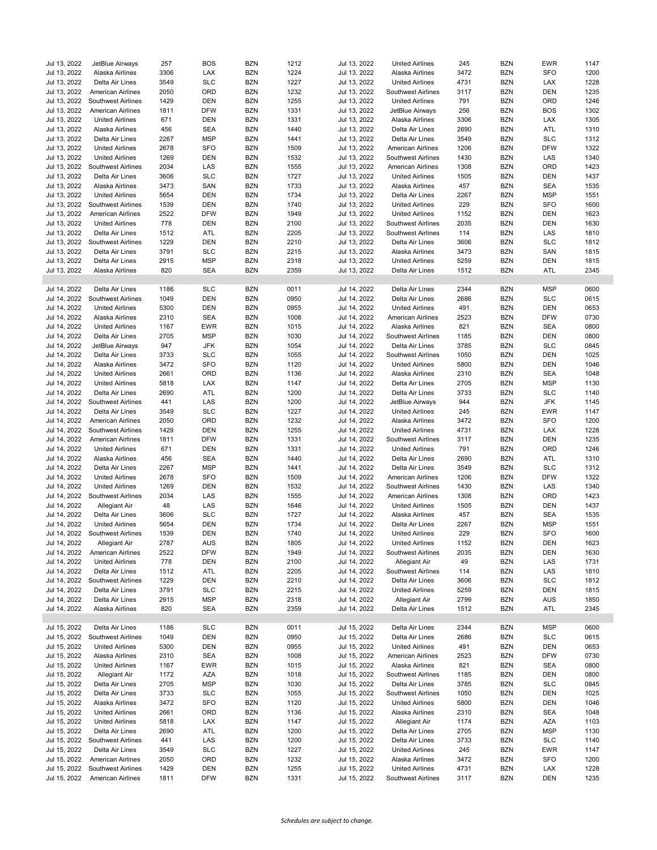| Jul 13, 2022 | JetBlue Airways          | 257  | <b>BOS</b> | <b>BZN</b> | 1212 | Jul 13, 2022 | <b>United Airlines</b>    | 245  | <b>BZN</b> | <b>EWR</b> | 1147 |
|--------------|--------------------------|------|------------|------------|------|--------------|---------------------------|------|------------|------------|------|
| Jul 13, 2022 | Alaska Airlines          | 3306 | LAX        | <b>BZN</b> | 1224 | Jul 13, 2022 | Alaska Airlines           | 3472 | BZN        | <b>SFO</b> | 1200 |
| Jul 13, 2022 | Delta Air Lines          | 3549 | SLC        | <b>BZN</b> | 1227 | Jul 13, 2022 | <b>United Airlines</b>    | 4731 | <b>BZN</b> | LAX        | 1228 |
| Jul 13, 2022 | American Airlines        | 2050 | ORD        | <b>BZN</b> | 1232 | Jul 13, 2022 | Southwest Airlines        | 3117 | <b>BZN</b> | <b>DEN</b> | 1235 |
| Jul 13, 2022 | Southwest Airlines       | 1429 | <b>DEN</b> | <b>BZN</b> | 1255 | Jul 13, 2022 | <b>United Airlines</b>    | 791  | <b>BZN</b> | ORD        | 1246 |
| Jul 13, 2022 | American Airlines        | 1811 | <b>DFW</b> | <b>BZN</b> | 1331 | Jul 13, 2022 | JetBlue Airways           | 256  | <b>BZN</b> | <b>BOS</b> | 1302 |
| Jul 13, 2022 | <b>United Airlines</b>   | 671  | <b>DEN</b> | <b>BZN</b> | 1331 | Jul 13, 2022 | Alaska Airlines           | 3306 | <b>BZN</b> | LAX        | 1305 |
| Jul 13, 2022 | Alaska Airlines          | 456  | SEA        | <b>BZN</b> | 1440 | Jul 13, 2022 | Delta Air Lines           | 2690 | <b>BZN</b> | ATL        | 1310 |
| Jul 13, 2022 | Delta Air Lines          | 2267 | <b>MSP</b> | <b>BZN</b> | 1441 | Jul 13, 2022 | Delta Air Lines           | 3549 | <b>BZN</b> | <b>SLC</b> | 1312 |
| Jul 13, 2022 | <b>United Airlines</b>   | 2678 | <b>SFO</b> | <b>BZN</b> | 1509 | Jul 13, 2022 | <b>American Airlines</b>  | 1206 | <b>BZN</b> | <b>DFW</b> | 1322 |
| Jul 13, 2022 | <b>United Airlines</b>   | 1269 | <b>DEN</b> | <b>BZN</b> | 1532 | Jul 13, 2022 | Southwest Airlines        | 1430 | <b>BZN</b> | LAS        | 1340 |
| Jul 13, 2022 | Southwest Airlines       | 2034 | LAS        | <b>BZN</b> | 1555 | Jul 13, 2022 | <b>American Airlines</b>  | 1308 | <b>BZN</b> | ORD        | 1423 |
| Jul 13, 2022 | Delta Air Lines          | 3606 | <b>SLC</b> | <b>BZN</b> | 1727 | Jul 13, 2022 | <b>United Airlines</b>    | 1505 | <b>BZN</b> | DEN        | 1437 |
| Jul 13, 2022 | Alaska Airlines          | 3473 | SAN        | <b>BZN</b> | 1733 | Jul 13, 2022 | Alaska Airlines           | 457  | <b>BZN</b> | <b>SEA</b> | 1535 |
| Jul 13, 2022 | <b>United Airlines</b>   | 5654 | <b>DEN</b> | <b>BZN</b> | 1734 | Jul 13, 2022 | Delta Air Lines           | 2267 | <b>BZN</b> | <b>MSP</b> | 1551 |
| Jul 13, 2022 | Southwest Airlines       | 1539 | <b>DEN</b> | <b>BZN</b> | 1740 | Jul 13, 2022 | <b>United Airlines</b>    | 229  | <b>BZN</b> | <b>SFO</b> | 1600 |
| Jul 13, 2022 | American Airlines        | 2522 | <b>DFW</b> | <b>BZN</b> | 1949 | Jul 13, 2022 | <b>United Airlines</b>    | 1152 | <b>BZN</b> | <b>DEN</b> | 1623 |
| Jul 13, 2022 | <b>United Airlines</b>   | 778  | <b>DEN</b> | <b>BZN</b> | 2100 | Jul 13, 2022 | Southwest Airlines        | 2035 | <b>BZN</b> | <b>DEN</b> | 1630 |
| Jul 13, 2022 | Delta Air Lines          | 1512 | ATL        | <b>BZN</b> | 2205 | Jul 13, 2022 | Southwest Airlines        | 114  | <b>BZN</b> | LAS        | 1810 |
| Jul 13, 2022 | Southwest Airlines       | 1229 | <b>DEN</b> | <b>BZN</b> | 2210 | Jul 13, 2022 | Delta Air Lines           | 3606 | <b>BZN</b> | <b>SLC</b> | 1812 |
| Jul 13, 2022 | Delta Air Lines          | 3791 | <b>SLC</b> | <b>BZN</b> | 2215 | Jul 13, 2022 | Alaska Airlines           | 3473 | <b>BZN</b> | SAN        | 1815 |
| Jul 13, 2022 | Delta Air Lines          | 2915 | <b>MSP</b> | <b>BZN</b> | 2318 | Jul 13, 2022 | <b>United Airlines</b>    | 5259 | <b>BZN</b> | <b>DEN</b> | 1815 |
| Jul 13, 2022 | Alaska Airlines          | 820  | <b>SEA</b> | <b>BZN</b> | 2359 | Jul 13, 2022 | Delta Air Lines           | 1512 | <b>BZN</b> | ATL        | 2345 |
|              |                          |      |            |            |      |              |                           |      |            |            |      |
| Jul 14, 2022 | Delta Air Lines          | 1186 | <b>SLC</b> | <b>BZN</b> | 0011 | Jul 14, 2022 | Delta Air Lines           | 2344 | <b>BZN</b> | <b>MSP</b> | 0600 |
| Jul 14, 2022 | Southwest Airlines       | 1049 | <b>DEN</b> | <b>BZN</b> | 0950 | Jul 14, 2022 | Delta Air Lines           | 2686 | <b>BZN</b> | <b>SLC</b> | 0615 |
| Jul 14, 2022 | <b>United Airlines</b>   | 5300 | <b>DEN</b> | <b>BZN</b> | 0955 | Jul 14, 2022 | <b>United Airlines</b>    | 491  | <b>BZN</b> | <b>DEN</b> | 0653 |
| Jul 14, 2022 | Alaska Airlines          | 2310 | <b>SEA</b> | <b>BZN</b> | 1008 | Jul 14, 2022 | American Airlines         | 2523 | <b>BZN</b> | <b>DFW</b> | 0730 |
| Jul 14, 2022 | <b>United Airlines</b>   | 1167 | <b>EWR</b> | <b>BZN</b> | 1015 | Jul 14, 2022 | Alaska Airlines           | 821  | <b>BZN</b> | <b>SEA</b> | 0800 |
| Jul 14, 2022 | Delta Air Lines          | 2705 | <b>MSP</b> | <b>BZN</b> | 1030 | Jul 14, 2022 | Southwest Airlines        | 1185 | <b>BZN</b> | <b>DEN</b> | 0800 |
| Jul 14, 2022 | JetBlue Airways          | 947  | JFK        | <b>BZN</b> | 1054 | Jul 14, 2022 | Delta Air Lines           | 3785 | <b>BZN</b> | <b>SLC</b> | 0845 |
| Jul 14, 2022 | Delta Air Lines          | 3733 | <b>SLC</b> | <b>BZN</b> | 1055 | Jul 14, 2022 | <b>Southwest Airlines</b> | 1050 | <b>BZN</b> | <b>DEN</b> | 1025 |
| Jul 14, 2022 | Alaska Airlines          | 3472 | <b>SFO</b> | <b>BZN</b> | 1120 | Jul 14, 2022 | <b>United Airlines</b>    | 5800 | <b>BZN</b> | DEN        | 1046 |
| Jul 14, 2022 | <b>United Airlines</b>   | 2661 | ORD        | <b>BZN</b> | 1136 | Jul 14, 2022 | Alaska Airlines           | 2310 | <b>BZN</b> | <b>SEA</b> | 1048 |
| Jul 14, 2022 | <b>United Airlines</b>   | 5818 | LAX        | <b>BZN</b> | 1147 | Jul 14, 2022 | Delta Air Lines           | 2705 | <b>BZN</b> | <b>MSP</b> | 1130 |
| Jul 14, 2022 | Delta Air Lines          | 2690 | ATL        | <b>BZN</b> | 1200 | Jul 14, 2022 | Delta Air Lines           | 3733 | <b>BZN</b> | <b>SLC</b> | 1140 |
| Jul 14, 2022 | Southwest Airlines       | 441  | LAS        | <b>BZN</b> | 1200 | Jul 14, 2022 | JetBlue Airways           | 944  | <b>BZN</b> | <b>JFK</b> | 1145 |
| Jul 14, 2022 | Delta Air Lines          | 3549 | <b>SLC</b> | <b>BZN</b> | 1227 | Jul 14, 2022 | <b>United Airlines</b>    | 245  | <b>BZN</b> | <b>EWR</b> | 1147 |
| Jul 14, 2022 | American Airlines        | 2050 | ORD        | <b>BZN</b> | 1232 | Jul 14, 2022 | Alaska Airlines           | 3472 | <b>BZN</b> | <b>SFO</b> | 1200 |
| Jul 14, 2022 | Southwest Airlines       | 1429 | DEN        | <b>BZN</b> | 1255 | Jul 14, 2022 | <b>United Airlines</b>    | 4731 | BZN        | LAX        | 1228 |
| Jul 14, 2022 | American Airlines        | 1811 | <b>DFW</b> | <b>BZN</b> | 1331 | Jul 14, 2022 | Southwest Airlines        | 3117 | <b>BZN</b> | <b>DEN</b> | 1235 |
| Jul 14, 2022 | <b>United Airlines</b>   | 671  | <b>DEN</b> | <b>BZN</b> | 1331 | Jul 14, 2022 | <b>United Airlines</b>    | 791  | <b>BZN</b> | ORD        | 1246 |
| Jul 14, 2022 | Alaska Airlines          | 456  | SEA        | <b>BZN</b> | 1440 | Jul 14, 2022 | Delta Air Lines           | 2690 | <b>BZN</b> | ATL        | 1310 |
| Jul 14, 2022 | Delta Air Lines          | 2267 | <b>MSP</b> | <b>BZN</b> | 1441 | Jul 14, 2022 | Delta Air Lines           | 3549 | <b>BZN</b> | <b>SLC</b> | 1312 |
| Jul 14, 2022 | <b>United Airlines</b>   | 2678 | <b>SFO</b> | <b>BZN</b> | 1509 | Jul 14, 2022 | American Airlines         | 1206 | <b>BZN</b> | <b>DFW</b> | 1322 |
| Jul 14, 2022 | <b>United Airlines</b>   | 1269 | DEN        | <b>BZN</b> | 1532 | Jul 14, 2022 | <b>Southwest Airlines</b> | 1430 | <b>BZN</b> | LAS        | 1340 |
| Jul 14, 2022 | Southwest Airlines       | 2034 | LAS        | <b>BZN</b> | 1555 | Jul 14, 2022 | <b>American Airlines</b>  | 1308 | <b>BZN</b> | ORD        | 1423 |
| Jul 14, 2022 | Allegiant Air            | 48   | LAS        | <b>BZN</b> | 1646 | Jul 14, 2022 | <b>United Airlines</b>    | 1505 | <b>BZN</b> | <b>DEN</b> | 1437 |
| Jul 14, 2022 | Delta Air Lines          | 3606 | <b>SLC</b> | <b>BZN</b> | 1727 | Jul 14, 2022 | Alaska Airlines           | 457  | <b>BZN</b> | <b>SEA</b> | 1535 |
| Jul 14, 2022 | <b>United Airlines</b>   | 5654 | <b>DEN</b> | <b>BZN</b> | 1734 | Jul 14, 2022 | Delta Air Lines           | 2267 | <b>BZN</b> | <b>MSP</b> | 1551 |
| Jul 14, 2022 | Southwest Airlines       | 1539 | <b>DEN</b> | <b>BZN</b> | 1740 | Jul 14, 2022 | <b>United Airlines</b>    | 229  | <b>BZN</b> | <b>SFO</b> | 1600 |
| Jul 14, 2022 | Allegiant Air            | 2787 | AUS        | <b>BZN</b> | 1805 | Jul 14, 2022 | <b>United Airlines</b>    | 1152 | BZN        | <b>DEN</b> | 1623 |
| Jul 14, 2022 | American Airlines        | 2522 | <b>DFW</b> | <b>BZN</b> | 1949 | Jul 14, 2022 | Southwest Airlines        | 2035 | <b>BZN</b> | <b>DEN</b> | 1630 |
| Jul 14, 2022 | <b>United Airlines</b>   | 778  | DEN        | <b>BZN</b> | 2100 | Jul 14, 2022 | Allegiant Air             | 49   | <b>BZN</b> | LAS        | 1731 |
| Jul 14, 2022 | Delta Air Lines          | 1512 | ATL        | <b>BZN</b> | 2205 | Jul 14, 2022 | Southwest Airlines        | 114  | <b>BZN</b> | LAS        | 1810 |
| Jul 14, 2022 | Southwest Airlines       | 1229 | <b>DEN</b> | <b>BZN</b> | 2210 | Jul 14, 2022 | Delta Air Lines           | 3606 | <b>BZN</b> | <b>SLC</b> | 1812 |
| Jul 14, 2022 | Delta Air Lines          | 3791 | <b>SLC</b> | <b>BZN</b> | 2215 | Jul 14, 2022 | <b>United Airlines</b>    | 5259 | <b>BZN</b> | DEN        | 1815 |
| Jul 14, 2022 | Delta Air Lines          | 2915 | MSP        | <b>BZN</b> | 2318 | Jul 14, 2022 | Allegiant Air             | 2799 | <b>BZN</b> | AUS        | 1850 |
| Jul 14, 2022 | Alaska Airlines          | 820  | SEA        | <b>BZN</b> | 2359 | Jul 14, 2022 | Delta Air Lines           | 1512 | BZN        | ATL        | 2345 |
|              |                          |      |            |            |      |              |                           |      |            |            |      |
| Jul 15, 2022 | Delta Air Lines          | 1186 | <b>SLC</b> | <b>BZN</b> | 0011 | Jul 15, 2022 | Delta Air Lines           | 2344 | <b>BZN</b> | <b>MSP</b> | 0600 |
| Jul 15, 2022 | Southwest Airlines       | 1049 | <b>DEN</b> | <b>BZN</b> | 0950 | Jul 15, 2022 | Delta Air Lines           | 2686 | <b>BZN</b> | <b>SLC</b> | 0615 |
| Jul 15, 2022 | <b>United Airlines</b>   | 5300 | DEN        | BZN        | 0955 | Jul 15, 2022 | <b>United Airlines</b>    | 491  | <b>BZN</b> | DEN        | 0653 |
| Jul 15, 2022 | Alaska Airlines          | 2310 | SEA        | <b>BZN</b> | 1008 | Jul 15, 2022 | American Airlines         | 2523 | <b>BZN</b> | <b>DFW</b> | 0730 |
| Jul 15, 2022 | <b>United Airlines</b>   | 1167 | EWR        | <b>BZN</b> | 1015 | Jul 15, 2022 | Alaska Airlines           | 821  | <b>BZN</b> | <b>SEA</b> | 0800 |
| Jul 15, 2022 | Allegiant Air            | 1172 | AZA        | <b>BZN</b> | 1018 | Jul 15, 2022 | <b>Southwest Airlines</b> | 1185 | BZN        | DEN        | 0800 |
| Jul 15, 2022 | Delta Air Lines          | 2705 | <b>MSP</b> | <b>BZN</b> | 1030 | Jul 15, 2022 | Delta Air Lines           | 3785 | <b>BZN</b> | <b>SLC</b> | 0845 |
| Jul 15, 2022 | Delta Air Lines          | 3733 | <b>SLC</b> | <b>BZN</b> | 1055 | Jul 15, 2022 | Southwest Airlines        | 1050 | <b>BZN</b> | <b>DEN</b> | 1025 |
| Jul 15, 2022 | Alaska Airlines          | 3472 | <b>SFO</b> | <b>BZN</b> | 1120 | Jul 15, 2022 | <b>United Airlines</b>    | 5800 | BZN        | DEN        | 1046 |
| Jul 15, 2022 | <b>United Airlines</b>   | 2661 | ORD        | <b>BZN</b> | 1136 | Jul 15, 2022 | Alaska Airlines           | 2310 | <b>BZN</b> | <b>SEA</b> | 1048 |
| Jul 15, 2022 | <b>United Airlines</b>   | 5818 | LAX        | <b>BZN</b> | 1147 | Jul 15, 2022 | Allegiant Air             | 1174 | <b>BZN</b> | AZA        | 1103 |
| Jul 15, 2022 | Delta Air Lines          | 2690 | ATL        | BZN        | 1200 | Jul 15, 2022 | Delta Air Lines           | 2705 | <b>BZN</b> | <b>MSP</b> | 1130 |
| Jul 15, 2022 | Southwest Airlines       | 441  | LAS        | <b>BZN</b> | 1200 | Jul 15, 2022 | Delta Air Lines           | 3733 | BZN        | <b>SLC</b> | 1140 |
| Jul 15, 2022 | Delta Air Lines          | 3549 | <b>SLC</b> | <b>BZN</b> | 1227 | Jul 15, 2022 | <b>United Airlines</b>    | 245  | <b>BZN</b> | EWR        | 1147 |
| Jul 15, 2022 | American Airlines        | 2050 | ORD        | <b>BZN</b> | 1232 | Jul 15, 2022 | Alaska Airlines           | 3472 | <b>BZN</b> | <b>SFO</b> | 1200 |
| Jul 15, 2022 | Southwest Airlines       | 1429 | <b>DEN</b> | <b>BZN</b> | 1255 | Jul 15, 2022 | <b>United Airlines</b>    | 4731 | <b>BZN</b> | LAX        | 1228 |
| Jul 15, 2022 | <b>American Airlines</b> | 1811 | <b>DFW</b> | <b>BZN</b> | 1331 | Jul 15, 2022 | Southwest Airlines        | 3117 | BZN        | DEN        | 1235 |
|              |                          |      |            |            |      |              |                           |      |            |            |      |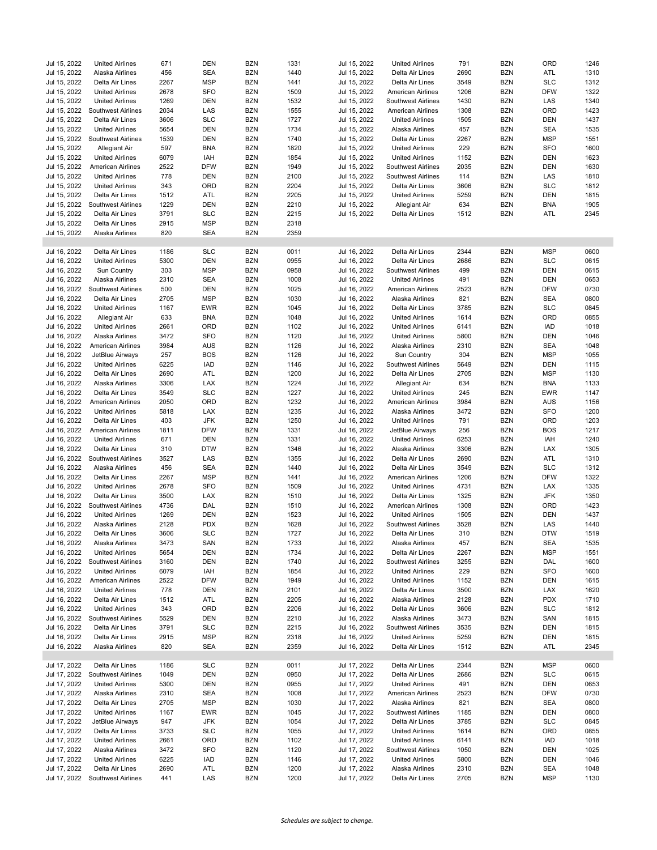| Jul 15, 2022 | <b>United Airlines</b>          | 671  | <b>DEN</b> | <b>BZN</b> | 1331 | Jul 15, 2022 | <b>United Airlines</b>    | 791  | <b>BZN</b> | ORD        | 1246 |
|--------------|---------------------------------|------|------------|------------|------|--------------|---------------------------|------|------------|------------|------|
| Jul 15, 2022 | Alaska Airlines                 | 456  | <b>SEA</b> | <b>BZN</b> | 1440 | Jul 15, 2022 | Delta Air Lines           | 2690 | <b>BZN</b> | ATL        | 1310 |
| Jul 15, 2022 | Delta Air Lines                 | 2267 | <b>MSP</b> | <b>BZN</b> | 1441 | Jul 15, 2022 | Delta Air Lines           | 3549 | <b>BZN</b> | <b>SLC</b> | 1312 |
|              |                                 |      | <b>SFO</b> |            |      | Jul 15, 2022 |                           |      |            |            |      |
| Jul 15, 2022 | <b>United Airlines</b>          | 2678 |            | <b>BZN</b> | 1509 |              | American Airlines         | 1206 | <b>BZN</b> | <b>DFW</b> | 1322 |
| Jul 15, 2022 | <b>United Airlines</b>          | 1269 | <b>DEN</b> | <b>BZN</b> | 1532 | Jul 15, 2022 | <b>Southwest Airlines</b> | 1430 | <b>BZN</b> | LAS        | 1340 |
| Jul 15, 2022 | Southwest Airlines              | 2034 | LAS        | <b>BZN</b> | 1555 | Jul 15, 2022 | American Airlines         | 1308 | <b>BZN</b> | ORD        | 1423 |
| Jul 15, 2022 | Delta Air Lines                 | 3606 | <b>SLC</b> | <b>BZN</b> | 1727 | Jul 15, 2022 | <b>United Airlines</b>    | 1505 | <b>BZN</b> | <b>DEN</b> | 1437 |
| Jul 15, 2022 | <b>United Airlines</b>          | 5654 | DEN        | <b>BZN</b> | 1734 | Jul 15, 2022 | Alaska Airlines           | 457  | <b>BZN</b> | <b>SEA</b> | 1535 |
| Jul 15, 2022 | Southwest Airlines              | 1539 | <b>DEN</b> | <b>BZN</b> | 1740 | Jul 15, 2022 | Delta Air Lines           | 2267 | <b>BZN</b> | <b>MSP</b> | 1551 |
| Jul 15, 2022 | Allegiant Air                   | 597  | <b>BNA</b> | <b>BZN</b> | 1820 | Jul 15, 2022 | <b>United Airlines</b>    | 229  | <b>BZN</b> | <b>SFO</b> | 1600 |
| Jul 15, 2022 | <b>United Airlines</b>          | 6079 | IAH        | <b>BZN</b> | 1854 | Jul 15, 2022 | <b>United Airlines</b>    | 1152 | <b>BZN</b> | <b>DEN</b> | 1623 |
| Jul 15, 2022 | American Airlines               | 2522 | <b>DFW</b> | <b>BZN</b> | 1949 | Jul 15, 2022 | Southwest Airlines        | 2035 | <b>BZN</b> | <b>DEN</b> | 1630 |
| Jul 15, 2022 | <b>United Airlines</b>          | 778  | <b>DEN</b> | <b>BZN</b> | 2100 | Jul 15, 2022 | <b>Southwest Airlines</b> | 114  | <b>BZN</b> | LAS        | 1810 |
| Jul 15, 2022 | <b>United Airlines</b>          | 343  | ORD        | <b>BZN</b> | 2204 | Jul 15, 2022 | Delta Air Lines           | 3606 | <b>BZN</b> | <b>SLC</b> | 1812 |
| Jul 15, 2022 | Delta Air Lines                 | 1512 | ATL        | <b>BZN</b> | 2205 | Jul 15, 2022 | <b>United Airlines</b>    | 5259 | <b>BZN</b> | <b>DEN</b> | 1815 |
| Jul 15, 2022 | Southwest Airlines              | 1229 | <b>DEN</b> | <b>BZN</b> | 2210 | Jul 15, 2022 | Allegiant Air             | 634  | <b>BZN</b> | <b>BNA</b> | 1905 |
| Jul 15, 2022 |                                 |      | <b>SLC</b> | <b>BZN</b> | 2215 |              |                           | 1512 | <b>BZN</b> | ATL        | 2345 |
|              | Delta Air Lines                 | 3791 | <b>MSP</b> |            |      | Jul 15, 2022 | Delta Air Lines           |      |            |            |      |
| Jul 15, 2022 | Delta Air Lines                 | 2915 |            | <b>BZN</b> | 2318 |              |                           |      |            |            |      |
| Jul 15, 2022 | Alaska Airlines                 | 820  | <b>SEA</b> | <b>BZN</b> | 2359 |              |                           |      |            |            |      |
|              |                                 |      |            |            |      |              |                           |      |            |            |      |
| Jul 16, 2022 | Delta Air Lines                 | 1186 | <b>SLC</b> | <b>BZN</b> | 0011 | Jul 16, 2022 | Delta Air Lines           | 2344 | <b>BZN</b> | <b>MSP</b> | 0600 |
| Jul 16, 2022 | <b>United Airlines</b>          | 5300 | <b>DEN</b> | <b>BZN</b> | 0955 | Jul 16, 2022 | Delta Air Lines           | 2686 | <b>BZN</b> | <b>SLC</b> | 0615 |
| Jul 16, 2022 | Sun Country                     | 303  | <b>MSP</b> | <b>BZN</b> | 0958 | Jul 16, 2022 | <b>Southwest Airlines</b> | 499  | <b>BZN</b> | <b>DEN</b> | 0615 |
| Jul 16, 2022 | Alaska Airlines                 | 2310 | <b>SEA</b> | <b>BZN</b> | 1008 | Jul 16, 2022 | <b>United Airlines</b>    | 491  | <b>BZN</b> | DEN        | 0653 |
| Jul 16, 2022 | Southwest Airlines              | 500  | DEN        | <b>BZN</b> | 1025 | Jul 16, 2022 | <b>American Airlines</b>  | 2523 | <b>BZN</b> | <b>DFW</b> | 0730 |
| Jul 16, 2022 | Delta Air Lines                 | 2705 | <b>MSP</b> | <b>BZN</b> | 1030 | Jul 16, 2022 | Alaska Airlines           | 821  | <b>BZN</b> | <b>SEA</b> | 0800 |
| Jul 16, 2022 | <b>United Airlines</b>          | 1167 | EWR        | <b>BZN</b> | 1045 | Jul 16, 2022 | Delta Air Lines           | 3785 | <b>BZN</b> | <b>SLC</b> | 0845 |
| Jul 16, 2022 | Allegiant Air                   | 633  | <b>BNA</b> | <b>BZN</b> | 1048 | Jul 16, 2022 | <b>United Airlines</b>    | 1614 | <b>BZN</b> | ORD        | 0855 |
| Jul 16, 2022 | <b>United Airlines</b>          | 2661 | ORD        | <b>BZN</b> | 1102 | Jul 16, 2022 | <b>United Airlines</b>    | 6141 | <b>BZN</b> | <b>IAD</b> | 1018 |
| Jul 16, 2022 | Alaska Airlines                 | 3472 | <b>SFO</b> | <b>BZN</b> | 1120 | Jul 16, 2022 | <b>United Airlines</b>    | 5800 | <b>BZN</b> | DEN        | 1046 |
| Jul 16, 2022 |                                 |      |            | <b>BZN</b> | 1126 |              |                           | 2310 | <b>BZN</b> | <b>SEA</b> | 1048 |
|              | <b>American Airlines</b>        | 3984 | AUS        |            |      | Jul 16, 2022 | Alaska Airlines           |      |            |            |      |
| Jul 16, 2022 | JetBlue Airways                 | 257  | <b>BOS</b> | <b>BZN</b> | 1126 | Jul 16, 2022 | Sun Country               | 304  | <b>BZN</b> | <b>MSP</b> | 1055 |
| Jul 16, 2022 | <b>United Airlines</b>          | 6225 | IAD        | <b>BZN</b> | 1146 | Jul 16, 2022 | <b>Southwest Airlines</b> | 5649 | <b>BZN</b> | <b>DEN</b> | 1115 |
| Jul 16, 2022 | Delta Air Lines                 | 2690 | ATL        | <b>BZN</b> | 1200 | Jul 16, 2022 | Delta Air Lines           | 2705 | <b>BZN</b> | <b>MSP</b> | 1130 |
| Jul 16, 2022 | Alaska Airlines                 | 3306 | LAX        | <b>BZN</b> | 1224 | Jul 16, 2022 | Allegiant Air             | 634  | <b>BZN</b> | <b>BNA</b> | 1133 |
| Jul 16, 2022 | Delta Air Lines                 | 3549 | <b>SLC</b> | <b>BZN</b> | 1227 | Jul 16, 2022 | <b>United Airlines</b>    | 245  | <b>BZN</b> | <b>EWR</b> | 1147 |
| Jul 16, 2022 | American Airlines               | 2050 | ORD        | <b>BZN</b> | 1232 | Jul 16, 2022 | American Airlines         | 3984 | <b>BZN</b> | <b>AUS</b> | 1156 |
| Jul 16, 2022 | <b>United Airlines</b>          | 5818 | LAX        | <b>BZN</b> | 1235 | Jul 16, 2022 | Alaska Airlines           | 3472 | <b>BZN</b> | <b>SFO</b> | 1200 |
| Jul 16, 2022 | Delta Air Lines                 | 403  | <b>JFK</b> | <b>BZN</b> | 1250 | Jul 16, 2022 | <b>United Airlines</b>    | 791  | <b>BZN</b> | ORD        | 1203 |
| Jul 16, 2022 | <b>American Airlines</b>        | 1811 | <b>DFW</b> | <b>BZN</b> | 1331 | Jul 16, 2022 | JetBlue Airways           | 256  | <b>BZN</b> | <b>BOS</b> | 1217 |
| Jul 16, 2022 | <b>United Airlines</b>          | 671  | DEN        | <b>BZN</b> | 1331 | Jul 16, 2022 | <b>United Airlines</b>    | 6253 | <b>BZN</b> | IAH        | 1240 |
| Jul 16, 2022 | Delta Air Lines                 | 310  | <b>DTW</b> | <b>BZN</b> | 1346 | Jul 16, 2022 | Alaska Airlines           | 3306 | <b>BZN</b> | LAX        | 1305 |
|              |                                 | 3527 | LAS        | <b>BZN</b> | 1355 |              |                           | 2690 | <b>BZN</b> | ATL        | 1310 |
| Jul 16, 2022 | Southwest Airlines              |      |            |            |      | Jul 16, 2022 | Delta Air Lines           |      |            |            |      |
| Jul 16, 2022 | Alaska Airlines                 | 456  | <b>SEA</b> | <b>BZN</b> | 1440 | Jul 16, 2022 | Delta Air Lines           | 3549 | <b>BZN</b> | <b>SLC</b> | 1312 |
| Jul 16, 2022 | Delta Air Lines                 | 2267 | <b>MSP</b> | <b>BZN</b> | 1441 | Jul 16, 2022 | American Airlines         | 1206 | <b>BZN</b> | <b>DFW</b> | 1322 |
| Jul 16, 2022 | <b>United Airlines</b>          | 2678 | <b>SFO</b> | <b>BZN</b> | 1509 | Jul 16, 2022 | <b>United Airlines</b>    | 4731 | <b>BZN</b> | <b>LAX</b> | 1335 |
| Jul 16, 2022 | Delta Air Lines                 | 3500 | <b>LAX</b> | <b>BZN</b> | 1510 | Jul 16, 2022 | Delta Air Lines           | 1325 | <b>BZN</b> | <b>JFK</b> | 1350 |
| Jul 16, 2022 | Southwest Airlines              | 4736 | DAL        | <b>BZN</b> | 1510 | Jul 16, 2022 | American Airlines         | 1308 | <b>BZN</b> | ORD        | 1423 |
| Jul 16, 2022 | <b>United Airlines</b>          | 1269 | DEN        | <b>BZN</b> | 1523 | Jul 16, 2022 | <b>United Airlines</b>    | 1505 | <b>BZN</b> | <b>DEN</b> | 1437 |
| Jul 16, 2022 | Alaska Airlines                 | 2128 | <b>PDX</b> | <b>BZN</b> | 1628 | Jul 16, 2022 | Southwest Airlines        | 3528 | <b>BZN</b> | LAS        | 1440 |
| Jul 16, 2022 | Delta Air Lines                 | 3606 | <b>SLC</b> | <b>BZN</b> | 1727 | Jul 16, 2022 | Delta Air Lines           | 310  | <b>BZN</b> | <b>DTW</b> | 1519 |
| Jul 16, 2022 | Alaska Airlines                 | 3473 | SAN        | <b>BZN</b> | 1733 | Jul 16, 2022 | Alaska Airlines           | 457  | <b>BZN</b> | SEA        | 1535 |
| Jul 16, 2022 | <b>United Airlines</b>          | 5654 | DEN        | <b>BZN</b> | 1734 | Jul 16, 2022 | Delta Air Lines           | 2267 | <b>BZN</b> | <b>MSP</b> | 1551 |
| Jul 16, 2022 | Southwest Airlines              | 3160 | DEN        | <b>BZN</b> | 1740 | Jul 16, 2022 | <b>Southwest Airlines</b> | 3255 | <b>BZN</b> | DAL        | 1600 |
| Jul 16, 2022 | <b>United Airlines</b>          | 6079 | IAH        | <b>BZN</b> | 1854 | Jul 16, 2022 | <b>United Airlines</b>    | 229  | <b>BZN</b> | <b>SFO</b> | 1600 |
|              |                                 |      |            |            |      |              |                           |      |            |            |      |
| Jul 16, 2022 | <b>American Airlines</b>        | 2522 | <b>DFW</b> | <b>BZN</b> | 1949 | Jul 16, 2022 | <b>United Airlines</b>    | 1152 | <b>BZN</b> | DEN        | 1615 |
| Jul 16, 2022 | <b>United Airlines</b>          | 778  | DEN        | <b>BZN</b> | 2101 | Jul 16, 2022 | Delta Air Lines           | 3500 | <b>BZN</b> | LAX        | 1620 |
| Jul 16, 2022 | Delta Air Lines                 | 1512 | ATL        | BZN        | 2205 | Jul 16, 2022 | Alaska Airlines           | 2128 | <b>BZN</b> | <b>PDX</b> | 1710 |
| Jul 16, 2022 | <b>United Airlines</b>          | 343  | ORD        | <b>BZN</b> | 2206 | Jul 16, 2022 | Delta Air Lines           | 3606 | <b>BZN</b> | <b>SLC</b> | 1812 |
| Jul 16, 2022 | <b>Southwest Airlines</b>       | 5529 | DEN        | BZN        | 2210 | Jul 16, 2022 | Alaska Airlines           | 3473 | <b>BZN</b> | SAN        | 1815 |
| Jul 16, 2022 | Delta Air Lines                 | 3791 | <b>SLC</b> | <b>BZN</b> | 2215 | Jul 16, 2022 | Southwest Airlines        | 3535 | <b>BZN</b> | DEN        | 1815 |
| Jul 16, 2022 | Delta Air Lines                 | 2915 | <b>MSP</b> | <b>BZN</b> | 2318 | Jul 16, 2022 | <b>United Airlines</b>    | 5259 | <b>BZN</b> | DEN        | 1815 |
| Jul 16, 2022 | Alaska Airlines                 | 820  | SEA        | <b>BZN</b> | 2359 | Jul 16, 2022 | Delta Air Lines           | 1512 | <b>BZN</b> | ATL        | 2345 |
|              |                                 |      |            |            |      |              |                           |      |            |            |      |
| Jul 17, 2022 | Delta Air Lines                 | 1186 | <b>SLC</b> | <b>BZN</b> | 0011 | Jul 17, 2022 | Delta Air Lines           | 2344 | <b>BZN</b> | <b>MSP</b> | 0600 |
| Jul 17, 2022 | Southwest Airlines              | 1049 | DEN        | <b>BZN</b> | 0950 | Jul 17, 2022 | Delta Air Lines           | 2686 | <b>BZN</b> | <b>SLC</b> | 0615 |
| Jul 17, 2022 | <b>United Airlines</b>          | 5300 | DEN        | <b>BZN</b> | 0955 | Jul 17, 2022 | <b>United Airlines</b>    | 491  | <b>BZN</b> | <b>DEN</b> | 0653 |
| Jul 17, 2022 | Alaska Airlines                 | 2310 | SEA        | BZN        | 1008 | Jul 17, 2022 | American Airlines         | 2523 | <b>BZN</b> | <b>DFW</b> | 0730 |
|              |                                 |      |            |            |      |              |                           |      |            |            |      |
| Jul 17, 2022 | Delta Air Lines                 | 2705 | <b>MSP</b> | <b>BZN</b> | 1030 | Jul 17, 2022 | Alaska Airlines           | 821  | <b>BZN</b> | SEA        | 0800 |
| Jul 17, 2022 | <b>United Airlines</b>          | 1167 | EWR        | <b>BZN</b> | 1045 | Jul 17, 2022 | Southwest Airlines        | 1185 | <b>BZN</b> | <b>DEN</b> | 0800 |
| Jul 17, 2022 | JetBlue Airways                 | 947  | JFK        | <b>BZN</b> | 1054 | Jul 17, 2022 | Delta Air Lines           | 3785 | <b>BZN</b> | <b>SLC</b> | 0845 |
| Jul 17, 2022 | Delta Air Lines                 | 3733 | <b>SLC</b> | <b>BZN</b> | 1055 | Jul 17, 2022 | <b>United Airlines</b>    | 1614 | <b>BZN</b> | ORD        | 0855 |
| Jul 17, 2022 | <b>United Airlines</b>          | 2661 | ORD        | <b>BZN</b> | 1102 | Jul 17, 2022 | <b>United Airlines</b>    | 6141 | <b>BZN</b> | IAD        | 1018 |
| Jul 17, 2022 | Alaska Airlines                 | 3472 | SFO        | <b>BZN</b> | 1120 | Jul 17, 2022 | Southwest Airlines        | 1050 | <b>BZN</b> | DEN        | 1025 |
| Jul 17, 2022 | <b>United Airlines</b>          | 6225 | IAD        | <b>BZN</b> | 1146 | Jul 17, 2022 | <b>United Airlines</b>    | 5800 | <b>BZN</b> | DEN        | 1046 |
| Jul 17, 2022 | Delta Air Lines                 | 2690 | ATL        | <b>BZN</b> | 1200 | Jul 17, 2022 | Alaska Airlines           | 2310 | <b>BZN</b> | SEA        | 1048 |
|              | Jul 17, 2022 Southwest Airlines | 441  | LAS        | <b>BZN</b> | 1200 | Jul 17, 2022 | Delta Air Lines           | 2705 | <b>BZN</b> | <b>MSP</b> | 1130 |
|              |                                 |      |            |            |      |              |                           |      |            |            |      |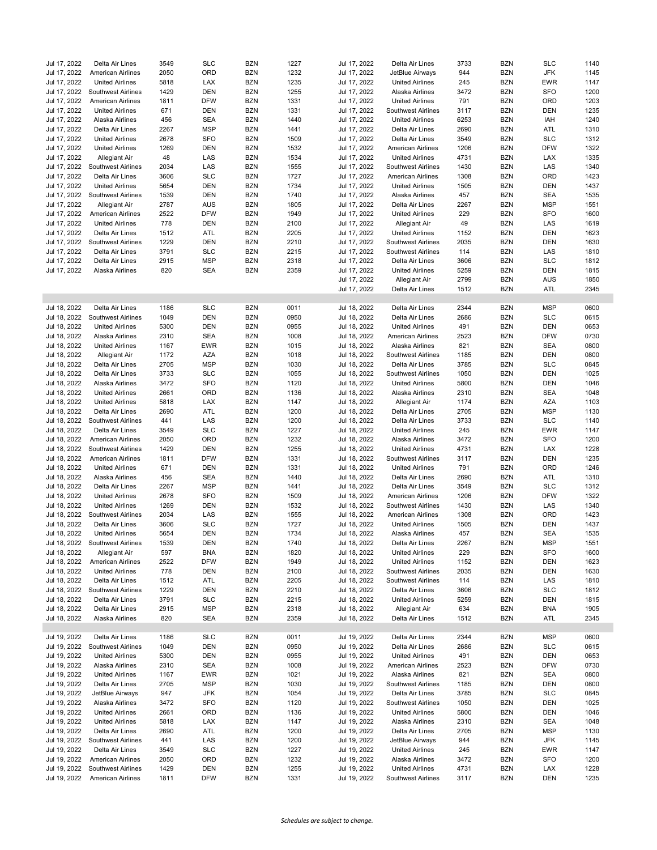| Jul 17, 2022 | Delta Air Lines           | 3549 | <b>SLC</b> | <b>BZN</b> | 1227 | Jul 17, 2022 | Delta Air Lines          | 3733 | <b>BZN</b> | SLC        | 1140 |
|--------------|---------------------------|------|------------|------------|------|--------------|--------------------------|------|------------|------------|------|
| Jul 17, 2022 | American Airlines         | 2050 | ORD        | <b>BZN</b> | 1232 | Jul 17, 2022 | JetBlue Airways          | 944  | <b>BZN</b> | <b>JFK</b> | 1145 |
| Jul 17, 2022 | <b>United Airlines</b>    | 5818 | LAX        | <b>BZN</b> | 1235 | Jul 17, 2022 | <b>United Airlines</b>   | 245  | <b>BZN</b> | <b>EWR</b> | 1147 |
| Jul 17, 2022 | <b>Southwest Airlines</b> | 1429 | <b>DEN</b> | <b>BZN</b> | 1255 | Jul 17, 2022 | Alaska Airlines          | 3472 | <b>BZN</b> | <b>SFO</b> | 1200 |
| Jul 17, 2022 | American Airlines         | 1811 | <b>DFW</b> | <b>BZN</b> | 1331 | Jul 17, 2022 | <b>United Airlines</b>   | 791  | <b>BZN</b> | ORD        | 1203 |
| Jul 17, 2022 | <b>United Airlines</b>    | 671  | <b>DEN</b> | <b>BZN</b> | 1331 | Jul 17, 2022 | Southwest Airlines       | 3117 | <b>BZN</b> | <b>DEN</b> | 1235 |
| Jul 17, 2022 | Alaska Airlines           | 456  | <b>SEA</b> | <b>BZN</b> | 1440 | Jul 17, 2022 | <b>United Airlines</b>   | 6253 | <b>BZN</b> | IAH        | 1240 |
| Jul 17, 2022 | Delta Air Lines           | 2267 | <b>MSP</b> | <b>BZN</b> | 1441 | Jul 17, 2022 | Delta Air Lines          | 2690 | <b>BZN</b> | <b>ATL</b> | 1310 |
| Jul 17, 2022 | <b>United Airlines</b>    | 2678 | SFO        | <b>BZN</b> | 1509 | Jul 17, 2022 | Delta Air Lines          | 3549 | <b>BZN</b> | <b>SLC</b> | 1312 |
| Jul 17, 2022 | <b>United Airlines</b>    | 1269 | DEN        | <b>BZN</b> | 1532 | Jul 17, 2022 | American Airlines        | 1206 | <b>BZN</b> | <b>DFW</b> | 1322 |
| Jul 17, 2022 | Allegiant Air             | 48   | LAS        | <b>BZN</b> | 1534 | Jul 17, 2022 | <b>United Airlines</b>   | 4731 | <b>BZN</b> | <b>LAX</b> | 1335 |
| Jul 17, 2022 | <b>Southwest Airlines</b> | 2034 | LAS        | <b>BZN</b> | 1555 | Jul 17, 2022 | Southwest Airlines       | 1430 | <b>BZN</b> | LAS        | 1340 |
| Jul 17, 2022 | Delta Air Lines           | 3606 | <b>SLC</b> | <b>BZN</b> | 1727 | Jul 17, 2022 | American Airlines        | 1308 | <b>BZN</b> | ORD        | 1423 |
| Jul 17, 2022 | <b>United Airlines</b>    | 5654 | <b>DEN</b> | <b>BZN</b> | 1734 | Jul 17, 2022 | <b>United Airlines</b>   | 1505 | <b>BZN</b> | <b>DEN</b> | 1437 |
| Jul 17, 2022 | <b>Southwest Airlines</b> | 1539 | <b>DEN</b> | <b>BZN</b> | 1740 | Jul 17, 2022 | Alaska Airlines          | 457  | <b>BZN</b> | <b>SEA</b> | 1535 |
| Jul 17, 2022 | Allegiant Air             | 2787 | <b>AUS</b> | <b>BZN</b> | 1805 | Jul 17, 2022 | Delta Air Lines          | 2267 | <b>BZN</b> | <b>MSP</b> | 1551 |
| Jul 17, 2022 | <b>American Airlines</b>  | 2522 | <b>DFW</b> | <b>BZN</b> | 1949 | Jul 17, 2022 | <b>United Airlines</b>   | 229  | <b>BZN</b> | <b>SFO</b> | 1600 |
| Jul 17, 2022 | <b>United Airlines</b>    | 778  | <b>DEN</b> | <b>BZN</b> | 2100 | Jul 17, 2022 | Allegiant Air            | 49   | <b>BZN</b> | LAS        | 1619 |
| Jul 17, 2022 | Delta Air Lines           | 1512 | ATL        | <b>BZN</b> | 2205 | Jul 17, 2022 | <b>United Airlines</b>   | 1152 | <b>BZN</b> | <b>DEN</b> | 1623 |
| Jul 17, 2022 | <b>Southwest Airlines</b> | 1229 | <b>DEN</b> | <b>BZN</b> | 2210 | Jul 17, 2022 | Southwest Airlines       | 2035 | <b>BZN</b> | <b>DEN</b> | 1630 |
| Jul 17, 2022 | Delta Air Lines           | 3791 | <b>SLC</b> | <b>BZN</b> | 2215 | Jul 17, 2022 | Southwest Airlines       | 114  | <b>BZN</b> | LAS        | 1810 |
| Jul 17, 2022 | Delta Air Lines           | 2915 | <b>MSP</b> | <b>BZN</b> | 2318 | Jul 17, 2022 | Delta Air Lines          | 3606 | <b>BZN</b> | <b>SLC</b> | 1812 |
| Jul 17, 2022 | Alaska Airlines           | 820  | <b>SEA</b> | <b>BZN</b> | 2359 | Jul 17, 2022 | <b>United Airlines</b>   | 5259 | <b>BZN</b> | <b>DEN</b> | 1815 |
|              |                           |      |            |            |      | Jul 17, 2022 | Allegiant Air            | 2799 | <b>BZN</b> | <b>AUS</b> | 1850 |
|              |                           |      |            |            |      | Jul 17, 2022 | Delta Air Lines          | 1512 | <b>BZN</b> | ATL        | 2345 |
|              |                           |      |            |            |      |              |                          |      |            |            |      |
| Jul 18, 2022 | Delta Air Lines           | 1186 | <b>SLC</b> | <b>BZN</b> | 0011 | Jul 18, 2022 | Delta Air Lines          | 2344 | <b>BZN</b> | <b>MSP</b> | 0600 |
| Jul 18, 2022 | <b>Southwest Airlines</b> | 1049 | DEN        | <b>BZN</b> | 0950 | Jul 18, 2022 | Delta Air Lines          | 2686 | <b>BZN</b> | <b>SLC</b> | 0615 |
| Jul 18, 2022 | <b>United Airlines</b>    | 5300 | <b>DEN</b> | <b>BZN</b> | 0955 | Jul 18, 2022 | <b>United Airlines</b>   | 491  | <b>BZN</b> | <b>DEN</b> | 0653 |
| Jul 18, 2022 | Alaska Airlines           | 2310 | <b>SEA</b> | <b>BZN</b> | 1008 | Jul 18, 2022 | American Airlines        | 2523 | <b>BZN</b> | <b>DFW</b> | 0730 |
| Jul 18, 2022 | <b>United Airlines</b>    | 1167 | <b>EWR</b> | <b>BZN</b> | 1015 | Jul 18, 2022 | Alaska Airlines          | 821  | <b>BZN</b> | <b>SEA</b> | 0800 |
| Jul 18, 2022 | Allegiant Air             | 1172 | AZA        | <b>BZN</b> | 1018 | Jul 18, 2022 | Southwest Airlines       | 1185 | <b>BZN</b> | <b>DEN</b> | 0800 |
| Jul 18, 2022 | Delta Air Lines           | 2705 | <b>MSP</b> | <b>BZN</b> | 1030 | Jul 18, 2022 | Delta Air Lines          | 3785 | <b>BZN</b> | <b>SLC</b> | 0845 |
| Jul 18, 2022 |                           | 3733 | <b>SLC</b> | <b>BZN</b> | 1055 |              |                          | 1050 | <b>BZN</b> | <b>DEN</b> | 1025 |
| Jul 18, 2022 | Delta Air Lines           | 3472 | SFO        | <b>BZN</b> | 1120 | Jul 18, 2022 | Southwest Airlines       | 5800 | <b>BZN</b> | <b>DEN</b> | 1046 |
|              | Alaska Airlines           |      |            |            |      | Jul 18, 2022 | <b>United Airlines</b>   |      |            |            |      |
| Jul 18, 2022 | <b>United Airlines</b>    | 2661 | ORD        | <b>BZN</b> | 1136 | Jul 18, 2022 | Alaska Airlines          | 2310 | <b>BZN</b> | <b>SEA</b> | 1048 |
| Jul 18, 2022 | <b>United Airlines</b>    | 5818 | LAX        | <b>BZN</b> | 1147 | Jul 18, 2022 | Allegiant Air            | 1174 | <b>BZN</b> | AZA        | 1103 |
| Jul 18, 2022 | Delta Air Lines           | 2690 | ATL        | <b>BZN</b> | 1200 | Jul 18, 2022 | Delta Air Lines          | 2705 | <b>BZN</b> | <b>MSP</b> | 1130 |
| Jul 18, 2022 | <b>Southwest Airlines</b> | 441  | LAS        | <b>BZN</b> | 1200 | Jul 18, 2022 | Delta Air Lines          | 3733 | <b>BZN</b> | <b>SLC</b> | 1140 |
| Jul 18, 2022 | Delta Air Lines           | 3549 | <b>SLC</b> | <b>BZN</b> | 1227 | Jul 18, 2022 | <b>United Airlines</b>   | 245  | <b>BZN</b> | <b>EWR</b> | 1147 |
| Jul 18, 2022 | <b>American Airlines</b>  | 2050 | ORD        | <b>BZN</b> | 1232 | Jul 18, 2022 | Alaska Airlines          | 3472 | <b>BZN</b> | <b>SFO</b> | 1200 |
| Jul 18, 2022 | Southwest Airlines        | 1429 | <b>DEN</b> | <b>BZN</b> | 1255 | Jul 18, 2022 | <b>United Airlines</b>   | 4731 | <b>BZN</b> | LAX        | 1228 |
| Jul 18, 2022 | <b>American Airlines</b>  | 1811 | <b>DFW</b> | <b>BZN</b> | 1331 | Jul 18, 2022 | Southwest Airlines       | 3117 | <b>BZN</b> | <b>DEN</b> | 1235 |
| Jul 18, 2022 | <b>United Airlines</b>    | 671  | <b>DEN</b> | <b>BZN</b> | 1331 | Jul 18, 2022 | <b>United Airlines</b>   | 791  | <b>BZN</b> | ORD        | 1246 |
| Jul 18, 2022 | Alaska Airlines           | 456  | <b>SEA</b> | <b>BZN</b> | 1440 | Jul 18, 2022 | Delta Air Lines          | 2690 | <b>BZN</b> | ATL        | 1310 |
| Jul 18, 2022 | Delta Air Lines           | 2267 | <b>MSP</b> | <b>BZN</b> | 1441 | Jul 18, 2022 | Delta Air Lines          | 3549 | <b>BZN</b> | <b>SLC</b> | 1312 |
| Jul 18, 2022 | <b>United Airlines</b>    | 2678 | SFO        | <b>BZN</b> | 1509 | Jul 18, 2022 | <b>American Airlines</b> | 1206 | <b>BZN</b> | <b>DFW</b> | 1322 |
| Jul 18, 2022 | <b>United Airlines</b>    | 1269 | <b>DEN</b> | <b>BZN</b> | 1532 | Jul 18, 2022 | Southwest Airlines       | 1430 | <b>BZN</b> | LAS        | 1340 |
| Jul 18, 2022 | Southwest Airlines        | 2034 | LAS        | <b>BZN</b> | 1555 | Jul 18, 2022 | American Airlines        | 1308 | <b>BZN</b> | ORD        | 1423 |
| Jul 18, 2022 | Delta Air Lines           | 3606 | <b>SLC</b> | <b>BZN</b> | 1727 | Jul 18, 2022 | <b>United Airlines</b>   | 1505 | <b>BZN</b> | <b>DEN</b> | 1437 |
| Jul 18, 2022 | <b>United Airlines</b>    | 5654 | DEN        | <b>BZN</b> | 1734 | Jul 18, 2022 | Alaska Airlines          | 457  | <b>BZN</b> | <b>SEA</b> | 1535 |
| Jul 18, 2022 | Southwest Airlines        | 1539 | DEN        | <b>BZN</b> | 1740 | Jul 18, 2022 | Delta Air Lines          | 2267 | <b>BZN</b> | <b>MSP</b> | 1551 |
| Jul 18, 2022 | Allegiant Air             | 597  | BNA        | <b>BZN</b> | 1820 | Jul 18, 2022 | <b>United Airlines</b>   | 229  | <b>BZN</b> | <b>SFO</b> | 1600 |
| Jul 18, 2022 | American Airlines         | 2522 | <b>DFW</b> | <b>BZN</b> | 1949 | Jul 18, 2022 | <b>United Airlines</b>   | 1152 | <b>BZN</b> | <b>DEN</b> | 1623 |
| Jul 18, 2022 | <b>United Airlines</b>    | 778  | DEN        | <b>BZN</b> | 2100 | Jul 18, 2022 | Southwest Airlines       | 2035 | <b>BZN</b> | DEN        | 1630 |
| Jul 18, 2022 | Delta Air Lines           | 1512 | ATL        | <b>BZN</b> | 2205 | Jul 18, 2022 | Southwest Airlines       | 114  | <b>BZN</b> | LAS        | 1810 |
| Jul 18, 2022 | <b>Southwest Airlines</b> | 1229 | DEN        | <b>BZN</b> | 2210 | Jul 18, 2022 | Delta Air Lines          | 3606 | <b>BZN</b> | <b>SLC</b> | 1812 |
| Jul 18, 2022 | Delta Air Lines           | 3791 | SLC        | <b>BZN</b> | 2215 | Jul 18, 2022 | <b>United Airlines</b>   | 5259 | <b>BZN</b> | DEN        | 1815 |
| Jul 18, 2022 | Delta Air Lines           | 2915 | <b>MSP</b> | BZN        | 2318 | Jul 18, 2022 | Allegiant Air            | 634  | <b>BZN</b> | BNA        | 1905 |
| Jul 18, 2022 | Alaska Airlines           | 820  | SEA        | <b>BZN</b> | 2359 | Jul 18, 2022 | Delta Air Lines          | 1512 | <b>BZN</b> | ATL        | 2345 |
|              |                           |      |            |            |      |              |                          |      |            |            |      |
| Jul 19, 2022 | Delta Air Lines           | 1186 | <b>SLC</b> | <b>BZN</b> | 0011 | Jul 19, 2022 | Delta Air Lines          | 2344 | <b>BZN</b> | <b>MSP</b> | 0600 |
| Jul 19, 2022 | <b>Southwest Airlines</b> | 1049 | DEN        | <b>BZN</b> | 0950 | Jul 19, 2022 | Delta Air Lines          | 2686 | BZN        | <b>SLC</b> | 0615 |
| Jul 19, 2022 | <b>United Airlines</b>    | 5300 | <b>DEN</b> | <b>BZN</b> | 0955 | Jul 19, 2022 | <b>United Airlines</b>   | 491  | <b>BZN</b> | <b>DEN</b> | 0653 |
| Jul 19, 2022 | Alaska Airlines           | 2310 | <b>SEA</b> | <b>BZN</b> | 1008 | Jul 19, 2022 | American Airlines        | 2523 | <b>BZN</b> | <b>DFW</b> | 0730 |
| Jul 19, 2022 | <b>United Airlines</b>    | 1167 | EWR        | <b>BZN</b> | 1021 | Jul 19, 2022 | Alaska Airlines          | 821  | <b>BZN</b> | SEA        | 0800 |
| Jul 19, 2022 | Delta Air Lines           | 2705 | <b>MSP</b> | <b>BZN</b> | 1030 | Jul 19, 2022 | Southwest Airlines       | 1185 | <b>BZN</b> | <b>DEN</b> | 0800 |
| Jul 19, 2022 | JetBlue Airways           | 947  | JFK        | <b>BZN</b> | 1054 | Jul 19, 2022 | Delta Air Lines          | 3785 | <b>BZN</b> | <b>SLC</b> | 0845 |
| Jul 19, 2022 | Alaska Airlines           | 3472 | SFO        | <b>BZN</b> | 1120 | Jul 19, 2022 | Southwest Airlines       | 1050 | BZN        | DEN        | 1025 |
| Jul 19, 2022 | <b>United Airlines</b>    | 2661 | ORD        | BZN        | 1136 | Jul 19, 2022 | <b>United Airlines</b>   | 5800 | <b>BZN</b> | DEN        | 1046 |
| Jul 19, 2022 | <b>United Airlines</b>    | 5818 | LAX        | <b>BZN</b> | 1147 | Jul 19, 2022 | Alaska Airlines          | 2310 | <b>BZN</b> | <b>SEA</b> | 1048 |
| Jul 19, 2022 | Delta Air Lines           | 2690 | ATL        | BZN        | 1200 | Jul 19, 2022 | Delta Air Lines          | 2705 | <b>BZN</b> | <b>MSP</b> | 1130 |
| Jul 19, 2022 | Southwest Airlines        | 441  | LAS        | <b>BZN</b> | 1200 | Jul 19, 2022 | JetBlue Airways          | 944  | <b>BZN</b> | <b>JFK</b> | 1145 |
| Jul 19, 2022 | Delta Air Lines           | 3549 | <b>SLC</b> | <b>BZN</b> | 1227 | Jul 19, 2022 | <b>United Airlines</b>   | 245  | <b>BZN</b> | EWR        | 1147 |
| Jul 19, 2022 | <b>American Airlines</b>  | 2050 | ORD        | <b>BZN</b> | 1232 | Jul 19, 2022 | Alaska Airlines          | 3472 | <b>BZN</b> | SFO        | 1200 |
| Jul 19, 2022 | <b>Southwest Airlines</b> | 1429 | DEN        | <b>BZN</b> | 1255 | Jul 19, 2022 | <b>United Airlines</b>   | 4731 | BZN        | LAX        | 1228 |
| Jul 19, 2022 | <b>American Airlines</b>  | 1811 | <b>DFW</b> | <b>BZN</b> | 1331 | Jul 19, 2022 | Southwest Airlines       | 3117 | <b>BZN</b> | DEN        | 1235 |
|              |                           |      |            |            |      |              |                          |      |            |            |      |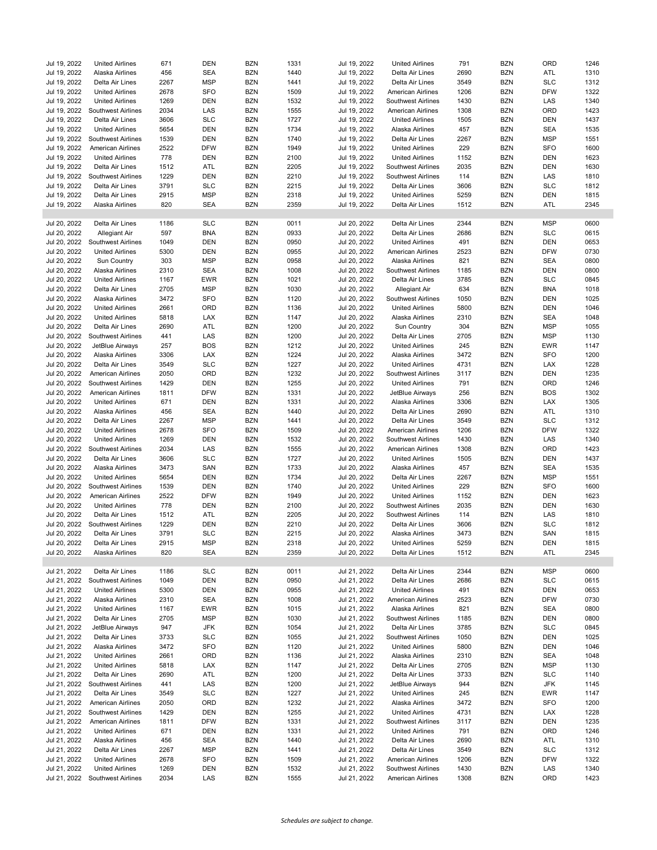| Jul 19, 2022 | <b>United Airlines</b>    | 671  | <b>DEN</b> | <b>BZN</b> | 1331 | Jul 19, 2022 | <b>United Airlines</b>    | 791  | <b>BZN</b> | ORD        | 1246 |
|--------------|---------------------------|------|------------|------------|------|--------------|---------------------------|------|------------|------------|------|
| Jul 19, 2022 | Alaska Airlines           | 456  | <b>SEA</b> | <b>BZN</b> | 1440 | Jul 19, 2022 | Delta Air Lines           | 2690 | <b>BZN</b> | ATL        | 1310 |
| Jul 19, 2022 | Delta Air Lines           | 2267 | <b>MSP</b> | <b>BZN</b> | 1441 | Jul 19, 2022 | Delta Air Lines           | 3549 | <b>BZN</b> | <b>SLC</b> | 1312 |
| Jul 19, 2022 | <b>United Airlines</b>    | 2678 | <b>SFO</b> | <b>BZN</b> | 1509 | Jul 19, 2022 | American Airlines         | 1206 | <b>BZN</b> | <b>DFW</b> | 1322 |
|              |                           |      |            |            |      |              |                           |      |            |            |      |
| Jul 19, 2022 | <b>United Airlines</b>    | 1269 | <b>DEN</b> | <b>BZN</b> | 1532 | Jul 19, 2022 | Southwest Airlines        | 1430 | <b>BZN</b> | LAS        | 1340 |
| Jul 19, 2022 | Southwest Airlines        | 2034 | LAS        | <b>BZN</b> | 1555 | Jul 19, 2022 | American Airlines         | 1308 | <b>BZN</b> | ORD        | 1423 |
| Jul 19, 2022 | Delta Air Lines           | 3606 | <b>SLC</b> | <b>BZN</b> | 1727 | Jul 19, 2022 | <b>United Airlines</b>    | 1505 | <b>BZN</b> | <b>DEN</b> | 1437 |
|              |                           |      |            |            |      |              |                           |      |            |            |      |
| Jul 19, 2022 | <b>United Airlines</b>    | 5654 | <b>DEN</b> | <b>BZN</b> | 1734 | Jul 19, 2022 | Alaska Airlines           | 457  | <b>BZN</b> | <b>SEA</b> | 1535 |
| Jul 19, 2022 | Southwest Airlines        | 1539 | <b>DEN</b> | <b>BZN</b> | 1740 | Jul 19, 2022 | Delta Air Lines           | 2267 | <b>BZN</b> | <b>MSP</b> | 1551 |
| Jul 19, 2022 | <b>American Airlines</b>  | 2522 | <b>DFW</b> | <b>BZN</b> | 1949 | Jul 19, 2022 | <b>United Airlines</b>    | 229  | <b>BZN</b> | <b>SFO</b> | 1600 |
|              |                           |      |            |            |      |              |                           |      |            |            |      |
| Jul 19, 2022 | <b>United Airlines</b>    | 778  | <b>DEN</b> | <b>BZN</b> | 2100 | Jul 19, 2022 | <b>United Airlines</b>    | 1152 | <b>BZN</b> | <b>DEN</b> | 1623 |
| Jul 19, 2022 | Delta Air Lines           | 1512 | ATL        | <b>BZN</b> | 2205 | Jul 19, 2022 | <b>Southwest Airlines</b> | 2035 | <b>BZN</b> | <b>DEN</b> | 1630 |
| Jul 19, 2022 | Southwest Airlines        | 1229 | <b>DEN</b> | <b>BZN</b> | 2210 | Jul 19, 2022 | Southwest Airlines        | 114  | <b>BZN</b> | LAS        | 1810 |
| Jul 19, 2022 |                           | 3791 | <b>SLC</b> | <b>BZN</b> | 2215 |              |                           | 3606 | <b>BZN</b> | <b>SLC</b> | 1812 |
|              | Delta Air Lines           |      |            |            |      | Jul 19, 2022 | Delta Air Lines           |      |            |            |      |
| Jul 19, 2022 | Delta Air Lines           | 2915 | <b>MSP</b> | <b>BZN</b> | 2318 | Jul 19, 2022 | <b>United Airlines</b>    | 5259 | <b>BZN</b> | <b>DEN</b> | 1815 |
| Jul 19, 2022 | Alaska Airlines           | 820  | <b>SEA</b> | <b>BZN</b> | 2359 | Jul 19, 2022 | Delta Air Lines           | 1512 | <b>BZN</b> | ATL        | 2345 |
|              |                           |      |            |            |      |              |                           |      |            |            |      |
|              |                           |      |            |            |      |              |                           |      |            |            |      |
| Jul 20, 2022 | Delta Air Lines           | 1186 | <b>SLC</b> | <b>BZN</b> | 0011 | Jul 20, 2022 | Delta Air Lines           | 2344 | <b>BZN</b> | <b>MSP</b> | 0600 |
| Jul 20, 2022 | Allegiant Air             | 597  | <b>BNA</b> | <b>BZN</b> | 0933 | Jul 20, 2022 | Delta Air Lines           | 2686 | <b>BZN</b> | <b>SLC</b> | 0615 |
| Jul 20, 2022 | Southwest Airlines        | 1049 | <b>DEN</b> | <b>BZN</b> | 0950 | Jul 20, 2022 | <b>United Airlines</b>    | 491  | <b>BZN</b> | <b>DEN</b> | 0653 |
|              |                           |      |            |            |      |              |                           |      |            |            |      |
| Jul 20, 2022 | <b>United Airlines</b>    | 5300 | <b>DEN</b> | <b>BZN</b> | 0955 | Jul 20, 2022 | American Airlines         | 2523 | <b>BZN</b> | <b>DFW</b> | 0730 |
| Jul 20, 2022 | Sun Country               | 303  | <b>MSP</b> | <b>BZN</b> | 0958 | Jul 20, 2022 | Alaska Airlines           | 821  | <b>BZN</b> | <b>SEA</b> | 0800 |
| Jul 20, 2022 | Alaska Airlines           | 2310 | <b>SEA</b> | <b>BZN</b> | 1008 | Jul 20, 2022 | <b>Southwest Airlines</b> | 1185 | <b>BZN</b> | <b>DEN</b> | 0800 |
|              |                           |      |            |            |      |              |                           |      |            |            |      |
| Jul 20, 2022 | <b>United Airlines</b>    | 1167 | EWR        | <b>BZN</b> | 1021 | Jul 20, 2022 | Delta Air Lines           | 3785 | <b>BZN</b> | <b>SLC</b> | 0845 |
| Jul 20, 2022 | Delta Air Lines           | 2705 | <b>MSP</b> | <b>BZN</b> | 1030 | Jul 20, 2022 | <b>Allegiant Air</b>      | 634  | <b>BZN</b> | <b>BNA</b> | 1018 |
| Jul 20, 2022 | Alaska Airlines           | 3472 | <b>SFO</b> | <b>BZN</b> | 1120 | Jul 20, 2022 | Southwest Airlines        | 1050 | <b>BZN</b> | <b>DEN</b> | 1025 |
| Jul 20, 2022 | <b>United Airlines</b>    | 2661 | ORD        | <b>BZN</b> | 1136 | Jul 20, 2022 | <b>United Airlines</b>    | 5800 | <b>BZN</b> | <b>DEN</b> | 1046 |
|              |                           |      |            |            |      |              |                           |      |            |            |      |
| Jul 20, 2022 | <b>United Airlines</b>    | 5818 | LAX        | <b>BZN</b> | 1147 | Jul 20, 2022 | Alaska Airlines           | 2310 | <b>BZN</b> | <b>SEA</b> | 1048 |
| Jul 20, 2022 | Delta Air Lines           | 2690 | ATL        | <b>BZN</b> | 1200 | Jul 20, 2022 | <b>Sun Country</b>        | 304  | <b>BZN</b> | <b>MSP</b> | 1055 |
| Jul 20, 2022 | Southwest Airlines        | 441  | LAS        | <b>BZN</b> | 1200 | Jul 20, 2022 | Delta Air Lines           | 2705 | <b>BZN</b> | <b>MSP</b> | 1130 |
|              |                           |      |            |            |      |              |                           |      |            |            |      |
| Jul 20, 2022 | JetBlue Airways           | 257  | <b>BOS</b> | <b>BZN</b> | 1212 | Jul 20, 2022 | <b>United Airlines</b>    | 245  | <b>BZN</b> | <b>EWR</b> | 1147 |
| Jul 20, 2022 | Alaska Airlines           | 3306 | LAX        | <b>BZN</b> | 1224 | Jul 20, 2022 | Alaska Airlines           | 3472 | <b>BZN</b> | <b>SFO</b> | 1200 |
| Jul 20, 2022 | Delta Air Lines           | 3549 | <b>SLC</b> | <b>BZN</b> | 1227 | Jul 20, 2022 | <b>United Airlines</b>    | 4731 | <b>BZN</b> | LAX        | 1228 |
|              |                           |      |            |            |      |              |                           |      |            |            |      |
| Jul 20, 2022 | <b>American Airlines</b>  | 2050 | ORD        | <b>BZN</b> | 1232 | Jul 20, 2022 | Southwest Airlines        | 3117 | <b>BZN</b> | <b>DEN</b> | 1235 |
| Jul 20, 2022 | Southwest Airlines        | 1429 | <b>DEN</b> | <b>BZN</b> | 1255 | Jul 20, 2022 | <b>United Airlines</b>    | 791  | <b>BZN</b> | ORD        | 1246 |
| Jul 20, 2022 | <b>American Airlines</b>  | 1811 | <b>DFW</b> | <b>BZN</b> | 1331 | Jul 20, 2022 | JetBlue Airways           | 256  | <b>BZN</b> | <b>BOS</b> | 1302 |
|              |                           |      |            |            |      |              |                           |      |            |            |      |
| Jul 20, 2022 | <b>United Airlines</b>    | 671  | <b>DEN</b> | <b>BZN</b> | 1331 | Jul 20, 2022 | Alaska Airlines           | 3306 | <b>BZN</b> | <b>LAX</b> | 1305 |
| Jul 20, 2022 | Alaska Airlines           | 456  | <b>SEA</b> | <b>BZN</b> | 1440 | Jul 20, 2022 | Delta Air Lines           | 2690 | <b>BZN</b> | ATL        | 1310 |
| Jul 20, 2022 | Delta Air Lines           | 2267 | <b>MSP</b> | <b>BZN</b> | 1441 | Jul 20, 2022 | Delta Air Lines           | 3549 | <b>BZN</b> | <b>SLC</b> | 1312 |
|              |                           |      |            |            |      |              |                           |      |            |            |      |
| Jul 20, 2022 | <b>United Airlines</b>    | 2678 | <b>SFO</b> | <b>BZN</b> | 1509 | Jul 20, 2022 | American Airlines         | 1206 | <b>BZN</b> | <b>DFW</b> | 1322 |
| Jul 20, 2022 | <b>United Airlines</b>    | 1269 | <b>DEN</b> | <b>BZN</b> | 1532 | Jul 20, 2022 | Southwest Airlines        | 1430 | <b>BZN</b> | LAS        | 1340 |
| Jul 20, 2022 | Southwest Airlines        | 2034 | LAS        | <b>BZN</b> | 1555 | Jul 20, 2022 | American Airlines         | 1308 | <b>BZN</b> | ORD        | 1423 |
|              |                           |      |            |            |      |              |                           |      |            |            |      |
| Jul 20, 2022 | Delta Air Lines           | 3606 | <b>SLC</b> | <b>BZN</b> | 1727 | Jul 20, 2022 | <b>United Airlines</b>    | 1505 | <b>BZN</b> | <b>DEN</b> | 1437 |
| Jul 20, 2022 | Alaska Airlines           | 3473 | SAN        | <b>BZN</b> | 1733 | Jul 20, 2022 | Alaska Airlines           | 457  | <b>BZN</b> | <b>SEA</b> | 1535 |
| Jul 20, 2022 | <b>United Airlines</b>    | 5654 | <b>DEN</b> | <b>BZN</b> | 1734 | Jul 20, 2022 | Delta Air Lines           | 2267 | <b>BZN</b> | <b>MSP</b> | 1551 |
|              |                           |      |            |            |      |              |                           |      |            |            |      |
| Jul 20, 2022 | Southwest Airlines        | 1539 | <b>DEN</b> | <b>BZN</b> | 1740 | Jul 20, 2022 | <b>United Airlines</b>    | 229  | <b>BZN</b> | <b>SFO</b> | 1600 |
| Jul 20, 2022 | American Airlines         | 2522 | <b>DFW</b> | <b>BZN</b> | 1949 | Jul 20, 2022 | <b>United Airlines</b>    | 1152 | <b>BZN</b> | <b>DEN</b> | 1623 |
| Jul 20, 2022 | <b>United Airlines</b>    | 778  | <b>DEN</b> | <b>BZN</b> | 2100 | Jul 20, 2022 | <b>Southwest Airlines</b> | 2035 | <b>BZN</b> | <b>DEN</b> | 1630 |
|              |                           |      |            |            |      |              |                           |      |            |            |      |
| Jul 20, 2022 | Delta Air Lines           | 1512 | ATL        | <b>BZN</b> | 2205 | Jul 20, 2022 | Southwest Airlines        | 114  | <b>BZN</b> | LAS        | 1810 |
| Jul 20, 2022 | Southwest Airlines        | 1229 | <b>DEN</b> | <b>BZN</b> | 2210 | Jul 20, 2022 | Delta Air Lines           | 3606 | <b>BZN</b> | <b>SLC</b> | 1812 |
| Jul 20, 2022 | Delta Air Lines           | 3791 | <b>SLC</b> | <b>BZN</b> | 2215 | Jul 20, 2022 | Alaska Airlines           | 3473 | <b>BZN</b> | SAN        | 1815 |
| Jul 20, 2022 | Delta Air Lines           | 2915 | <b>MSP</b> | <b>BZN</b> | 2318 | Jul 20, 2022 | <b>United Airlines</b>    | 5259 | <b>BZN</b> | DEN        | 1815 |
|              |                           |      |            |            |      |              |                           |      |            |            |      |
| Jul 20, 2022 | Alaska Airlines           | 820  | <b>SEA</b> | <b>BZN</b> | 2359 | Jul 20, 2022 | Delta Air Lines           | 1512 | <b>BZN</b> | ATL        | 2345 |
|              |                           |      |            |            |      |              |                           |      |            |            |      |
| Jul 21, 2022 | Delta Air Lines           | 1186 | SLC        | <b>BZN</b> | 0011 | Jul 21, 2022 | Delta Air Lines           | 2344 | <b>BZN</b> | <b>MSP</b> | 0600 |
|              |                           |      |            |            |      |              |                           |      |            |            |      |
| Jul 21, 2022 | Southwest Airlines        | 1049 | <b>DEN</b> | <b>BZN</b> | 0950 | Jul 21, 2022 | Delta Air Lines           | 2686 | <b>BZN</b> | <b>SLC</b> | 0615 |
| Jul 21, 2022 | <b>United Airlines</b>    | 5300 | <b>DEN</b> | <b>BZN</b> | 0955 | Jul 21, 2022 | <b>United Airlines</b>    | 491  | <b>BZN</b> | <b>DEN</b> | 0653 |
| Jul 21, 2022 | Alaska Airlines           | 2310 | <b>SEA</b> | <b>BZN</b> | 1008 | Jul 21, 2022 | American Airlines         | 2523 | <b>BZN</b> | <b>DFW</b> | 0730 |
| Jul 21, 2022 | <b>United Airlines</b>    | 1167 | <b>EWR</b> | <b>BZN</b> | 1015 | Jul 21, 2022 | Alaska Airlines           | 821  | <b>BZN</b> | <b>SEA</b> | 0800 |
|              |                           |      |            |            |      |              |                           |      |            |            |      |
| Jul 21, 2022 | Delta Air Lines           | 2705 | <b>MSP</b> | <b>BZN</b> | 1030 | Jul 21, 2022 | Southwest Airlines        | 1185 | <b>BZN</b> | DEN        | 0800 |
| Jul 21, 2022 | JetBlue Airways           | 947  | JFK        | <b>BZN</b> | 1054 | Jul 21, 2022 | Delta Air Lines           | 3785 | <b>BZN</b> | <b>SLC</b> | 0845 |
| Jul 21, 2022 | Delta Air Lines           |      |            |            | 1055 |              | Southwest Airlines        |      |            | DEN        | 1025 |
|              |                           | 3733 | SLC        | <b>BZN</b> |      | Jul 21, 2022 |                           | 1050 | <b>BZN</b> |            |      |
| Jul 21, 2022 | Alaska Airlines           | 3472 | <b>SFO</b> | <b>BZN</b> | 1120 | Jul 21, 2022 | <b>United Airlines</b>    | 5800 | <b>BZN</b> | DEN        | 1046 |
| Jul 21, 2022 | <b>United Airlines</b>    | 2661 | ORD        | <b>BZN</b> | 1136 | Jul 21, 2022 | Alaska Airlines           | 2310 | <b>BZN</b> | <b>SEA</b> | 1048 |
| Jul 21, 2022 | <b>United Airlines</b>    | 5818 | LAX        | <b>BZN</b> | 1147 | Jul 21, 2022 | Delta Air Lines           | 2705 | <b>BZN</b> | <b>MSP</b> | 1130 |
|              |                           |      |            |            |      |              |                           |      |            |            |      |
| Jul 21, 2022 | Delta Air Lines           | 2690 | ATL        | <b>BZN</b> | 1200 | Jul 21, 2022 | Delta Air Lines           | 3733 | <b>BZN</b> | <b>SLC</b> | 1140 |
| Jul 21, 2022 | Southwest Airlines        | 441  | LAS        | <b>BZN</b> | 1200 | Jul 21, 2022 | JetBlue Airways           | 944  | <b>BZN</b> | JFK        | 1145 |
| Jul 21, 2022 | Delta Air Lines           | 3549 | <b>SLC</b> | <b>BZN</b> | 1227 | Jul 21, 2022 | <b>United Airlines</b>    | 245  | <b>BZN</b> | EWR        | 1147 |
|              |                           |      |            |            |      |              |                           |      |            |            |      |
| Jul 21, 2022 | American Airlines         | 2050 | ORD        | <b>BZN</b> | 1232 | Jul 21, 2022 | Alaska Airlines           | 3472 | <b>BZN</b> | <b>SFO</b> | 1200 |
| Jul 21, 2022 | Southwest Airlines        | 1429 | <b>DEN</b> | <b>BZN</b> | 1255 | Jul 21, 2022 | <b>United Airlines</b>    | 4731 | <b>BZN</b> | LAX        | 1228 |
| Jul 21, 2022 | <b>American Airlines</b>  | 1811 | <b>DFW</b> | <b>BZN</b> | 1331 | Jul 21, 2022 | Southwest Airlines        | 3117 | <b>BZN</b> | <b>DEN</b> | 1235 |
|              |                           |      |            |            |      |              |                           |      |            |            |      |
| Jul 21, 2022 | <b>United Airlines</b>    | 671  | DEN        | <b>BZN</b> | 1331 | Jul 21, 2022 | <b>United Airlines</b>    | 791  | <b>BZN</b> | ORD        | 1246 |
| Jul 21, 2022 | Alaska Airlines           | 456  | SEA        | <b>BZN</b> | 1440 | Jul 21, 2022 | Delta Air Lines           | 2690 | <b>BZN</b> | ATL        | 1310 |
| Jul 21, 2022 | Delta Air Lines           | 2267 | MSP        | <b>BZN</b> | 1441 | Jul 21, 2022 | Delta Air Lines           | 3549 | <b>BZN</b> | <b>SLC</b> | 1312 |
|              |                           |      |            |            |      |              |                           |      |            |            |      |
| Jul 21, 2022 | <b>United Airlines</b>    | 2678 | SFO        | <b>BZN</b> | 1509 | Jul 21, 2022 | American Airlines         | 1206 | <b>BZN</b> | <b>DFW</b> | 1322 |
| Jul 21, 2022 | <b>United Airlines</b>    | 1269 | <b>DEN</b> | <b>BZN</b> | 1532 | Jul 21, 2022 | Southwest Airlines        | 1430 | <b>BZN</b> | LAS        | 1340 |
| Jul 21, 2022 | <b>Southwest Airlines</b> | 2034 | LAS        | <b>BZN</b> | 1555 | Jul 21, 2022 | American Airlines         | 1308 | <b>BZN</b> | ORD        | 1423 |
|              |                           |      |            |            |      |              |                           |      |            |            |      |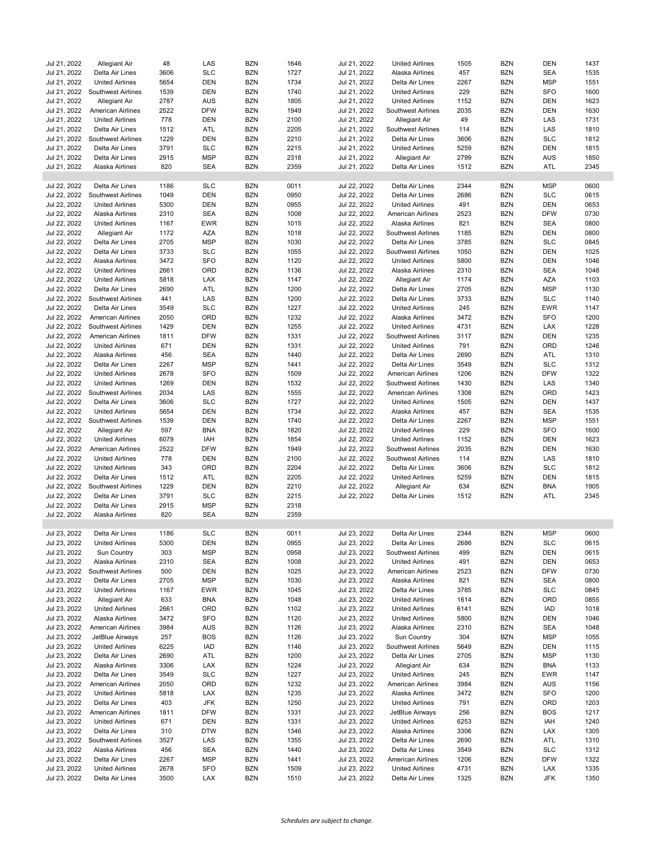| Jul 21, 2022 | Allegiant Air             | 48   | LAS        | <b>BZN</b> | 1646 | Jul 21, 2022 | <b>United Airlines</b>   | 1505 | <b>BZN</b> | <b>DEN</b> | 1437 |
|--------------|---------------------------|------|------------|------------|------|--------------|--------------------------|------|------------|------------|------|
| Jul 21, 2022 | Delta Air Lines           | 3606 | <b>SLC</b> | <b>BZN</b> | 1727 | Jul 21, 2022 | Alaska Airlines          | 457  | <b>BZN</b> | <b>SEA</b> | 1535 |
| Jul 21, 2022 | <b>United Airlines</b>    | 5654 | <b>DEN</b> | <b>BZN</b> | 1734 | Jul 21, 2022 | Delta Air Lines          | 2267 | <b>BZN</b> | <b>MSP</b> | 1551 |
| Jul 21, 2022 | Southwest Airlines        | 1539 | <b>DEN</b> | <b>BZN</b> | 1740 | Jul 21, 2022 | <b>United Airlines</b>   | 229  | <b>BZN</b> | <b>SFO</b> | 1600 |
| Jul 21, 2022 | <b>Allegiant Air</b>      | 2787 | <b>AUS</b> | <b>BZN</b> | 1805 | Jul 21, 2022 | <b>United Airlines</b>   | 1152 | <b>BZN</b> | <b>DEN</b> | 1623 |
| Jul 21, 2022 | American Airlines         | 2522 | <b>DFW</b> | <b>BZN</b> | 1949 | Jul 21, 2022 | Southwest Airlines       | 2035 | <b>BZN</b> | DEN        | 1630 |
| Jul 21, 2022 |                           | 778  | <b>DEN</b> | <b>BZN</b> | 2100 | Jul 21, 2022 | <b>Allegiant Air</b>     | 49   | <b>BZN</b> | LAS        | 1731 |
|              | <b>United Airlines</b>    |      |            |            |      |              |                          |      |            |            |      |
| Jul 21, 2022 | Delta Air Lines           | 1512 | ATL        | <b>BZN</b> | 2205 | Jul 21, 2022 | Southwest Airlines       | 114  | <b>BZN</b> | LAS        | 1810 |
| Jul 21, 2022 | Southwest Airlines        | 1229 | <b>DEN</b> | <b>BZN</b> | 2210 | Jul 21, 2022 | Delta Air Lines          | 3606 | <b>BZN</b> | <b>SLC</b> | 1812 |
| Jul 21, 2022 | Delta Air Lines           | 3791 | <b>SLC</b> | <b>BZN</b> | 2215 | Jul 21, 2022 | <b>United Airlines</b>   | 5259 | <b>BZN</b> | <b>DEN</b> | 1815 |
| Jul 21, 2022 | Delta Air Lines           | 2915 | <b>MSP</b> | <b>BZN</b> | 2318 | Jul 21, 2022 | Allegiant Air            | 2799 | <b>BZN</b> | AUS        | 1850 |
| Jul 21, 2022 | Alaska Airlines           | 820  | <b>SEA</b> | <b>BZN</b> | 2359 | Jul 21, 2022 | Delta Air Lines          | 1512 | <b>BZN</b> | ATL        | 2345 |
|              |                           |      |            |            |      |              |                          |      |            |            |      |
| Jul 22, 2022 | Delta Air Lines           | 1186 | <b>SLC</b> | <b>BZN</b> | 0011 | Jul 22, 2022 | Delta Air Lines          | 2344 | <b>BZN</b> | <b>MSP</b> | 0600 |
| Jul 22, 2022 | Southwest Airlines        | 1049 | <b>DEN</b> | <b>BZN</b> | 0950 | Jul 22, 2022 | Delta Air Lines          | 2686 | <b>BZN</b> | <b>SLC</b> | 0615 |
| Jul 22, 2022 | <b>United Airlines</b>    | 5300 | <b>DEN</b> | <b>BZN</b> | 0955 | Jul 22, 2022 | <b>United Airlines</b>   | 491  | <b>BZN</b> | <b>DEN</b> | 0653 |
| Jul 22, 2022 | Alaska Airlines           | 2310 | <b>SEA</b> | <b>BZN</b> | 1008 | Jul 22, 2022 | American Airlines        | 2523 | <b>BZN</b> | <b>DFW</b> | 0730 |
| Jul 22, 2022 | <b>United Airlines</b>    | 1167 | <b>EWR</b> | <b>BZN</b> | 1015 | Jul 22, 2022 | Alaska Airlines          | 821  | <b>BZN</b> | <b>SEA</b> | 0800 |
| Jul 22, 2022 | Allegiant Air             | 1172 | <b>AZA</b> | <b>BZN</b> | 1018 | Jul 22, 2022 | Southwest Airlines       | 1185 | <b>BZN</b> | <b>DEN</b> | 0800 |
| Jul 22, 2022 | Delta Air Lines           | 2705 | <b>MSP</b> | <b>BZN</b> | 1030 | Jul 22, 2022 | Delta Air Lines          | 3785 | <b>BZN</b> | <b>SLC</b> | 0845 |
| Jul 22, 2022 | Delta Air Lines           | 3733 | <b>SLC</b> | <b>BZN</b> | 1055 | Jul 22, 2022 | Southwest Airlines       | 1050 | <b>BZN</b> | DEN        | 1025 |
| Jul 22, 2022 | Alaska Airlines           | 3472 | <b>SFO</b> | <b>BZN</b> | 1120 | Jul 22, 2022 | <b>United Airlines</b>   | 5800 | <b>BZN</b> | <b>DEN</b> | 1046 |
| Jul 22, 2022 | <b>United Airlines</b>    | 2661 | ORD        | <b>BZN</b> | 1136 | Jul 22, 2022 | Alaska Airlines          | 2310 | <b>BZN</b> | <b>SEA</b> | 1048 |
| Jul 22, 2022 | <b>United Airlines</b>    | 5818 | LAX        | <b>BZN</b> | 1147 | Jul 22, 2022 | Allegiant Air            | 1174 | <b>BZN</b> | <b>AZA</b> | 1103 |
| Jul 22, 2022 | Delta Air Lines           | 2690 | ATL        | <b>BZN</b> | 1200 | Jul 22, 2022 | Delta Air Lines          | 2705 | <b>BZN</b> | <b>MSP</b> | 1130 |
| Jul 22, 2022 | Southwest Airlines        | 441  | LAS        | <b>BZN</b> | 1200 | Jul 22, 2022 | Delta Air Lines          | 3733 | <b>BZN</b> | <b>SLC</b> | 1140 |
| Jul 22, 2022 | Delta Air Lines           | 3549 | <b>SLC</b> | <b>BZN</b> | 1227 | Jul 22, 2022 | <b>United Airlines</b>   | 245  | <b>BZN</b> | <b>EWR</b> | 1147 |
| Jul 22, 2022 | <b>American Airlines</b>  | 2050 | ORD        | <b>BZN</b> | 1232 | Jul 22, 2022 | Alaska Airlines          | 3472 | <b>BZN</b> | <b>SFO</b> | 1200 |
| Jul 22, 2022 | Southwest Airlines        | 1429 | <b>DEN</b> | <b>BZN</b> | 1255 | Jul 22, 2022 | <b>United Airlines</b>   | 4731 | <b>BZN</b> | LAX        | 1228 |
| Jul 22, 2022 | American Airlines         | 1811 | <b>DFW</b> | <b>BZN</b> | 1331 | Jul 22, 2022 | Southwest Airlines       | 3117 | <b>BZN</b> | DEN        | 1235 |
| Jul 22, 2022 | <b>United Airlines</b>    | 671  | <b>DEN</b> | <b>BZN</b> | 1331 | Jul 22, 2022 | <b>United Airlines</b>   | 791  | <b>BZN</b> | ORD        | 1246 |
| Jul 22, 2022 | Alaska Airlines           | 456  | <b>SEA</b> | <b>BZN</b> | 1440 | Jul 22, 2022 | Delta Air Lines          | 2690 | <b>BZN</b> | ATL        | 1310 |
| Jul 22, 2022 | Delta Air Lines           | 2267 | <b>MSP</b> | <b>BZN</b> | 1441 | Jul 22, 2022 | Delta Air Lines          | 3549 | <b>BZN</b> | <b>SLC</b> | 1312 |
| Jul 22, 2022 | <b>United Airlines</b>    | 2678 | <b>SFO</b> | <b>BZN</b> | 1509 | Jul 22, 2022 | American Airlines        | 1206 | <b>BZN</b> | <b>DFW</b> | 1322 |
| Jul 22, 2022 | <b>United Airlines</b>    | 1269 | <b>DEN</b> | <b>BZN</b> | 1532 | Jul 22, 2022 | Southwest Airlines       | 1430 | <b>BZN</b> | LAS        | 1340 |
| Jul 22, 2022 |                           | 2034 | LAS        | <b>BZN</b> | 1555 |              |                          | 1308 | <b>BZN</b> |            | 1423 |
|              | Southwest Airlines        |      |            |            |      | Jul 22, 2022 | <b>American Airlines</b> |      |            | ORD        |      |
| Jul 22, 2022 | Delta Air Lines           | 3606 | <b>SLC</b> | <b>BZN</b> | 1727 | Jul 22, 2022 | <b>United Airlines</b>   | 1505 | <b>BZN</b> | <b>DEN</b> | 1437 |
| Jul 22, 2022 | <b>United Airlines</b>    | 5654 | <b>DEN</b> | <b>BZN</b> | 1734 | Jul 22, 2022 | Alaska Airlines          | 457  | <b>BZN</b> | <b>SEA</b> | 1535 |
| Jul 22, 2022 | <b>Southwest Airlines</b> | 1539 | <b>DEN</b> | <b>BZN</b> | 1740 | Jul 22, 2022 | Delta Air Lines          | 2267 | <b>BZN</b> | <b>MSP</b> | 1551 |
| Jul 22, 2022 | Allegiant Air             | 597  | <b>BNA</b> | <b>BZN</b> | 1820 | Jul 22, 2022 | <b>United Airlines</b>   | 229  | <b>BZN</b> | <b>SFO</b> | 1600 |
| Jul 22, 2022 | <b>United Airlines</b>    | 6079 | IAH        | <b>BZN</b> | 1854 | Jul 22, 2022 | <b>United Airlines</b>   | 1152 | <b>BZN</b> | <b>DEN</b> | 1623 |
| Jul 22, 2022 | <b>American Airlines</b>  | 2522 | <b>DFW</b> | <b>BZN</b> | 1949 | Jul 22, 2022 | Southwest Airlines       | 2035 | <b>BZN</b> | <b>DEN</b> | 1630 |
| Jul 22, 2022 | <b>United Airlines</b>    | 778  | <b>DEN</b> | <b>BZN</b> | 2100 | Jul 22, 2022 | Southwest Airlines       | 114  | <b>BZN</b> | LAS        | 1810 |
| Jul 22, 2022 | <b>United Airlines</b>    | 343  | ORD        | <b>BZN</b> | 2204 | Jul 22, 2022 | Delta Air Lines          | 3606 | <b>BZN</b> | <b>SLC</b> | 1812 |
| Jul 22, 2022 | Delta Air Lines           | 1512 | ATL        | <b>BZN</b> | 2205 | Jul 22, 2022 | <b>United Airlines</b>   | 5259 | <b>BZN</b> | DEN        | 1815 |
| Jul 22, 2022 | Southwest Airlines        | 1229 | <b>DEN</b> | <b>BZN</b> | 2210 | Jul 22, 2022 | Allegiant Air            | 634  | <b>BZN</b> | <b>BNA</b> | 1905 |
| Jul 22, 2022 | Delta Air Lines           | 3791 | <b>SLC</b> | <b>BZN</b> | 2215 | Jul 22, 2022 | Delta Air Lines          | 1512 | <b>BZN</b> | ATL        | 2345 |
| Jul 22, 2022 | Delta Air Lines           | 2915 | <b>MSP</b> | <b>BZN</b> | 2318 |              |                          |      |            |            |      |
| Jul 22, 2022 | Alaska Airlines           | 820  | <b>SEA</b> | <b>BZN</b> | 2359 |              |                          |      |            |            |      |
|              |                           |      |            |            |      |              |                          |      |            |            |      |
| Jul 23, 2022 | Delta Air Lines           | 1186 | <b>SLC</b> | <b>BZN</b> | 0011 | Jul 23, 2022 | Delta Air Lines          | 2344 | <b>BZN</b> | <b>MSP</b> | 0600 |
| Jul 23, 2022 | <b>United Airlines</b>    | 5300 | DEN        | <b>BZN</b> | 0955 | Jul 23, 2022 | Delta Air Lines          | 2686 | BZN        | <b>SLC</b> | 0615 |
| Jul 23, 2022 | Sun Country               | 303  | <b>MSP</b> | <b>BZN</b> | 0958 | Jul 23, 2022 | Southwest Airlines       | 499  | <b>BZN</b> | <b>DEN</b> | 0615 |
| Jul 23, 2022 | Alaska Airlines           | 2310 | SEA        | <b>BZN</b> | 1008 | Jul 23, 2022 | <b>United Airlines</b>   | 491  | <b>BZN</b> | <b>DEN</b> | 0653 |
| Jul 23, 2022 | Southwest Airlines        | 500  | DEN        | <b>BZN</b> | 1025 | Jul 23, 2022 | American Airlines        | 2523 | <b>BZN</b> | <b>DFW</b> | 0730 |
| Jul 23, 2022 | Delta Air Lines           | 2705 | <b>MSP</b> | <b>BZN</b> | 1030 | Jul 23, 2022 | Alaska Airlines          | 821  | <b>BZN</b> | <b>SEA</b> | 0800 |
| Jul 23, 2022 | <b>United Airlines</b>    | 1167 | <b>EWR</b> | <b>BZN</b> | 1045 | Jul 23, 2022 | Delta Air Lines          | 3785 | <b>BZN</b> | <b>SLC</b> | 0845 |
| Jul 23, 2022 | Allegiant Air             | 633  | <b>BNA</b> | <b>BZN</b> | 1048 | Jul 23, 2022 | <b>United Airlines</b>   | 1614 | BZN        | ORD        | 0855 |
| Jul 23, 2022 | <b>United Airlines</b>    | 2661 | ORD        | <b>BZN</b> | 1102 | Jul 23, 2022 | <b>United Airlines</b>   | 6141 | <b>BZN</b> | <b>IAD</b> | 1018 |
| Jul 23, 2022 | Alaska Airlines           | 3472 | <b>SFO</b> | <b>BZN</b> | 1120 | Jul 23, 2022 | <b>United Airlines</b>   | 5800 | <b>BZN</b> | <b>DEN</b> | 1046 |
| Jul 23, 2022 | American Airlines         | 3984 | <b>AUS</b> | <b>BZN</b> | 1126 | Jul 23, 2022 | Alaska Airlines          | 2310 | <b>BZN</b> | <b>SEA</b> | 1048 |
| Jul 23, 2022 | JetBlue Airways           | 257  | <b>BOS</b> | <b>BZN</b> | 1126 | Jul 23, 2022 | Sun Country              | 304  | <b>BZN</b> | <b>MSP</b> | 1055 |
| Jul 23, 2022 | <b>United Airlines</b>    | 6225 | IAD        | <b>BZN</b> | 1146 | Jul 23, 2022 | Southwest Airlines       | 5649 | <b>BZN</b> | <b>DEN</b> | 1115 |
| Jul 23, 2022 | Delta Air Lines           | 2690 | ATL        | <b>BZN</b> | 1200 | Jul 23, 2022 | Delta Air Lines          | 2705 | <b>BZN</b> | <b>MSP</b> | 1130 |
| Jul 23, 2022 | Alaska Airlines           | 3306 | LAX        | <b>BZN</b> | 1224 | Jul 23, 2022 | Allegiant Air            | 634  | BZN        | <b>BNA</b> | 1133 |
| Jul 23, 2022 | Delta Air Lines           | 3549 | <b>SLC</b> | <b>BZN</b> | 1227 | Jul 23, 2022 | <b>United Airlines</b>   | 245  | <b>BZN</b> | EWR        | 1147 |
| Jul 23, 2022 | American Airlines         | 2050 | ORD        | <b>BZN</b> | 1232 | Jul 23, 2022 | American Airlines        | 3984 | <b>BZN</b> | <b>AUS</b> | 1156 |
| Jul 23, 2022 | <b>United Airlines</b>    | 5818 | LAX        | <b>BZN</b> | 1235 | Jul 23, 2022 | Alaska Airlines          | 3472 | <b>BZN</b> | <b>SFO</b> | 1200 |
| Jul 23, 2022 | Delta Air Lines           | 403  | <b>JFK</b> | <b>BZN</b> | 1250 | Jul 23, 2022 | <b>United Airlines</b>   | 791  | <b>BZN</b> | ORD        | 1203 |
| Jul 23, 2022 | American Airlines         | 1811 | <b>DFW</b> | <b>BZN</b> | 1331 | Jul 23, 2022 | JetBlue Airways          | 256  | <b>BZN</b> | <b>BOS</b> | 1217 |
| Jul 23, 2022 | <b>United Airlines</b>    | 671  | DEN        | <b>BZN</b> | 1331 | Jul 23, 2022 | <b>United Airlines</b>   | 6253 | BZN        | IAH        | 1240 |
| Jul 23, 2022 | Delta Air Lines           | 310  | <b>DTW</b> | <b>BZN</b> | 1346 | Jul 23, 2022 | Alaska Airlines          | 3306 | <b>BZN</b> | LAX        | 1305 |
| Jul 23, 2022 | Southwest Airlines        | 3527 | LAS        | <b>BZN</b> | 1355 | Jul 23, 2022 | Delta Air Lines          | 2690 | <b>BZN</b> | ATL        | 1310 |
| Jul 23, 2022 | Alaska Airlines           | 456  | <b>SEA</b> | <b>BZN</b> | 1440 | Jul 23, 2022 | Delta Air Lines          | 3549 | <b>BZN</b> | <b>SLC</b> | 1312 |
| Jul 23, 2022 | Delta Air Lines           | 2267 | <b>MSP</b> | <b>BZN</b> | 1441 | Jul 23, 2022 | American Airlines        | 1206 | <b>BZN</b> | <b>DFW</b> | 1322 |
| Jul 23, 2022 | <b>United Airlines</b>    | 2678 | <b>SFO</b> | <b>BZN</b> | 1509 | Jul 23, 2022 | <b>United Airlines</b>   | 4731 | <b>BZN</b> | LAX        | 1335 |
| Jul 23, 2022 | Delta Air Lines           | 3500 | LAX        | <b>BZN</b> |      | Jul 23, 2022 |                          | 1325 | <b>BZN</b> | JFK        | 1350 |
|              |                           |      |            |            | 1510 |              | Delta Air Lines          |      |            |            |      |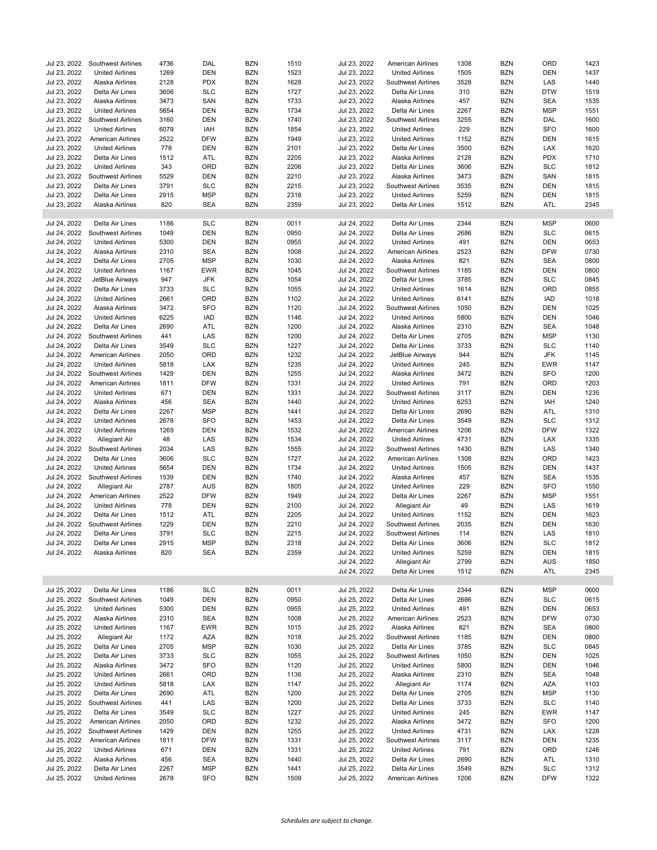| Jul 23, 2022 | <b>Southwest Airlines</b> | 4736 | DAL        | <b>BZN</b> | 1510 | Jul 23, 2022 | American Airlines         | 1308 | <b>BZN</b> | ORD        | 1423 |
|--------------|---------------------------|------|------------|------------|------|--------------|---------------------------|------|------------|------------|------|
| Jul 23, 2022 | <b>United Airlines</b>    | 1269 | <b>DEN</b> | <b>BZN</b> | 1523 | Jul 23, 2022 | <b>United Airlines</b>    | 1505 | <b>BZN</b> | <b>DEN</b> | 1437 |
|              |                           |      |            |            |      |              |                           |      |            |            |      |
| Jul 23, 2022 | Alaska Airlines           | 2128 | <b>PDX</b> | <b>BZN</b> | 1628 | Jul 23, 2022 | <b>Southwest Airlines</b> | 3528 | <b>BZN</b> | LAS        | 1440 |
| Jul 23, 2022 | Delta Air Lines           | 3606 | <b>SLC</b> | <b>BZN</b> | 1727 | Jul 23, 2022 | Delta Air Lines           | 310  | <b>BZN</b> | <b>DTW</b> | 1519 |
| Jul 23, 2022 | Alaska Airlines           | 3473 | SAN        | <b>BZN</b> | 1733 | Jul 23, 2022 | Alaska Airlines           | 457  | <b>BZN</b> | <b>SEA</b> | 1535 |
| Jul 23, 2022 | <b>United Airlines</b>    | 5654 | <b>DEN</b> | <b>BZN</b> | 1734 | Jul 23, 2022 | Delta Air Lines           | 2267 | <b>BZN</b> | <b>MSP</b> | 1551 |
| Jul 23, 2022 | Southwest Airlines        | 3160 | <b>DEN</b> | <b>BZN</b> | 1740 | Jul 23, 2022 | <b>Southwest Airlines</b> | 3255 | <b>BZN</b> | DAL        | 1600 |
| Jul 23, 2022 | <b>United Airlines</b>    | 6079 | IAH        | <b>BZN</b> | 1854 | Jul 23, 2022 | <b>United Airlines</b>    | 229  | <b>BZN</b> | <b>SFO</b> | 1600 |
| Jul 23, 2022 | <b>American Airlines</b>  | 2522 | <b>DFW</b> | <b>BZN</b> | 1949 | Jul 23, 2022 | <b>United Airlines</b>    | 1152 | <b>BZN</b> | <b>DEN</b> | 1615 |
| Jul 23, 2022 | <b>United Airlines</b>    | 778  | <b>DEN</b> | <b>BZN</b> | 2101 | Jul 23, 2022 | Delta Air Lines           | 3500 | <b>BZN</b> | <b>LAX</b> | 1620 |
| Jul 23, 2022 | Delta Air Lines           | 1512 | ATL        | <b>BZN</b> | 2205 | Jul 23, 2022 | Alaska Airlines           | 2128 | <b>BZN</b> | <b>PDX</b> | 1710 |
|              |                           |      |            |            |      |              |                           |      |            |            |      |
| Jul 23, 2022 | <b>United Airlines</b>    | 343  | ORD        | <b>BZN</b> | 2206 | Jul 23, 2022 | Delta Air Lines           | 3606 | <b>BZN</b> | <b>SLC</b> | 1812 |
| Jul 23, 2022 | Southwest Airlines        | 5529 | <b>DEN</b> | <b>BZN</b> | 2210 | Jul 23, 2022 | Alaska Airlines           | 3473 | <b>BZN</b> | SAN        | 1815 |
| Jul 23, 2022 | Delta Air Lines           | 3791 | <b>SLC</b> | <b>BZN</b> | 2215 | Jul 23, 2022 | Southwest Airlines        | 3535 | <b>BZN</b> | <b>DEN</b> | 1815 |
| Jul 23, 2022 | Delta Air Lines           | 2915 | <b>MSP</b> | <b>BZN</b> | 2318 | Jul 23, 2022 | <b>United Airlines</b>    | 5259 | <b>BZN</b> | <b>DEN</b> | 1815 |
| Jul 23, 2022 | Alaska Airlines           | 820  | <b>SEA</b> | <b>BZN</b> | 2359 | Jul 23, 2022 | Delta Air Lines           | 1512 | <b>BZN</b> | ATL        | 2345 |
|              |                           |      |            |            |      |              |                           |      |            |            |      |
| Jul 24, 2022 | Delta Air Lines           | 1186 | <b>SLC</b> | <b>BZN</b> | 0011 | Jul 24, 2022 | Delta Air Lines           | 2344 | <b>BZN</b> | <b>MSP</b> | 0600 |
| Jul 24, 2022 | Southwest Airlines        | 1049 | <b>DEN</b> | <b>BZN</b> | 0950 | Jul 24, 2022 | Delta Air Lines           | 2686 | <b>BZN</b> | <b>SLC</b> | 0615 |
|              |                           |      |            |            |      |              |                           |      |            |            |      |
| Jul 24, 2022 | <b>United Airlines</b>    | 5300 | <b>DEN</b> | <b>BZN</b> | 0955 | Jul 24, 2022 | <b>United Airlines</b>    | 491  | <b>BZN</b> | <b>DEN</b> | 0653 |
| Jul 24, 2022 | Alaska Airlines           | 2310 | <b>SEA</b> | <b>BZN</b> | 1008 | Jul 24, 2022 | American Airlines         | 2523 | <b>BZN</b> | <b>DFW</b> | 0730 |
| Jul 24, 2022 | Delta Air Lines           | 2705 | <b>MSP</b> | <b>BZN</b> | 1030 | Jul 24, 2022 | Alaska Airlines           | 821  | <b>BZN</b> | <b>SEA</b> | 0800 |
| Jul 24, 2022 | <b>United Airlines</b>    | 1167 | <b>EWR</b> | <b>BZN</b> | 1045 | Jul 24, 2022 | <b>Southwest Airlines</b> | 1185 | <b>BZN</b> | <b>DEN</b> | 0800 |
| Jul 24, 2022 | JetBlue Airways           | 947  | <b>JFK</b> | <b>BZN</b> | 1054 | Jul 24, 2022 | Delta Air Lines           | 3785 | <b>BZN</b> | <b>SLC</b> | 0845 |
| Jul 24, 2022 | Delta Air Lines           | 3733 | <b>SLC</b> | <b>BZN</b> | 1055 | Jul 24, 2022 | <b>United Airlines</b>    | 1614 | <b>BZN</b> | ORD        | 0855 |
| Jul 24, 2022 | <b>United Airlines</b>    | 2661 | ORD        | <b>BZN</b> | 1102 | Jul 24, 2022 | <b>United Airlines</b>    | 6141 | <b>BZN</b> | <b>IAD</b> | 1018 |
| Jul 24, 2022 | Alaska Airlines           | 3472 | <b>SFO</b> | <b>BZN</b> | 1120 | Jul 24, 2022 | Southwest Airlines        | 1050 | <b>BZN</b> | <b>DEN</b> | 1025 |
|              |                           |      |            |            |      |              |                           |      |            |            |      |
| Jul 24, 2022 | <b>United Airlines</b>    | 6225 | <b>IAD</b> | <b>BZN</b> | 1146 | Jul 24, 2022 | <b>United Airlines</b>    | 5800 | <b>BZN</b> | <b>DEN</b> | 1046 |
| Jul 24, 2022 | Delta Air Lines           | 2690 | ATL        | <b>BZN</b> | 1200 | Jul 24, 2022 | Alaska Airlines           | 2310 | <b>BZN</b> | <b>SEA</b> | 1048 |
| Jul 24, 2022 | Southwest Airlines        | 441  | LAS        | <b>BZN</b> | 1200 | Jul 24, 2022 | Delta Air Lines           | 2705 | <b>BZN</b> | <b>MSP</b> | 1130 |
| Jul 24, 2022 | Delta Air Lines           | 3549 | <b>SLC</b> | <b>BZN</b> | 1227 | Jul 24, 2022 | Delta Air Lines           | 3733 | <b>BZN</b> | <b>SLC</b> | 1140 |
| Jul 24, 2022 | <b>American Airlines</b>  | 2050 | ORD        | <b>BZN</b> | 1232 | Jul 24, 2022 | JetBlue Airways           | 944  | <b>BZN</b> | <b>JFK</b> | 1145 |
| Jul 24, 2022 | <b>United Airlines</b>    | 5818 | LAX        | <b>BZN</b> | 1235 | Jul 24, 2022 | <b>United Airlines</b>    | 245  | <b>BZN</b> | <b>EWR</b> | 1147 |
| Jul 24, 2022 | Southwest Airlines        | 1429 | <b>DEN</b> | <b>BZN</b> | 1255 | Jul 24, 2022 | Alaska Airlines           | 3472 | <b>BZN</b> | <b>SFO</b> | 1200 |
| Jul 24, 2022 | <b>American Airlines</b>  | 1811 | <b>DFW</b> | <b>BZN</b> | 1331 | Jul 24, 2022 | <b>United Airlines</b>    | 791  | <b>BZN</b> | ORD        | 1203 |
|              |                           |      | <b>DEN</b> | <b>BZN</b> |      |              |                           | 3117 | <b>BZN</b> | <b>DEN</b> | 1235 |
| Jul 24, 2022 | <b>United Airlines</b>    | 671  |            |            | 1331 | Jul 24, 2022 | Southwest Airlines        |      |            |            |      |
| Jul 24, 2022 | Alaska Airlines           | 456  | <b>SEA</b> | <b>BZN</b> | 1440 | Jul 24, 2022 | <b>United Airlines</b>    | 6253 | <b>BZN</b> | IAH        | 1240 |
| Jul 24, 2022 | Delta Air Lines           | 2267 | <b>MSP</b> | <b>BZN</b> | 1441 | Jul 24, 2022 | Delta Air Lines           | 2690 | <b>BZN</b> | ATL        | 1310 |
| Jul 24, 2022 | <b>United Airlines</b>    | 2678 | <b>SFO</b> | <b>BZN</b> | 1453 | Jul 24, 2022 | Delta Air Lines           | 3549 | <b>BZN</b> | <b>SLC</b> | 1312 |
| Jul 24, 2022 | <b>United Airlines</b>    | 1269 | <b>DEN</b> | <b>BZN</b> | 1532 | Jul 24, 2022 | American Airlines         | 1206 | <b>BZN</b> | <b>DFW</b> | 1322 |
| Jul 24, 2022 | Allegiant Air             | 48   | LAS        | <b>BZN</b> | 1534 | Jul 24, 2022 | <b>United Airlines</b>    | 4731 | <b>BZN</b> | <b>LAX</b> | 1335 |
| Jul 24, 2022 | <b>Southwest Airlines</b> | 2034 | LAS        | <b>BZN</b> | 1555 | Jul 24, 2022 | <b>Southwest Airlines</b> | 1430 | <b>BZN</b> | LAS        | 1340 |
| Jul 24, 2022 | Delta Air Lines           | 3606 | <b>SLC</b> | <b>BZN</b> | 1727 | Jul 24, 2022 | American Airlines         | 1308 | <b>BZN</b> | ORD        | 1423 |
| Jul 24, 2022 | <b>United Airlines</b>    | 5654 | <b>DEN</b> | <b>BZN</b> | 1734 | Jul 24, 2022 | <b>United Airlines</b>    | 1505 | <b>BZN</b> | <b>DEN</b> | 1437 |
|              |                           |      |            |            |      |              |                           |      |            |            |      |
| Jul 24, 2022 | <b>Southwest Airlines</b> | 1539 | <b>DEN</b> | <b>BZN</b> | 1740 | Jul 24, 2022 | Alaska Airlines           | 457  | <b>BZN</b> | <b>SEA</b> | 1535 |
| Jul 24, 2022 | <b>Allegiant Air</b>      | 2787 | <b>AUS</b> | <b>BZN</b> | 1805 | Jul 24, 2022 | <b>United Airlines</b>    | 229  | <b>BZN</b> | <b>SFO</b> | 1550 |
| Jul 24, 2022 | <b>American Airlines</b>  | 2522 | <b>DFW</b> | <b>BZN</b> | 1949 | Jul 24, 2022 | Delta Air Lines           | 2267 | <b>BZN</b> | <b>MSP</b> | 1551 |
| Jul 24, 2022 | <b>United Airlines</b>    | 778  | <b>DEN</b> | <b>BZN</b> | 2100 | Jul 24, 2022 | Allegiant Air             | 49   | <b>BZN</b> | LAS        | 1619 |
| Jul 24, 2022 | Delta Air Lines           | 1512 | ATL        | <b>BZN</b> | 2205 | Jul 24, 2022 | <b>United Airlines</b>    | 1152 | <b>BZN</b> | <b>DEN</b> | 1623 |
| Jul 24, 2022 | Southwest Airlines        | 1229 | <b>DEN</b> | <b>BZN</b> | 2210 | Jul 24, 2022 | Southwest Airlines        | 2035 | <b>BZN</b> | <b>DEN</b> | 1630 |
| Jul 24, 2022 | Delta Air Lines           | 3791 | <b>SLC</b> | <b>BZN</b> | 2215 | Jul 24, 2022 | <b>Southwest Airlines</b> | 114  | <b>BZN</b> | LAS        | 1810 |
| Jul 24, 2022 | Delta Air Lines           | 2915 | <b>MSP</b> | <b>BZN</b> | 2318 | Jul 24, 2022 | Delta Air Lines           | 3606 | <b>BZN</b> | <b>SLC</b> | 1812 |
|              |                           |      |            |            |      |              |                           |      |            |            |      |
| Jul 24, 2022 | Alaska Airlines           | 820  | <b>SEA</b> | <b>BZN</b> | 2359 | Jul 24, 2022 | <b>United Airlines</b>    | 5259 | <b>BZN</b> | <b>DEN</b> | 1815 |
|              |                           |      |            |            |      | Jul 24, 2022 | Allegiant Air             | 2799 | <b>BZN</b> | <b>AUS</b> | 1850 |
|              |                           |      |            |            |      | Jul 24, 2022 | Delta Air Lines           | 1512 | <b>BZN</b> | ATL        | 2345 |
|              |                           |      |            |            |      |              |                           |      |            |            |      |
| Jul 25, 2022 | Delta Air Lines           | 1186 | <b>SLC</b> | <b>BZN</b> | 0011 | Jul 25, 2022 | Delta Air Lines           | 2344 | BZN        | <b>MSP</b> | 0600 |
| Jul 25, 2022 | Southwest Airlines        | 1049 | DEN        | <b>BZN</b> | 0950 | Jul 25, 2022 | Delta Air Lines           | 2686 | <b>BZN</b> | <b>SLC</b> | 0615 |
| Jul 25, 2022 | <b>United Airlines</b>    | 5300 | <b>DEN</b> | <b>BZN</b> | 0955 | Jul 25, 2022 | <b>United Airlines</b>    | 491  | <b>BZN</b> | <b>DEN</b> | 0653 |
| Jul 25, 2022 | Alaska Airlines           | 2310 | SEA        | <b>BZN</b> | 1008 | Jul 25, 2022 | American Airlines         | 2523 | <b>BZN</b> | <b>DFW</b> | 0730 |
| Jul 25, 2022 | <b>United Airlines</b>    | 1167 | EWR        | <b>BZN</b> | 1015 | Jul 25, 2022 | Alaska Airlines           | 821  | <b>BZN</b> | SEA        | 0800 |
| Jul 25, 2022 | Allegiant Air             | 1172 | AZA        | <b>BZN</b> | 1018 | Jul 25, 2022 | <b>Southwest Airlines</b> | 1185 | <b>BZN</b> | <b>DEN</b> | 0800 |
| Jul 25, 2022 | Delta Air Lines           |      | MSP        | <b>BZN</b> |      |              | Delta Air Lines           | 3785 | <b>BZN</b> | <b>SLC</b> | 0845 |
|              |                           | 2705 |            |            | 1030 | Jul 25, 2022 |                           |      |            |            |      |
| Jul 25, 2022 | Delta Air Lines           | 3733 | <b>SLC</b> | <b>BZN</b> | 1055 | Jul 25, 2022 | Southwest Airlines        | 1050 | <b>BZN</b> | DEN        | 1025 |
| Jul 25, 2022 | Alaska Airlines           | 3472 | <b>SFO</b> | <b>BZN</b> | 1120 | Jul 25, 2022 | <b>United Airlines</b>    | 5800 | <b>BZN</b> | DEN        | 1046 |
| Jul 25, 2022 | <b>United Airlines</b>    | 2661 | ORD        | <b>BZN</b> | 1136 | Jul 25, 2022 | Alaska Airlines           | 2310 | <b>BZN</b> | <b>SEA</b> | 1048 |
| Jul 25, 2022 | <b>United Airlines</b>    | 5818 | LAX        | <b>BZN</b> | 1147 | Jul 25, 2022 | Allegiant Air             | 1174 | <b>BZN</b> | AZA        | 1103 |
| Jul 25, 2022 | Delta Air Lines           | 2690 | ATL        | <b>BZN</b> | 1200 | Jul 25, 2022 | Delta Air Lines           | 2705 | <b>BZN</b> | <b>MSP</b> | 1130 |
| Jul 25, 2022 | Southwest Airlines        | 441  | LAS        | <b>BZN</b> | 1200 | Jul 25, 2022 | Delta Air Lines           | 3733 | BZN        | <b>SLC</b> | 1140 |
| Jul 25, 2022 | Delta Air Lines           | 3549 | <b>SLC</b> | <b>BZN</b> | 1227 | Jul 25, 2022 | <b>United Airlines</b>    | 245  | BZN        | EWR        | 1147 |
| Jul 25, 2022 | American Airlines         | 2050 | ORD        | <b>BZN</b> | 1232 | Jul 25, 2022 | Alaska Airlines           | 3472 | <b>BZN</b> | <b>SFO</b> | 1200 |
|              |                           |      |            |            |      |              |                           |      |            |            |      |
| Jul 25, 2022 | Southwest Airlines        | 1429 | <b>DEN</b> | <b>BZN</b> | 1255 | Jul 25, 2022 | <b>United Airlines</b>    | 4731 | <b>BZN</b> | LAX        | 1228 |
| Jul 25, 2022 | <b>American Airlines</b>  | 1811 | <b>DFW</b> | <b>BZN</b> | 1331 | Jul 25, 2022 | <b>Southwest Airlines</b> | 3117 | <b>BZN</b> | <b>DEN</b> | 1235 |
| Jul 25, 2022 | <b>United Airlines</b>    | 671  | DEN        | <b>BZN</b> | 1331 | Jul 25, 2022 | <b>United Airlines</b>    | 791  | <b>BZN</b> | ORD        | 1246 |
| Jul 25, 2022 | Alaska Airlines           | 456  | <b>SEA</b> | <b>BZN</b> | 1440 | Jul 25, 2022 | Delta Air Lines           | 2690 | BZN        | ATL        | 1310 |
| Jul 25, 2022 | Delta Air Lines           | 2267 | <b>MSP</b> | <b>BZN</b> | 1441 | Jul 25, 2022 | Delta Air Lines           | 3549 | <b>BZN</b> | <b>SLC</b> | 1312 |
| Jul 25, 2022 | <b>United Airlines</b>    | 2678 | <b>SFO</b> | <b>BZN</b> | 1509 | Jul 25, 2022 | American Airlines         | 1206 | <b>BZN</b> | <b>DFW</b> | 1322 |
|              |                           |      |            |            |      |              |                           |      |            |            |      |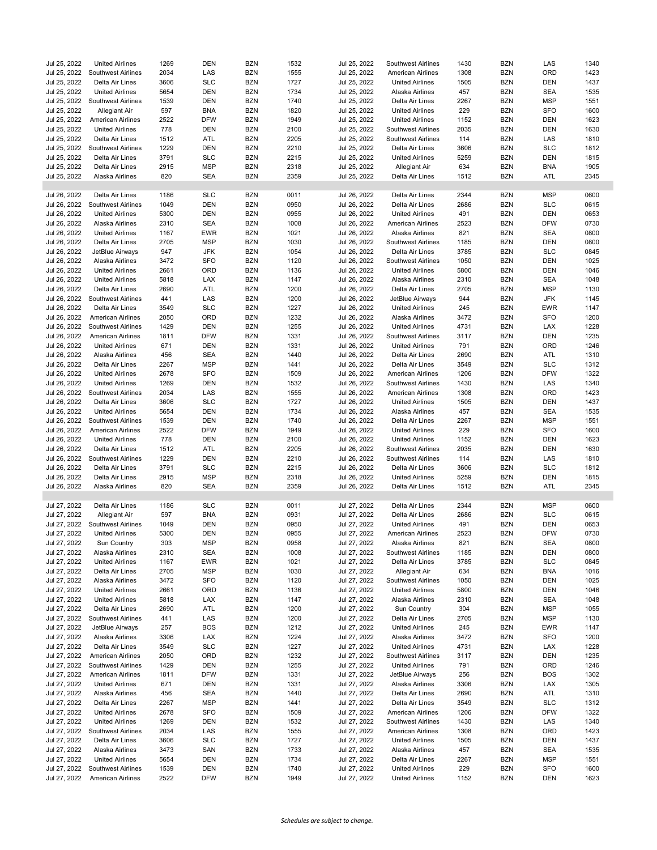| Jul 25, 2022                 | <b>United Airlines</b>                         | 1269         | <b>DEN</b>               | <b>BZN</b>               | 1532         | Jul 25, 2022                 | Southwest Airlines                               | 1430        | <b>BZN</b>               | LAS                      | 1340         |
|------------------------------|------------------------------------------------|--------------|--------------------------|--------------------------|--------------|------------------------------|--------------------------------------------------|-------------|--------------------------|--------------------------|--------------|
| Jul 25, 2022                 | Southwest Airlines                             | 2034         | LAS                      | <b>BZN</b>               | 1555         | Jul 25, 2022                 | American Airlines                                | 1308        | <b>BZN</b>               | ORD                      | 1423         |
| Jul 25, 2022                 | Delta Air Lines                                | 3606         | <b>SLC</b>               | <b>BZN</b>               | 1727         | Jul 25, 2022                 | <b>United Airlines</b>                           | 1505        | <b>BZN</b>               | <b>DEN</b>               | 1437         |
| Jul 25, 2022                 | <b>United Airlines</b>                         | 5654         | <b>DEN</b>               | <b>BZN</b>               | 1734         | Jul 25, 2022                 | Alaska Airlines                                  | 457         | <b>BZN</b>               | <b>SEA</b>               | 1535         |
| Jul 25, 2022                 | Southwest Airlines                             | 1539         | <b>DEN</b>               | <b>BZN</b>               | 1740         | Jul 25, 2022                 | Delta Air Lines                                  | 2267        | <b>BZN</b>               | <b>MSP</b>               | 1551         |
| Jul 25, 2022                 | Allegiant Air                                  | 597          | <b>BNA</b>               | <b>BZN</b>               | 1820         | Jul 25, 2022                 | <b>United Airlines</b>                           | 229         | <b>BZN</b>               | <b>SFO</b>               | 1600         |
| Jul 25, 2022                 | American Airlines                              | 2522         | <b>DFW</b>               | <b>BZN</b>               | 1949         | Jul 25, 2022                 | <b>United Airlines</b>                           | 1152        | <b>BZN</b>               | <b>DEN</b>               | 1623         |
| Jul 25, 2022                 | <b>United Airlines</b>                         | 778          | DEN                      | <b>BZN</b>               | 2100         | Jul 25, 2022                 | Southwest Airlines                               | 2035        | <b>BZN</b>               | DEN                      | 1630         |
| Jul 25, 2022                 | Delta Air Lines                                | 1512         | ATL                      | <b>BZN</b>               | 2205         | Jul 25, 2022                 | Southwest Airlines                               | 114         | <b>BZN</b>               | LAS                      | 1810         |
| Jul 25, 2022                 | Southwest Airlines                             | 1229         | <b>DEN</b>               | <b>BZN</b>               | 2210         | Jul 25, 2022                 | Delta Air Lines                                  | 3606        | <b>BZN</b>               | <b>SLC</b>               | 1812         |
| Jul 25, 2022                 | Delta Air Lines                                | 3791         | <b>SLC</b>               | <b>BZN</b>               | 2215         | Jul 25, 2022                 | <b>United Airlines</b>                           | 5259        | <b>BZN</b>               | <b>DEN</b>               | 1815         |
| Jul 25, 2022                 | Delta Air Lines                                | 2915         | <b>MSP</b>               | <b>BZN</b>               | 2318         | Jul 25, 2022                 | Allegiant Air                                    | 634         | <b>BZN</b>               | <b>BNA</b>               | 1905         |
| Jul 25, 2022                 | Alaska Airlines                                | 820          | <b>SEA</b>               | <b>BZN</b>               | 2359         | Jul 25, 2022                 | Delta Air Lines                                  | 1512        | <b>BZN</b>               | ATL                      | 2345         |
|                              |                                                |              |                          |                          |              |                              |                                                  |             |                          |                          |              |
| Jul 26, 2022                 | Delta Air Lines                                | 1186         | <b>SLC</b>               | <b>BZN</b>               | 0011         | Jul 26, 2022                 | Delta Air Lines                                  | 2344        | <b>BZN</b>               | <b>MSP</b>               | 0600         |
| Jul 26, 2022                 | Southwest Airlines                             | 1049         | <b>DEN</b>               | <b>BZN</b>               | 0950         | Jul 26, 2022                 | Delta Air Lines                                  | 2686        | <b>BZN</b>               | <b>SLC</b>               | 0615         |
|                              |                                                |              |                          |                          |              |                              |                                                  |             |                          |                          |              |
| Jul 26, 2022                 | <b>United Airlines</b>                         | 5300         | <b>DEN</b>               | <b>BZN</b>               | 0955         | Jul 26, 2022                 | <b>United Airlines</b>                           | 491         | <b>BZN</b>               | <b>DEN</b>               | 0653         |
| Jul 26, 2022                 | Alaska Airlines                                | 2310         | <b>SEA</b>               | <b>BZN</b>               | 1008         | Jul 26, 2022                 | American Airlines                                | 2523        | <b>BZN</b>               | <b>DFW</b>               | 0730         |
| Jul 26, 2022                 | <b>United Airlines</b>                         | 1167         | <b>EWR</b>               | <b>BZN</b>               | 1021         | Jul 26, 2022                 | Alaska Airlines                                  | 821         | <b>BZN</b>               | <b>SEA</b>               | 0800         |
| Jul 26, 2022                 | Delta Air Lines                                | 2705         | <b>MSP</b>               | <b>BZN</b>               | 1030         | Jul 26, 2022                 | <b>Southwest Airlines</b>                        | 1185        | <b>BZN</b>               | <b>DEN</b>               | 0800         |
| Jul 26, 2022                 | JetBlue Airways                                | 947          | <b>JFK</b>               | <b>BZN</b>               | 1054         | Jul 26, 2022                 | Delta Air Lines                                  | 3785        | <b>BZN</b>               | <b>SLC</b>               | 0845         |
| Jul 26, 2022                 | Alaska Airlines                                | 3472         | <b>SFO</b>               | <b>BZN</b>               | 1120         | Jul 26, 2022                 | Southwest Airlines                               | 1050        | <b>BZN</b>               | <b>DEN</b>               | 1025         |
| Jul 26, 2022                 | <b>United Airlines</b>                         | 2661         | ORD                      | <b>BZN</b>               | 1136         | Jul 26, 2022                 | <b>United Airlines</b>                           | 5800        | <b>BZN</b>               | DEN                      | 1046         |
| Jul 26, 2022                 | <b>United Airlines</b>                         | 5818         | LAX                      | <b>BZN</b>               | 1147         | Jul 26, 2022                 | Alaska Airlines                                  | 2310        | <b>BZN</b>               | <b>SEA</b>               | 1048         |
| Jul 26, 2022                 | Delta Air Lines                                | 2690         | ATL                      | <b>BZN</b>               | 1200         | Jul 26, 2022                 | Delta Air Lines                                  | 2705        | <b>BZN</b>               | <b>MSP</b>               | 1130         |
| Jul 26, 2022                 | <b>Southwest Airlines</b>                      | 441          | LAS                      | <b>BZN</b>               | 1200         | Jul 26, 2022                 | JetBlue Airways                                  | 944         | <b>BZN</b>               | <b>JFK</b>               | 1145         |
| Jul 26, 2022                 | Delta Air Lines                                | 3549         | <b>SLC</b>               | <b>BZN</b>               | 1227         | Jul 26, 2022                 | <b>United Airlines</b>                           | 245         | <b>BZN</b>               | EWR                      | 1147         |
| Jul 26, 2022                 | American Airlines                              | 2050         | ORD                      | <b>BZN</b>               | 1232         | Jul 26, 2022                 | Alaska Airlines                                  | 3472        | <b>BZN</b>               | <b>SFO</b>               | 1200         |
| Jul 26, 2022                 | Southwest Airlines                             | 1429         | <b>DEN</b>               | <b>BZN</b>               | 1255         | Jul 26, 2022                 | <b>United Airlines</b>                           | 4731        | <b>BZN</b>               | <b>LAX</b>               | 1228         |
| Jul 26, 2022                 | <b>American Airlines</b>                       | 1811         | <b>DFW</b>               | <b>BZN</b>               | 1331         | Jul 26, 2022                 | <b>Southwest Airlines</b>                        | 3117        | <b>BZN</b>               | <b>DEN</b>               | 1235         |
| Jul 26, 2022                 | <b>United Airlines</b>                         | 671          | <b>DEN</b>               | <b>BZN</b>               | 1331         | Jul 26, 2022                 | <b>United Airlines</b>                           | 791         | <b>BZN</b>               | ORD                      | 1246         |
| Jul 26, 2022                 | Alaska Airlines                                | 456          | <b>SEA</b>               | <b>BZN</b>               | 1440         | Jul 26, 2022                 | Delta Air Lines                                  | 2690        | <b>BZN</b>               | ATL                      | 1310         |
| Jul 26, 2022                 | Delta Air Lines                                | 2267         | <b>MSP</b>               | <b>BZN</b>               | 1441         | Jul 26, 2022                 | Delta Air Lines                                  | 3549        | <b>BZN</b>               | <b>SLC</b>               | 1312         |
| Jul 26, 2022                 | <b>United Airlines</b>                         | 2678         | <b>SFO</b>               | <b>BZN</b>               | 1509         | Jul 26, 2022                 | American Airlines                                | 1206        | <b>BZN</b>               | <b>DFW</b>               | 1322         |
| Jul 26, 2022                 | <b>United Airlines</b>                         | 1269         | <b>DEN</b>               | <b>BZN</b>               | 1532         | Jul 26, 2022                 | Southwest Airlines                               | 1430        | <b>BZN</b>               | LAS                      | 1340         |
| Jul 26, 2022                 | Southwest Airlines                             | 2034         | LAS                      | <b>BZN</b>               | 1555         | Jul 26, 2022                 | American Airlines                                | 1308        | <b>BZN</b>               | ORD                      | 1423         |
|                              |                                                |              |                          |                          |              |                              |                                                  |             |                          |                          |              |
| Jul 26, 2022                 | Delta Air Lines                                | 3606         | <b>SLC</b>               | <b>BZN</b>               | 1727         | Jul 26, 2022                 | <b>United Airlines</b>                           | 1505        | <b>BZN</b>               | <b>DEN</b>               | 1437         |
| Jul 26, 2022<br>Jul 26, 2022 | <b>United Airlines</b>                         | 5654         | <b>DEN</b>               | <b>BZN</b>               | 1734         | Jul 26, 2022                 | Alaska Airlines                                  | 457         | <b>BZN</b>               | <b>SEA</b><br><b>MSP</b> | 1535<br>1551 |
|                              |                                                |              |                          |                          |              |                              |                                                  |             |                          |                          |              |
|                              | Southwest Airlines                             | 1539         | <b>DEN</b>               | <b>BZN</b>               | 1740         | Jul 26, 2022                 | Delta Air Lines                                  | 2267        | <b>BZN</b>               |                          |              |
| Jul 26, 2022                 | <b>American Airlines</b>                       | 2522         | <b>DFW</b>               | <b>BZN</b>               | 1949         | Jul 26, 2022                 | <b>United Airlines</b>                           | 229         | <b>BZN</b>               | <b>SFO</b>               | 1600         |
| Jul 26, 2022                 | <b>United Airlines</b>                         | 778          | <b>DEN</b>               | <b>BZN</b>               | 2100         | Jul 26, 2022                 | <b>United Airlines</b>                           | 1152        | <b>BZN</b>               | <b>DEN</b>               | 1623         |
| Jul 26, 2022                 | Delta Air Lines                                | 1512         | ATL                      | <b>BZN</b>               | 2205         | Jul 26, 2022                 | Southwest Airlines                               | 2035        | <b>BZN</b>               | <b>DEN</b>               | 1630         |
| Jul 26, 2022                 | Southwest Airlines                             | 1229         | <b>DEN</b>               | <b>BZN</b>               | 2210         | Jul 26, 2022                 | Southwest Airlines                               | 114         | <b>BZN</b>               | LAS                      | 1810         |
| Jul 26, 2022                 | Delta Air Lines                                | 3791         | <b>SLC</b>               | <b>BZN</b>               | 2215         | Jul 26, 2022                 | Delta Air Lines                                  | 3606        | <b>BZN</b>               | <b>SLC</b>               | 1812         |
| Jul 26, 2022                 | Delta Air Lines                                | 2915         | <b>MSP</b>               | <b>BZN</b>               | 2318         | Jul 26, 2022                 | <b>United Airlines</b>                           | 5259        | <b>BZN</b>               | <b>DEN</b>               | 1815         |
| Jul 26, 2022                 | Alaska Airlines                                | 820          | <b>SEA</b>               | <b>BZN</b>               | 2359         | Jul 26, 2022                 | Delta Air Lines                                  | 1512        | <b>BZN</b>               | ATL                      | 2345         |
|                              |                                                |              |                          |                          |              |                              |                                                  |             |                          |                          |              |
| Jul 27, 2022                 | Delta Air Lines                                | 1186         | <b>SLC</b>               | <b>BZN</b>               | 0011         | Jul 27, 2022                 | Delta Air Lines                                  | 2344        | <b>BZN</b>               | <b>MSP</b>               | 0600         |
| Jul 27, 2022                 | Allegiant Air                                  | 597          | <b>BNA</b>               | <b>BZN</b>               | 0931         | Jul 27, 2022                 | Delta Air Lines                                  | 2686        | <b>BZN</b>               | <b>SLC</b>               | 0615         |
| Jul 27, 2022                 | Southwest Airlines                             | 1049         | <b>DEN</b>               | <b>BZN</b>               | 0950         | Jul 27, 2022                 | <b>United Airlines</b>                           | 491         | <b>BZN</b>               | <b>DEN</b>               | 0653         |
| Jul 27, 2022                 | <b>United Airlines</b>                         | 5300         | <b>DEN</b>               | <b>BZN</b>               | 0955         | Jul 27, 2022                 | American Airlines                                | 2523        | <b>BZN</b>               | <b>DFW</b>               | 0730         |
| Jul 27, 2022                 | Sun Country                                    | 303          | MSP                      | <b>BZN</b>               | 0958         | Jul 27, 2022                 | Alaska Airlines                                  | 821         | <b>BZN</b>               | <b>SEA</b>               | 0800         |
| Jul 27, 2022                 | Alaska Airlines                                | 2310         | SEA                      | <b>BZN</b>               | 1008         | Jul 27, 2022                 | Southwest Airlines                               | 1185        | <b>BZN</b>               | <b>DEN</b>               | 0800         |
| Jul 27, 2022                 | <b>United Airlines</b>                         | 1167         | EWR                      | <b>BZN</b>               | 1021         | Jul 27, 2022                 | Delta Air Lines                                  | 3785        | <b>BZN</b>               | <b>SLC</b>               | 0845         |
| Jul 27, 2022                 | Delta Air Lines                                | 2705         | <b>MSP</b>               | <b>BZN</b>               | 1030         | Jul 27, 2022                 | Allegiant Air                                    | 634         | <b>BZN</b>               | <b>BNA</b>               | 1016         |
| Jul 27, 2022                 | Alaska Airlines                                | 3472         | <b>SFO</b>               | <b>BZN</b>               | 1120         | Jul 27, 2022                 | Southwest Airlines                               | 1050        | <b>BZN</b>               | <b>DEN</b>               | 1025         |
| Jul 27, 2022                 | <b>United Airlines</b>                         | 2661         | ORD                      | <b>BZN</b>               | 1136         | Jul 27, 2022                 | <b>United Airlines</b>                           | 5800        | <b>BZN</b>               | DEN                      | 1046         |
| Jul 27, 2022                 | <b>United Airlines</b>                         | 5818         | LAX                      | <b>BZN</b>               | 1147         | Jul 27, 2022                 | Alaska Airlines                                  | 2310        | <b>BZN</b>               | <b>SEA</b>               | 1048         |
|                              |                                                |              |                          |                          |              |                              |                                                  |             |                          |                          |              |
| Jul 27, 2022<br>Jul 27, 2022 | Delta Air Lines                                | 2690         | ATL                      | <b>BZN</b>               | 1200         | Jul 27, 2022                 | <b>Sun Country</b>                               | 304         | <b>BZN</b>               | <b>MSP</b>               | 1055         |
|                              | Southwest Airlines                             | 441          | LAS                      | <b>BZN</b>               | 1200         | Jul 27, 2022                 | Delta Air Lines                                  | 2705        | <b>BZN</b>               | <b>MSP</b>               | 1130         |
| Jul 27, 2022                 | JetBlue Airways                                | 257          | <b>BOS</b>               | <b>BZN</b>               | 1212         | Jul 27, 2022                 | <b>United Airlines</b>                           | 245         | <b>BZN</b>               | EWR                      | 1147         |
| Jul 27, 2022                 | Alaska Airlines                                | 3306         | LAX                      | <b>BZN</b>               | 1224         | Jul 27, 2022                 | Alaska Airlines                                  | 3472        | <b>BZN</b>               | <b>SFO</b>               | 1200         |
| Jul 27, 2022                 | Delta Air Lines                                | 3549         | <b>SLC</b>               | <b>BZN</b>               | 1227         | Jul 27, 2022                 | <b>United Airlines</b>                           | 4731        | <b>BZN</b>               | LAX                      | 1228         |
| Jul 27, 2022                 | American Airlines                              | 2050         | ORD                      | <b>BZN</b>               | 1232         | Jul 27, 2022                 | Southwest Airlines                               | 3117        | <b>BZN</b>               | <b>DEN</b>               | 1235         |
| Jul 27, 2022                 | Southwest Airlines                             | 1429         | DEN                      | <b>BZN</b>               | 1255         | Jul 27, 2022                 | <b>United Airlines</b>                           | 791         | <b>BZN</b>               | ORD                      | 1246         |
| Jul 27, 2022                 | American Airlines                              | 1811         | <b>DFW</b>               | <b>BZN</b>               | 1331         | Jul 27, 2022                 | JetBlue Airways                                  | 256         | <b>BZN</b>               | <b>BOS</b>               | 1302         |
| Jul 27, 2022                 | <b>United Airlines</b>                         | 671          | DEN                      | <b>BZN</b>               | 1331         | Jul 27, 2022                 | Alaska Airlines                                  | 3306        | <b>BZN</b>               | LAX                      | 1305         |
| Jul 27, 2022                 | Alaska Airlines                                | 456          | <b>SEA</b>               | <b>BZN</b>               | 1440         | Jul 27, 2022                 | Delta Air Lines                                  | 2690        | <b>BZN</b>               | ATL                      | 1310         |
| Jul 27, 2022                 | Delta Air Lines                                | 2267         | <b>MSP</b>               | <b>BZN</b>               | 1441         | Jul 27, 2022                 | Delta Air Lines                                  | 3549        | <b>BZN</b>               | <b>SLC</b>               | 1312         |
| Jul 27, 2022                 | <b>United Airlines</b>                         | 2678         | <b>SFO</b>               | <b>BZN</b>               | 1509         | Jul 27, 2022                 | American Airlines                                | 1206        | <b>BZN</b>               | <b>DFW</b>               | 1322         |
| Jul 27, 2022                 | <b>United Airlines</b>                         | 1269         | DEN                      | <b>BZN</b>               | 1532         | Jul 27, 2022                 | Southwest Airlines                               | 1430        | <b>BZN</b>               | LAS                      | 1340         |
| Jul 27, 2022                 | Southwest Airlines                             | 2034         | LAS                      | <b>BZN</b>               | 1555         | Jul 27, 2022                 | American Airlines                                | 1308        | <b>BZN</b>               | ORD                      | 1423         |
| Jul 27, 2022                 | Delta Air Lines                                | 3606         | <b>SLC</b>               | <b>BZN</b>               | 1727         | Jul 27, 2022                 | <b>United Airlines</b>                           | 1505        | <b>BZN</b>               | <b>DEN</b>               | 1437         |
| Jul 27, 2022                 | Alaska Airlines                                | 3473         | SAN                      | <b>BZN</b>               | 1733         | Jul 27, 2022                 | Alaska Airlines                                  | 457         | <b>BZN</b>               | <b>SEA</b>               | 1535         |
| Jul 27, 2022                 | <b>United Airlines</b>                         | 5654         | DEN                      | <b>BZN</b>               | 1734         | Jul 27, 2022                 | Delta Air Lines                                  | 2267        | <b>BZN</b>               | <b>MSP</b>               | 1551         |
| Jul 27, 2022<br>Jul 27, 2022 | Southwest Airlines<br><b>American Airlines</b> | 1539<br>2522 | <b>DEN</b><br><b>DFW</b> | <b>BZN</b><br><b>BZN</b> | 1740<br>1949 | Jul 27, 2022<br>Jul 27, 2022 | <b>United Airlines</b><br><b>United Airlines</b> | 229<br>1152 | <b>BZN</b><br><b>BZN</b> | <b>SFO</b><br><b>DEN</b> | 1600<br>1623 |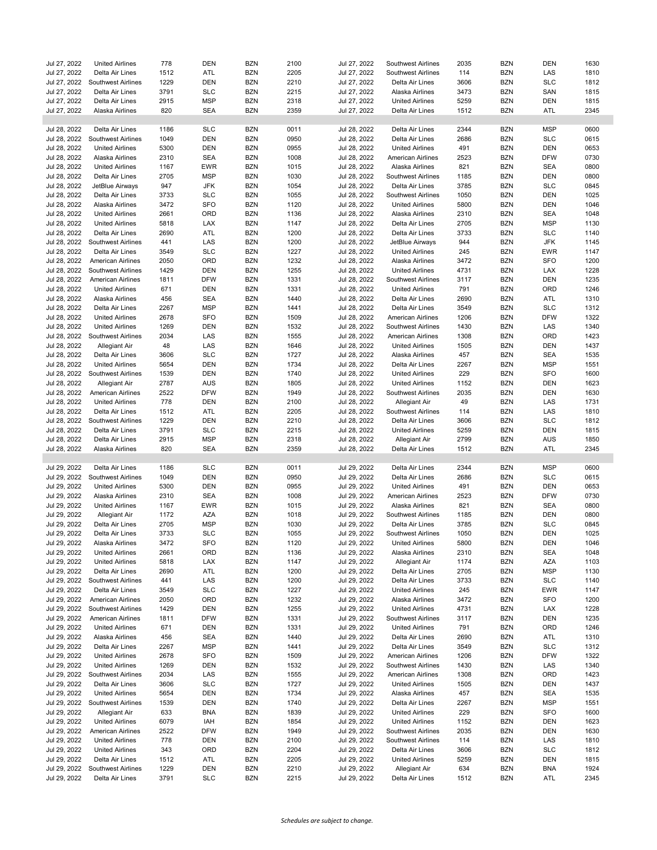| Jul 27, 2022                 | <b>United Airlines</b>                | 778          | <b>DEN</b>               | <b>BZN</b>               | 2100         | Jul 27, 2022                 | Southwest Airlines               | 2035        | <b>BZN</b>        | <b>DEN</b> | 1630         |
|------------------------------|---------------------------------------|--------------|--------------------------|--------------------------|--------------|------------------------------|----------------------------------|-------------|-------------------|------------|--------------|
| Jul 27, 2022                 | Delta Air Lines                       | 1512         | ATL                      | <b>BZN</b>               | 2205         | Jul 27, 2022                 | Southwest Airlines               | 114         | <b>BZN</b>        | LAS        | 1810         |
|                              |                                       |              |                          |                          |              |                              |                                  |             |                   |            |              |
| Jul 27, 2022                 | Southwest Airlines                    | 1229         | <b>DEN</b>               | <b>BZN</b>               | 2210         | Jul 27, 2022                 | Delta Air Lines                  | 3606        | <b>BZN</b>        | <b>SLC</b> | 1812         |
| Jul 27, 2022                 | Delta Air Lines                       | 3791         | <b>SLC</b>               | <b>BZN</b>               | 2215         | Jul 27, 2022                 | Alaska Airlines                  | 3473        | <b>BZN</b>        | SAN        | 1815         |
| Jul 27, 2022                 | Delta Air Lines                       | 2915         | <b>MSP</b>               | <b>BZN</b>               | 2318         | Jul 27, 2022                 | <b>United Airlines</b>           | 5259        | <b>BZN</b>        | <b>DEN</b> | 1815         |
| Jul 27, 2022                 | Alaska Airlines                       | 820          | <b>SEA</b>               | <b>BZN</b>               | 2359         | Jul 27, 2022                 | Delta Air Lines                  | 1512        | <b>BZN</b>        | ATL        | 2345         |
|                              |                                       |              |                          |                          |              |                              |                                  |             |                   |            |              |
| Jul 28, 2022                 | Delta Air Lines                       | 1186         | <b>SLC</b>               | <b>BZN</b>               | 0011         | Jul 28, 2022                 | Delta Air Lines                  | 2344        | <b>BZN</b>        | <b>MSP</b> | 0600         |
| Jul 28, 2022                 | Southwest Airlines                    | 1049         | <b>DEN</b>               | <b>BZN</b>               | 0950         | Jul 28, 2022                 | Delta Air Lines                  | 2686        | <b>BZN</b>        | <b>SLC</b> | 0615         |
| Jul 28, 2022                 | <b>United Airlines</b>                | 5300         | <b>DEN</b>               | <b>BZN</b>               | 0955         | Jul 28, 2022                 | <b>United Airlines</b>           | 491         | <b>BZN</b>        | <b>DEN</b> | 0653         |
| Jul 28, 2022                 | Alaska Airlines                       | 2310         | <b>SEA</b>               | <b>BZN</b>               | 1008         | Jul 28, 2022                 | American Airlines                | 2523        | <b>BZN</b>        | <b>DFW</b> | 0730         |
| Jul 28, 2022                 | <b>United Airlines</b>                | 1167         | <b>EWR</b>               | <b>BZN</b>               | 1015         | Jul 28, 2022                 | Alaska Airlines                  | 821         | <b>BZN</b>        | <b>SEA</b> | 0800         |
| Jul 28, 2022                 | Delta Air Lines                       | 2705         | <b>MSP</b>               | <b>BZN</b>               | 1030         | Jul 28, 2022                 | <b>Southwest Airlines</b>        | 1185        | <b>BZN</b>        | <b>DEN</b> | 0800         |
| Jul 28, 2022                 | JetBlue Airways                       | 947          | <b>JFK</b>               | <b>BZN</b>               | 1054         | Jul 28, 2022                 | Delta Air Lines                  | 3785        | <b>BZN</b>        | <b>SLC</b> | 0845         |
| Jul 28, 2022                 | Delta Air Lines                       | 3733         | <b>SLC</b>               | <b>BZN</b>               | 1055         | Jul 28, 2022                 | <b>Southwest Airlines</b>        | 1050        | <b>BZN</b>        | <b>DEN</b> | 1025         |
| Jul 28, 2022                 | Alaska Airlines                       | 3472         | <b>SFO</b>               | <b>BZN</b>               | 1120         | Jul 28, 2022                 | <b>United Airlines</b>           | 5800        | <b>BZN</b>        | <b>DEN</b> | 1046         |
| Jul 28, 2022                 | <b>United Airlines</b>                | 2661         | ORD                      | <b>BZN</b>               | 1136         | Jul 28, 2022                 | Alaska Airlines                  | 2310        | <b>BZN</b>        | <b>SEA</b> | 1048         |
| Jul 28, 2022                 | <b>United Airlines</b>                | 5818         | LAX                      | <b>BZN</b>               | 1147         | Jul 28, 2022                 | Delta Air Lines                  | 2705        | <b>BZN</b>        | <b>MSP</b> | 1130         |
| Jul 28, 2022                 | Delta Air Lines                       | 2690         | ATL                      | <b>BZN</b>               | 1200         | Jul 28, 2022                 | Delta Air Lines                  | 3733        | <b>BZN</b>        | <b>SLC</b> | 1140         |
| Jul 28, 2022                 |                                       | 441          | LAS                      | <b>BZN</b>               | 1200         | Jul 28, 2022                 |                                  | 944         | <b>BZN</b>        | <b>JFK</b> | 1145         |
|                              | Southwest Airlines                    |              |                          |                          |              |                              | JetBlue Airways                  |             |                   |            |              |
| Jul 28, 2022                 | Delta Air Lines                       | 3549         | <b>SLC</b>               | <b>BZN</b>               | 1227         | Jul 28, 2022                 | <b>United Airlines</b>           | 245         | <b>BZN</b>        | <b>EWR</b> | 1147         |
| Jul 28, 2022                 | American Airlines                     | 2050         | ORD                      | <b>BZN</b>               | 1232         | Jul 28, 2022                 | Alaska Airlines                  | 3472        | <b>BZN</b>        | <b>SFO</b> | 1200         |
| Jul 28, 2022                 | <b>Southwest Airlines</b>             | 1429         | <b>DEN</b>               | <b>BZN</b>               | 1255         | Jul 28, 2022                 | <b>United Airlines</b>           | 4731        | <b>BZN</b>        | LAX        | 1228         |
| Jul 28, 2022                 | American Airlines                     | 1811         | <b>DFW</b>               | <b>BZN</b>               | 1331         | Jul 28, 2022                 | <b>Southwest Airlines</b>        | 3117        | <b>BZN</b>        | <b>DEN</b> | 1235         |
| Jul 28, 2022                 | <b>United Airlines</b>                | 671          | <b>DEN</b>               | <b>BZN</b>               | 1331         | Jul 28, 2022                 | <b>United Airlines</b>           | 791         | <b>BZN</b>        | ORD        | 1246         |
| Jul 28, 2022                 | Alaska Airlines                       | 456          | <b>SEA</b>               | <b>BZN</b>               | 1440         | Jul 28, 2022                 | Delta Air Lines                  | 2690        | <b>BZN</b>        | ATL        | 1310         |
| Jul 28, 2022                 | Delta Air Lines                       | 2267         | <b>MSP</b>               | <b>BZN</b>               | 1441         | Jul 28, 2022                 | Delta Air Lines                  | 3549        | <b>BZN</b>        | <b>SLC</b> | 1312         |
| Jul 28, 2022                 | <b>United Airlines</b>                | 2678         | <b>SFO</b>               | <b>BZN</b>               | 1509         | Jul 28, 2022                 | American Airlines                | 1206        | <b>BZN</b>        | <b>DFW</b> | 1322         |
| Jul 28, 2022                 | <b>United Airlines</b>                | 1269         | <b>DEN</b>               | <b>BZN</b>               | 1532         | Jul 28, 2022                 | Southwest Airlines               | 1430        | <b>BZN</b>        | LAS        | 1340         |
| Jul 28, 2022                 | Southwest Airlines                    | 2034         | LAS                      | <b>BZN</b>               | 1555         | Jul 28, 2022                 | American Airlines                | 1308        | <b>BZN</b>        | ORD        | 1423         |
| Jul 28, 2022                 | Allegiant Air                         | 48           | LAS                      | <b>BZN</b>               | 1646         | Jul 28, 2022                 | <b>United Airlines</b>           | 1505        | <b>BZN</b>        | <b>DEN</b> | 1437         |
| Jul 28, 2022                 | Delta Air Lines                       | 3606         | <b>SLC</b>               | <b>BZN</b>               | 1727         | Jul 28, 2022                 | Alaska Airlines                  | 457         | <b>BZN</b>        | <b>SEA</b> | 1535         |
| Jul 28, 2022                 | <b>United Airlines</b>                | 5654         | <b>DEN</b>               | <b>BZN</b>               | 1734         | Jul 28, 2022                 | Delta Air Lines                  | 2267        | <b>BZN</b>        | <b>MSP</b> | 1551         |
| Jul 28, 2022                 |                                       | 1539         | <b>DEN</b>               | <b>BZN</b>               | 1740         | Jul 28, 2022                 |                                  | 229         | <b>BZN</b>        | <b>SFO</b> | 1600         |
|                              | <b>Southwest Airlines</b>             |              |                          |                          |              |                              | <b>United Airlines</b>           |             |                   |            |              |
| Jul 28, 2022                 | <b>Allegiant Air</b>                  | 2787         | <b>AUS</b>               | <b>BZN</b>               | 1805         | Jul 28, 2022                 | <b>United Airlines</b>           | 1152        | <b>BZN</b>        | <b>DEN</b> | 1623         |
| Jul 28, 2022                 | <b>American Airlines</b>              | 2522         | <b>DFW</b>               | <b>BZN</b>               | 1949         | Jul 28, 2022                 | Southwest Airlines               | 2035        | <b>BZN</b>        | <b>DEN</b> | 1630         |
| Jul 28, 2022                 | <b>United Airlines</b>                | 778          | <b>DEN</b>               | <b>BZN</b>               | 2100         | Jul 28, 2022                 | Allegiant Air                    | 49          | <b>BZN</b>        | LAS        | 1731         |
| Jul 28, 2022                 | Delta Air Lines                       | 1512         | ATL                      | <b>BZN</b>               | 2205         | Jul 28, 2022                 | <b>Southwest Airlines</b>        | 114         | <b>BZN</b>        | LAS        | 1810         |
| Jul 28, 2022                 | Southwest Airlines                    | 1229         | <b>DEN</b>               | <b>BZN</b>               | 2210         | Jul 28, 2022                 | Delta Air Lines                  | 3606        | <b>BZN</b>        | <b>SLC</b> | 1812         |
| Jul 28, 2022                 | Delta Air Lines                       | 3791         | <b>SLC</b>               | <b>BZN</b>               | 2215         | Jul 28, 2022                 | <b>United Airlines</b>           | 5259        | <b>BZN</b>        | <b>DEN</b> | 1815         |
| Jul 28, 2022                 | Delta Air Lines                       | 2915         | <b>MSP</b>               | <b>BZN</b>               | 2318         | Jul 28, 2022                 | Allegiant Air                    | 2799        | <b>BZN</b>        | <b>AUS</b> | 1850         |
| Jul 28, 2022                 | Alaska Airlines                       | 820          | <b>SEA</b>               | <b>BZN</b>               | 2359         | Jul 28, 2022                 | Delta Air Lines                  | 1512        | <b>BZN</b>        | ATL        | 2345         |
|                              |                                       |              |                          |                          |              |                              |                                  |             |                   |            |              |
| Jul 29, 2022                 | Delta Air Lines                       | 1186         | <b>SLC</b>               | <b>BZN</b>               | 0011         | Jul 29, 2022                 | Delta Air Lines                  | 2344        | <b>BZN</b>        | <b>MSP</b> | 0600         |
| Jul 29, 2022                 | Southwest Airlines                    | 1049         | <b>DEN</b>               | <b>BZN</b>               | 0950         | Jul 29, 2022                 | Delta Air Lines                  | 2686        | <b>BZN</b>        | <b>SLC</b> | 0615         |
| Jul 29, 2022                 | <b>United Airlines</b>                | 5300         | <b>DEN</b>               | <b>BZN</b>               | 0955         | Jul 29, 2022                 | <b>United Airlines</b>           | 491         | <b>BZN</b>        | <b>DEN</b> | 0653         |
| Jul 29, 2022                 | Alaska Airlines                       | 2310         | <b>SEA</b>               | <b>BZN</b>               | 1008         | Jul 29, 2022                 | American Airlines                | 2523        | <b>BZN</b>        | <b>DFW</b> | 0730         |
| Jul 29, 2022                 | <b>United Airlines</b>                | 1167         | <b>EWR</b>               | <b>BZN</b>               | 1015         | Jul 29, 2022                 | Alaska Airlines                  | 821         | <b>BZN</b>        | <b>SEA</b> | 0800         |
| Jul 29, 2022                 | Allegiant Air                         | 1172         | <b>AZA</b>               | <b>BZN</b>               | 1018         | Jul 29, 2022                 | <b>Southwest Airlines</b>        | 1185        | <b>BZN</b>        | DEN        | 0800         |
| Jul 29, 2022                 | Delta Air Lines                       | 2705         | <b>MSP</b>               | <b>BZN</b>               | 1030         | Jul 29, 2022                 | Delta Air Lines                  | 3785        | <b>BZN</b>        | <b>SLC</b> | 0845         |
| Jul 29, 2022                 | Delta Air Lines                       | 3733         | <b>SLC</b>               | <b>BZN</b>               | 1055         | Jul 29, 2022                 | Southwest Airlines               | 1050        | <b>BZN</b>        | <b>DEN</b> | 1025         |
| Jul 29, 2022                 | Alaska Airlines                       | 3472         | <b>SFO</b>               | <b>BZN</b>               | 1120         | Jul 29, 2022                 | <b>United Airlines</b>           | 5800        | <b>BZN</b>        | <b>DEN</b> | 1046         |
|                              |                                       |              |                          | <b>BZN</b>               | 1136         |                              |                                  |             |                   |            | 1048         |
| Jul 29, 2022                 | <b>United Airlines</b>                | 2661         | ORD                      |                          |              |                              |                                  |             |                   |            |              |
| Jul 29, 2022                 | <b>United Airlines</b>                |              |                          |                          |              | Jul 29, 2022                 | Alaska Airlines                  | 2310        | <b>BZN</b>        | <b>SEA</b> |              |
| Jul 29, 2022                 |                                       | 5818         | LAX                      | <b>BZN</b>               | 1147         | Jul 29, 2022                 | Allegiant Air                    | 1174        | <b>BZN</b>        | AZA        | 1103         |
| Jul 29, 2022                 | Delta Air Lines                       | 2690         | ATL                      | <b>BZN</b>               | 1200         | Jul 29, 2022                 | Delta Air Lines                  | 2705        | <b>BZN</b>        | <b>MSP</b> | 1130         |
|                              | Southwest Airlines                    | 441          | LAS                      | <b>BZN</b>               | 1200         | Jul 29, 2022                 | Delta Air Lines                  | 3733        | <b>BZN</b>        | <b>SLC</b> | 1140         |
| Jul 29, 2022                 | Delta Air Lines                       | 3549         | <b>SLC</b>               | <b>BZN</b>               | 1227         | Jul 29, 2022                 | <b>United Airlines</b>           | 245         | <b>BZN</b>        | <b>EWR</b> | 1147         |
| Jul 29, 2022                 | American Airlines                     | 2050         | ORD                      | <b>BZN</b>               | 1232         | Jul 29, 2022                 | Alaska Airlines                  | 3472        | <b>BZN</b>        | <b>SFO</b> | 1200         |
| Jul 29, 2022                 | Southwest Airlines                    | 1429         | <b>DEN</b>               | <b>BZN</b>               | 1255         | Jul 29, 2022                 | <b>United Airlines</b>           | 4731        | <b>BZN</b>        | LAX        | 1228         |
| Jul 29, 2022                 | American Airlines                     | 1811         | <b>DFW</b>               | <b>BZN</b>               | 1331         | Jul 29, 2022                 | Southwest Airlines               | 3117        | <b>BZN</b>        | <b>DEN</b> | 1235         |
| Jul 29, 2022                 | <b>United Airlines</b>                | 671          | DEN                      | <b>BZN</b>               | 1331         | Jul 29, 2022                 | <b>United Airlines</b>           | 791         | <b>BZN</b>        | ORD        | 1246         |
| Jul 29, 2022                 | Alaska Airlines                       | 456          | SEA                      | <b>BZN</b>               | 1440         | Jul 29, 2022                 | Delta Air Lines                  | 2690        | BZN               | ATL        | 1310         |
| Jul 29, 2022                 | Delta Air Lines                       | 2267         | <b>MSP</b>               | <b>BZN</b>               | 1441         | Jul 29, 2022                 | Delta Air Lines                  | 3549        | <b>BZN</b>        | <b>SLC</b> | 1312         |
| Jul 29, 2022                 | <b>United Airlines</b>                | 2678         | <b>SFO</b>               | <b>BZN</b>               | 1509         | Jul 29, 2022                 | American Airlines                | 1206        | <b>BZN</b>        | <b>DFW</b> | 1322         |
| Jul 29, 2022                 | <b>United Airlines</b>                | 1269         | <b>DEN</b>               | <b>BZN</b>               | 1532         | Jul 29, 2022                 | Southwest Airlines               | 1430        | <b>BZN</b>        | LAS        | 1340         |
|                              | Southwest Airlines                    |              |                          |                          |              | Jul 29, 2022                 | <b>American Airlines</b>         |             |                   |            |              |
| Jul 29, 2022                 |                                       | 2034         | LAS                      | <b>BZN</b>               | 1555         |                              |                                  | 1308        | <b>BZN</b>        | ORD        | 1423         |
| Jul 29, 2022                 | Delta Air Lines                       | 3606         | <b>SLC</b>               | <b>BZN</b>               | 1727         | Jul 29, 2022                 | <b>United Airlines</b>           | 1505        | <b>BZN</b>        | DEN        | 1437         |
| Jul 29, 2022                 | <b>United Airlines</b>                | 5654         | DEN                      | <b>BZN</b>               | 1734         | Jul 29, 2022                 | Alaska Airlines                  | 457         | <b>BZN</b>        | <b>SEA</b> | 1535         |
| Jul 29, 2022                 | Southwest Airlines                    | 1539         | <b>DEN</b>               | BZN                      | 1740         | Jul 29, 2022                 | Delta Air Lines                  | 2267        | <b>BZN</b>        | <b>MSP</b> | 1551         |
| Jul 29, 2022                 | Allegiant Air                         | 633          | <b>BNA</b>               | BZN                      | 1839         | Jul 29, 2022                 | <b>United Airlines</b>           | 229         | <b>BZN</b>        | <b>SFO</b> | 1600         |
| Jul 29, 2022                 | <b>United Airlines</b>                | 6079         | IAH                      | <b>BZN</b>               | 1854         | Jul 29, 2022                 | <b>United Airlines</b>           | 1152        | <b>BZN</b>        | <b>DEN</b> | 1623         |
| Jul 29, 2022                 | American Airlines                     | 2522         | <b>DFW</b>               | <b>BZN</b>               | 1949         | Jul 29, 2022                 | Southwest Airlines               | 2035        | <b>BZN</b>        | DEN        | 1630         |
| Jul 29, 2022                 | <b>United Airlines</b>                | 778          | <b>DEN</b>               | <b>BZN</b>               | 2100         | Jul 29, 2022                 | Southwest Airlines               | 114         | <b>BZN</b>        | LAS        | 1810         |
| Jul 29, 2022                 | <b>United Airlines</b>                | 343          | ORD                      | <b>BZN</b>               | 2204         | Jul 29, 2022                 | Delta Air Lines                  | 3606        | <b>BZN</b>        | <b>SLC</b> | 1812         |
| Jul 29, 2022                 | Delta Air Lines                       | 1512         | ATL                      | <b>BZN</b>               | 2205         | Jul 29, 2022                 | <b>United Airlines</b>           | 5259        | BZN               | DEN        | 1815         |
| Jul 29, 2022<br>Jul 29, 2022 | Southwest Airlines<br>Delta Air Lines | 1229<br>3791 | <b>DEN</b><br><b>SLC</b> | <b>BZN</b><br><b>BZN</b> | 2210<br>2215 | Jul 29, 2022<br>Jul 29, 2022 | Allegiant Air<br>Delta Air Lines | 634<br>1512 | BZN<br><b>BZN</b> | BNA<br>ATL | 1924<br>2345 |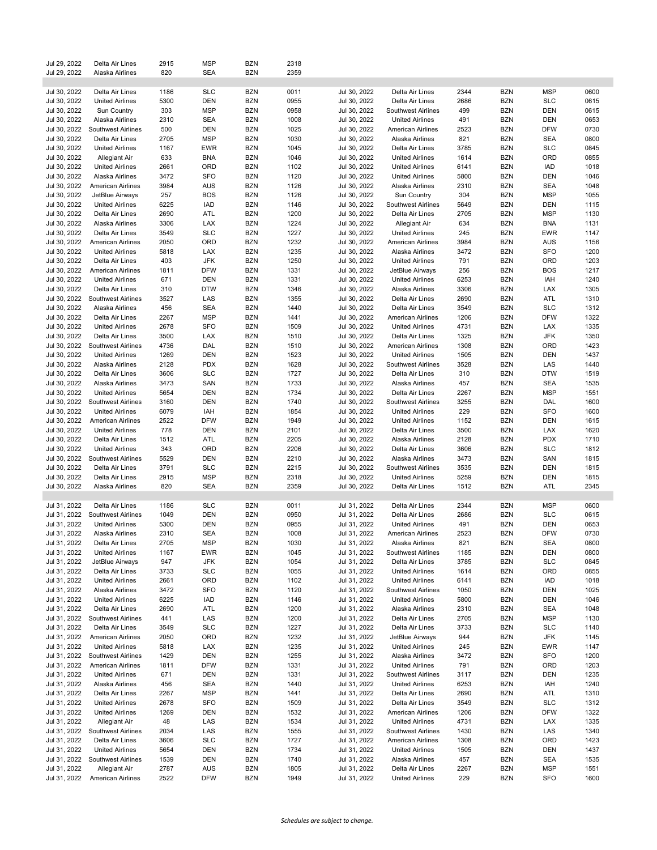| Jul 29, 2022 | Delta Air Lines           | 2915 | <b>MSP</b> | <b>BZN</b> | 2318 |              |                           |      |            |            |      |
|--------------|---------------------------|------|------------|------------|------|--------------|---------------------------|------|------------|------------|------|
| Jul 29, 2022 | Alaska Airlines           | 820  | <b>SEA</b> | <b>BZN</b> | 2359 |              |                           |      |            |            |      |
|              |                           |      |            |            |      |              |                           |      |            |            |      |
| Jul 30, 2022 | Delta Air Lines           | 1186 | <b>SLC</b> | <b>BZN</b> | 0011 | Jul 30, 2022 | Delta Air Lines           | 2344 | <b>BZN</b> | <b>MSP</b> | 0600 |
|              |                           |      | <b>DEN</b> | <b>BZN</b> |      |              |                           |      | <b>BZN</b> | <b>SLC</b> |      |
| Jul 30, 2022 | <b>United Airlines</b>    | 5300 |            |            | 0955 | Jul 30, 2022 | Delta Air Lines           | 2686 |            |            | 0615 |
| Jul 30, 2022 | Sun Country               | 303  | <b>MSP</b> | <b>BZN</b> | 0958 | Jul 30, 2022 | <b>Southwest Airlines</b> | 499  | <b>BZN</b> | <b>DEN</b> | 0615 |
| Jul 30, 2022 | Alaska Airlines           | 2310 | <b>SEA</b> | <b>BZN</b> | 1008 | Jul 30, 2022 | <b>United Airlines</b>    | 491  | <b>BZN</b> | DEN        | 0653 |
| Jul 30, 2022 | <b>Southwest Airlines</b> | 500  | <b>DEN</b> | <b>BZN</b> | 1025 | Jul 30, 2022 | American Airlines         | 2523 | <b>BZN</b> | <b>DFW</b> | 0730 |
| Jul 30, 2022 | Delta Air Lines           | 2705 | <b>MSP</b> | <b>BZN</b> | 1030 | Jul 30, 2022 | Alaska Airlines           | 821  | <b>BZN</b> | <b>SEA</b> | 0800 |
| Jul 30, 2022 | <b>United Airlines</b>    | 1167 | <b>EWR</b> | <b>BZN</b> | 1045 | Jul 30, 2022 | Delta Air Lines           | 3785 | BZN        | <b>SLC</b> | 0845 |
| Jul 30, 2022 | Allegiant Air             | 633  | <b>BNA</b> | <b>BZN</b> | 1046 | Jul 30, 2022 | <b>United Airlines</b>    | 1614 | <b>BZN</b> | ORD        | 0855 |
| Jul 30, 2022 | <b>United Airlines</b>    | 2661 | ORD        | <b>BZN</b> | 1102 | Jul 30, 2022 | <b>United Airlines</b>    | 6141 | BZN        | IAD        | 1018 |
| Jul 30, 2022 | Alaska Airlines           | 3472 | SFO        | <b>BZN</b> | 1120 | Jul 30, 2022 | <b>United Airlines</b>    | 5800 | <b>BZN</b> | DEN        | 1046 |
|              |                           |      |            |            |      |              |                           |      |            |            |      |
| Jul 30, 2022 | American Airlines         | 3984 | <b>AUS</b> | <b>BZN</b> | 1126 | Jul 30, 2022 | Alaska Airlines           | 2310 | BZN        | <b>SEA</b> | 1048 |
| Jul 30, 2022 | JetBlue Airways           | 257  | <b>BOS</b> | <b>BZN</b> | 1126 | Jul 30, 2022 | Sun Country               | 304  | <b>BZN</b> | <b>MSP</b> | 1055 |
| Jul 30, 2022 | <b>United Airlines</b>    | 6225 | IAD        | <b>BZN</b> | 1146 | Jul 30, 2022 | <b>Southwest Airlines</b> | 5649 | BZN        | <b>DEN</b> | 1115 |
| Jul 30, 2022 | Delta Air Lines           | 2690 | ATL        | <b>BZN</b> | 1200 | Jul 30, 2022 | Delta Air Lines           | 2705 | BZN        | <b>MSP</b> | 1130 |
| Jul 30, 2022 | Alaska Airlines           | 3306 | LAX        | <b>BZN</b> | 1224 | Jul 30, 2022 | Allegiant Air             | 634  | <b>BZN</b> | <b>BNA</b> | 1131 |
| Jul 30, 2022 | Delta Air Lines           | 3549 | <b>SLC</b> | <b>BZN</b> | 1227 | Jul 30, 2022 | <b>United Airlines</b>    | 245  | <b>BZN</b> | <b>EWR</b> | 1147 |
| Jul 30, 2022 | American Airlines         | 2050 | ORD        | <b>BZN</b> | 1232 | Jul 30, 2022 | American Airlines         | 3984 | <b>BZN</b> | <b>AUS</b> | 1156 |
| Jul 30, 2022 | <b>United Airlines</b>    | 5818 | LAX        | <b>BZN</b> | 1235 | Jul 30, 2022 | Alaska Airlines           | 3472 | <b>BZN</b> | <b>SFO</b> | 1200 |
| Jul 30, 2022 | Delta Air Lines           | 403  | JFK        | <b>BZN</b> | 1250 | Jul 30, 2022 | <b>United Airlines</b>    | 791  | <b>BZN</b> | ORD        | 1203 |
|              |                           |      |            |            |      |              |                           |      |            |            |      |
| Jul 30, 2022 | American Airlines         | 1811 | <b>DFW</b> | <b>BZN</b> | 1331 | Jul 30, 2022 | JetBlue Airways           | 256  | <b>BZN</b> | <b>BOS</b> | 1217 |
| Jul 30, 2022 | <b>United Airlines</b>    | 671  | DEN        | <b>BZN</b> | 1331 | Jul 30, 2022 | <b>United Airlines</b>    | 6253 | <b>BZN</b> | IAH        | 1240 |
| Jul 30, 2022 | Delta Air Lines           | 310  | <b>DTW</b> | <b>BZN</b> | 1346 | Jul 30, 2022 | Alaska Airlines           | 3306 | BZN        | LAX        | 1305 |
| Jul 30, 2022 | Southwest Airlines        | 3527 | LAS        | <b>BZN</b> | 1355 | Jul 30, 2022 | Delta Air Lines           | 2690 | BZN        | ATL        | 1310 |
| Jul 30, 2022 | Alaska Airlines           | 456  | <b>SEA</b> | <b>BZN</b> | 1440 | Jul 30, 2022 | Delta Air Lines           | 3549 | <b>BZN</b> | <b>SLC</b> | 1312 |
| Jul 30, 2022 | Delta Air Lines           | 2267 | <b>MSP</b> | <b>BZN</b> | 1441 | Jul 30, 2022 | American Airlines         | 1206 | <b>BZN</b> | <b>DFW</b> | 1322 |
| Jul 30, 2022 | <b>United Airlines</b>    | 2678 | <b>SFO</b> | <b>BZN</b> | 1509 | Jul 30, 2022 | <b>United Airlines</b>    | 4731 | <b>BZN</b> | LAX        | 1335 |
| Jul 30, 2022 | Delta Air Lines           | 3500 | LAX        | <b>BZN</b> | 1510 | Jul 30, 2022 | Delta Air Lines           | 1325 | BZN        | <b>JFK</b> | 1350 |
| Jul 30, 2022 | Southwest Airlines        | 4736 | DAL        | <b>BZN</b> | 1510 | Jul 30, 2022 | American Airlines         | 1308 | BZN        | ORD        | 1423 |
| Jul 30, 2022 | <b>United Airlines</b>    | 1269 | DEN        | <b>BZN</b> | 1523 | Jul 30, 2022 | <b>United Airlines</b>    | 1505 | <b>BZN</b> | <b>DEN</b> | 1437 |
|              | Alaska Airlines           |      |            |            |      |              |                           |      |            |            |      |
| Jul 30, 2022 |                           | 2128 | <b>PDX</b> | <b>BZN</b> | 1628 | Jul 30, 2022 | <b>Southwest Airlines</b> | 3528 | <b>BZN</b> | LAS        | 1440 |
| Jul 30, 2022 | Delta Air Lines           | 3606 | <b>SLC</b> | <b>BZN</b> | 1727 | Jul 30, 2022 | Delta Air Lines           | 310  | <b>BZN</b> | <b>DTW</b> | 1519 |
| Jul 30, 2022 | Alaska Airlines           | 3473 | SAN        | <b>BZN</b> | 1733 | Jul 30, 2022 | Alaska Airlines           | 457  | <b>BZN</b> | SEA        | 1535 |
| Jul 30, 2022 | <b>United Airlines</b>    | 5654 | DEN        | <b>BZN</b> | 1734 | Jul 30, 2022 | Delta Air Lines           | 2267 | BZN        | <b>MSP</b> | 1551 |
| Jul 30, 2022 | Southwest Airlines        | 3160 | <b>DEN</b> | <b>BZN</b> | 1740 | Jul 30, 2022 | <b>Southwest Airlines</b> | 3255 | BZN        | DAL        | 1600 |
| Jul 30, 2022 | <b>United Airlines</b>    | 6079 | IAH        | <b>BZN</b> | 1854 | Jul 30, 2022 | <b>United Airlines</b>    | 229  | BZN        | <b>SFO</b> | 1600 |
| Jul 30, 2022 | American Airlines         | 2522 | <b>DFW</b> | <b>BZN</b> | 1949 | Jul 30, 2022 | <b>United Airlines</b>    | 1152 | BZN        | DEN        | 1615 |
| Jul 30, 2022 | <b>United Airlines</b>    | 778  | <b>DEN</b> | <b>BZN</b> | 2101 | Jul 30, 2022 | Delta Air Lines           | 3500 | <b>BZN</b> | LAX        | 1620 |
| Jul 30, 2022 | Delta Air Lines           | 1512 | ATL        | <b>BZN</b> | 2205 | Jul 30, 2022 | Alaska Airlines           | 2128 | BZN        | <b>PDX</b> | 1710 |
|              |                           |      |            |            |      |              |                           |      |            |            |      |
| Jul 30, 2022 | <b>United Airlines</b>    | 343  | ORD        | <b>BZN</b> | 2206 | Jul 30, 2022 | Delta Air Lines           | 3606 | <b>BZN</b> | <b>SLC</b> | 1812 |
| Jul 30, 2022 | Southwest Airlines        | 5529 | DEN        | <b>BZN</b> | 2210 | Jul 30, 2022 | Alaska Airlines           | 3473 | BZN        | SAN        | 1815 |
| Jul 30, 2022 | Delta Air Lines           | 3791 | <b>SLC</b> | <b>BZN</b> | 2215 | Jul 30, 2022 | <b>Southwest Airlines</b> | 3535 | <b>BZN</b> | <b>DEN</b> | 1815 |
| Jul 30, 2022 | Delta Air Lines           | 2915 | <b>MSP</b> | <b>BZN</b> | 2318 | Jul 30, 2022 | <b>United Airlines</b>    | 5259 | <b>BZN</b> | <b>DEN</b> | 1815 |
| Jul 30, 2022 | Alaska Airlines           | 820  | <b>SEA</b> | <b>BZN</b> | 2359 | Jul 30, 2022 | Delta Air Lines           | 1512 | <b>BZN</b> | ATL        | 2345 |
|              |                           |      |            |            |      |              |                           |      |            |            |      |
| Jul 31, 2022 | Delta Air Lines           | 1186 | <b>SLC</b> | <b>BZN</b> | 0011 | Jul 31, 2022 | Delta Air Lines           | 2344 | <b>BZN</b> | <b>MSP</b> | 0600 |
| Jul 31, 2022 | Southwest Airlines        | 1049 | DEN        | <b>BZN</b> | 0950 | Jul 31, 2022 | Delta Air Lines           | 2686 | BZN        | <b>SLC</b> | 0615 |
| Jul 31, 2022 | <b>United Airlines</b>    | 5300 | <b>DEN</b> | <b>BZN</b> | 0955 | Jul 31, 2022 | <b>United Airlines</b>    | 491  | <b>BZN</b> | <b>DEN</b> | 0653 |
| Jul 31, 2022 |                           | 2310 | <b>SEA</b> | <b>BZN</b> | 1008 |              | <b>American Airlines</b>  | 2523 | <b>BZN</b> | <b>DFW</b> | 0730 |
|              | Alaska Airlines           |      |            |            |      | Jul 31, 2022 |                           |      |            |            |      |
| Jul 31, 2022 | Delta Air Lines           | 2705 | MSP        | B∠N        | 1030 | Jul 31, 2022 | Alaska Airlines           | 821  | B∠N        | SEA        | 0800 |
| Jul 31, 2022 | <b>United Airlines</b>    | 1167 | EWR        | <b>BZN</b> | 1045 | Jul 31, 2022 | <b>Southwest Airlines</b> | 1185 | <b>BZN</b> | DEN        | 0800 |
| Jul 31, 2022 | JetBlue Airways           | 947  | <b>JFK</b> | <b>BZN</b> | 1054 | Jul 31, 2022 | Delta Air Lines           | 3785 | <b>BZN</b> | <b>SLC</b> | 0845 |
| Jul 31, 2022 | Delta Air Lines           | 3733 | SLC        | <b>BZN</b> | 1055 | Jul 31, 2022 | <b>United Airlines</b>    | 1614 | BZN        | ORD        | 0855 |
| Jul 31, 2022 | <b>United Airlines</b>    | 2661 | ORD        | <b>BZN</b> | 1102 | Jul 31, 2022 | <b>United Airlines</b>    | 6141 | <b>BZN</b> | IAD        | 1018 |
| Jul 31, 2022 | Alaska Airlines           | 3472 | <b>SFO</b> | <b>BZN</b> | 1120 | Jul 31, 2022 | Southwest Airlines        | 1050 | BZN        | DEN        | 1025 |
| Jul 31, 2022 | <b>United Airlines</b>    | 6225 | <b>IAD</b> | <b>BZN</b> | 1146 | Jul 31, 2022 | <b>United Airlines</b>    | 5800 | <b>BZN</b> | DEN        | 1046 |
| Jul 31, 2022 | Delta Air Lines           | 2690 | ATL        | <b>BZN</b> | 1200 | Jul 31, 2022 | Alaska Airlines           | 2310 | <b>BZN</b> | <b>SEA</b> | 1048 |
| Jul 31, 2022 | Southwest Airlines        | 441  | LAS        | <b>BZN</b> | 1200 | Jul 31, 2022 | Delta Air Lines           | 2705 | BZN        | MSP        | 1130 |
| Jul 31, 2022 | Delta Air Lines           | 3549 | SLC        | BZN        | 1227 | Jul 31, 2022 | Delta Air Lines           | 3733 | BZN        | <b>SLC</b> | 1140 |
|              |                           |      |            |            |      |              |                           |      |            |            |      |
| Jul 31, 2022 | <b>American Airlines</b>  | 2050 | ORD        | <b>BZN</b> | 1232 | Jul 31, 2022 | JetBlue Airways           | 944  | BZN        | JFK        | 1145 |
| Jul 31, 2022 | <b>United Airlines</b>    | 5818 | LAX        | <b>BZN</b> | 1235 | Jul 31, 2022 | <b>United Airlines</b>    | 245  | BZN        | EWR        | 1147 |
| Jul 31, 2022 | Southwest Airlines        | 1429 | DEN        | <b>BZN</b> | 1255 | Jul 31, 2022 | Alaska Airlines           | 3472 | BZN        | SFO        | 1200 |
| Jul 31, 2022 | American Airlines         | 1811 | <b>DFW</b> | <b>BZN</b> | 1331 | Jul 31, 2022 | <b>United Airlines</b>    | 791  | BZN        | ORD        | 1203 |
| Jul 31, 2022 | <b>United Airlines</b>    | 671  | DEN        | <b>BZN</b> | 1331 | Jul 31, 2022 | Southwest Airlines        | 3117 | BZN        | <b>DEN</b> | 1235 |
| Jul 31, 2022 | Alaska Airlines           | 456  | SEA        | <b>BZN</b> | 1440 | Jul 31, 2022 | <b>United Airlines</b>    | 6253 | BZN        | IAH        | 1240 |
| Jul 31, 2022 | Delta Air Lines           | 2267 | MSP        | <b>BZN</b> | 1441 | Jul 31, 2022 | Delta Air Lines           | 2690 | BZN        | ATL        | 1310 |
| Jul 31, 2022 | <b>United Airlines</b>    | 2678 | <b>SFO</b> | <b>BZN</b> | 1509 | Jul 31, 2022 | Delta Air Lines           | 3549 | BZN        | <b>SLC</b> | 1312 |
| Jul 31, 2022 | <b>United Airlines</b>    | 1269 | DEN        | <b>BZN</b> | 1532 | Jul 31, 2022 | American Airlines         | 1206 | BZN        | <b>DFW</b> | 1322 |
| Jul 31, 2022 | Allegiant Air             | 48   | LAS        | <b>BZN</b> | 1534 | Jul 31, 2022 | <b>United Airlines</b>    | 4731 | <b>BZN</b> | LAX        | 1335 |
|              |                           |      |            |            |      |              |                           |      |            |            |      |
| Jul 31, 2022 | Southwest Airlines        | 2034 | LAS        | <b>BZN</b> | 1555 | Jul 31, 2022 | <b>Southwest Airlines</b> | 1430 | BZN        | LAS        | 1340 |
| Jul 31, 2022 | Delta Air Lines           | 3606 | <b>SLC</b> | <b>BZN</b> | 1727 | Jul 31, 2022 | American Airlines         | 1308 | <b>BZN</b> | ORD        | 1423 |
| Jul 31, 2022 | <b>United Airlines</b>    | 5654 | DEN        | <b>BZN</b> | 1734 | Jul 31, 2022 | <b>United Airlines</b>    | 1505 | BZN        | <b>DEN</b> | 1437 |
| Jul 31, 2022 | Southwest Airlines        | 1539 | DEN        | <b>BZN</b> | 1740 | Jul 31, 2022 | Alaska Airlines           | 457  | BZN        | SEA        | 1535 |
| Jul 31, 2022 | Allegiant Air             | 2787 | AUS        | <b>BZN</b> | 1805 | Jul 31, 2022 | Delta Air Lines           | 2267 | BZN        | <b>MSP</b> | 1551 |
| Jul 31, 2022 | American Airlines         | 2522 | <b>DFW</b> | <b>BZN</b> | 1949 | Jul 31, 2022 | <b>United Airlines</b>    | 229  | <b>BZN</b> | <b>SFO</b> | 1600 |